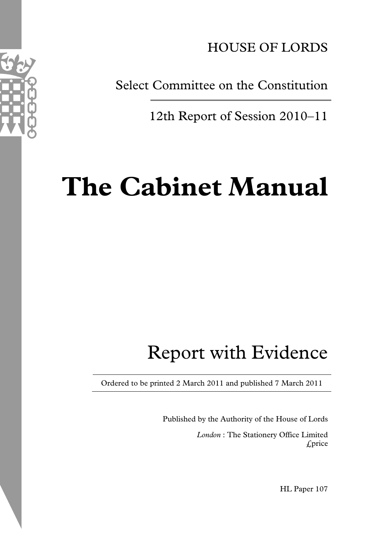

Select Committee on the Constitution

12th Report of Session 2010–11

# **The Cabinet Manual**

# Report with Evidence

Ordered to be printed 2 March 2011 and published 7 March 2011

Published by the Authority of the House of Lords

*London* : The Stationery Office Limited £price

HL Paper 107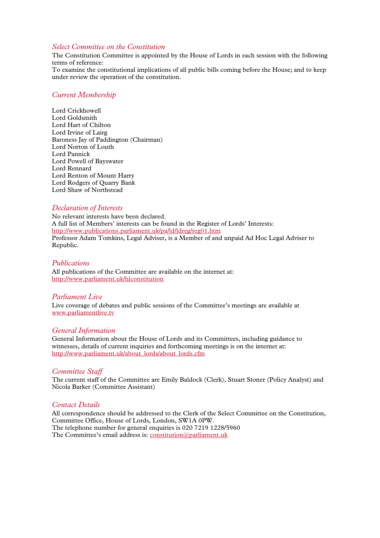## *Select Committee on the Constitution*

The Constitution Committee is appointed by the House of Lords in each session with the following terms of reference:

To examine the constitutional implications of all public bills coming before the House; and to keep under review the operation of the constitution.

# *Current Membership*

Lord Crickhowell Lord Goldsmith Lord Hart of Chilton Lord Irvine of Lairg Baroness Jay of Paddington (Chairman) Lord Norton of Louth Lord Pannick Lord Powell of Bayswater Lord Rennard Lord Renton of Mount Harry Lord Rodgers of Quarry Bank Lord Shaw of Northstead

### *Declaration of Interests*

No relevant interests have been declared. A full list of Members' interests can be found in the Register of Lords' Interests: <http://www.publications.parliament.uk/pa/ld/ldreg/reg01.htm> Professor Adam Tomkins, Legal Adviser, is a Member of and unpaid Ad Hoc Legal Adviser to Republic.

#### *Publications*

All publications of the Committee are available on the internet at: <http://www.parliament.uk/hlconstitution>

#### *Parliament Live*

Live coverage of debates and public sessions of the Committee's meetings are available at [www.parliamentlive.tv](http://www.parliamentlive.tv/)

#### *General Information*

General Information about the House of Lords and its Committees, including guidance to witnesses, details of current inquiries and forthcoming meetings is on the internet at: [http://www.parliament.uk/about\\_lords/about\\_lords.cfm](http://www.parliament.uk/about_lords/about_lords.cfm)

#### *Committee Staff*

The current staff of the Committee are Emily Baldock (Clerk), Stuart Stoner (Policy Analyst) and Nicola Barker (Committee Assistant)

### *Contact Details*

All correspondence should be addressed to the Clerk of the Select Committee on the Constitution, Committee Office, House of Lords, London, SW1A 0PW. The telephone number for general enquiries is 020 7219 1228/5960 The Committee's email address is: [constitution@parliament.uk](mailto:constitution@parliament.uk)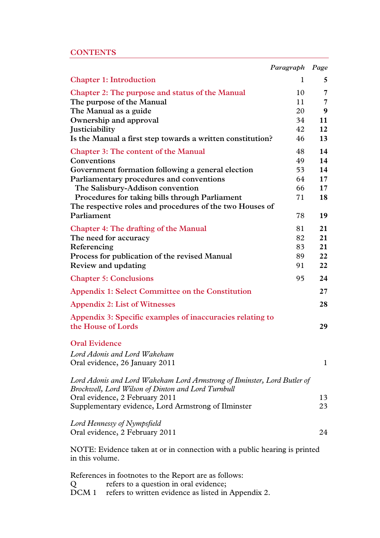# **CONTENTS**

|                                                                                                                                | Paragraph | Page     |
|--------------------------------------------------------------------------------------------------------------------------------|-----------|----------|
| <b>Chapter 1: Introduction</b>                                                                                                 | 1         | 5        |
| Chapter 2: The purpose and status of the Manual                                                                                | 10        | 7        |
| The purpose of the Manual                                                                                                      | 11        | 7        |
| The Manual as a guide                                                                                                          | 20        | 9        |
| Ownership and approval                                                                                                         | 34        | 11       |
| Justiciability                                                                                                                 | 42        | 12       |
| Is the Manual a first step towards a written constitution?                                                                     | 46        | 13       |
| <b>Chapter 3: The content of the Manual</b>                                                                                    | 48        | 14       |
| Conventions                                                                                                                    | 49        | 14       |
| Government formation following a general election                                                                              | 53        | 14       |
| Parliamentary procedures and conventions                                                                                       | 64        | $17 \,$  |
| The Salisbury-Addison convention                                                                                               | 66        | $17 \,$  |
| Procedures for taking bills through Parliament                                                                                 | 71        | 18       |
| The respective roles and procedures of the two Houses of                                                                       |           |          |
| Parliament                                                                                                                     | 78        | 19       |
| <b>Chapter 4: The drafting of the Manual</b>                                                                                   | 81        | 21       |
| The need for accuracy                                                                                                          | 82        | 21       |
| Referencing                                                                                                                    | 83        | 21       |
| Process for publication of the revised Manual                                                                                  | 89        | 22       |
| Review and updating                                                                                                            | 91        | 22       |
| <b>Chapter 5: Conclusions</b>                                                                                                  | 95        | 24       |
| Appendix 1: Select Committee on the Constitution                                                                               |           | $27\,$   |
| <b>Appendix 2: List of Witnesses</b>                                                                                           |           | 28       |
| Appendix 3: Specific examples of inaccuracies relating to<br>the House of Lords                                                |           | 29       |
| <b>Oral Evidence</b>                                                                                                           |           |          |
| Lord Adonis and Lord Wakeham<br>Oral evidence, 26 January 2011                                                                 |           | 1        |
| Lord Adonis and Lord Wakeham Lord Armstrong of Ilminster, Lord Butler of<br>Brockwell, Lord Wilson of Dinton and Lord Turnbull |           |          |
| Oral evidence, 2 February 2011<br>Supplementary evidence, Lord Armstrong of Ilminster                                          |           | 13<br>23 |
| Lord Hennessy of Nympsfield<br>Oral evidence, 2 February 2011                                                                  |           | 24       |
| NOTE: Evidence taken at or in connection with a public hearing is printed<br>in this volume.                                   |           |          |

<span id="page-2-0"></span>References in footnotes to the Report are as follows: Q refers to a question in oral evidence; DCM 1 refers to written evidence as listed in Appendix 2.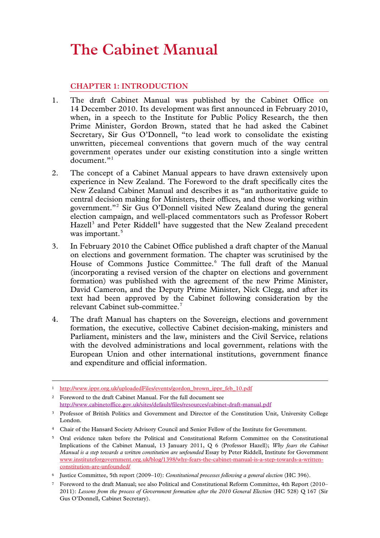# **The Cabinet Manual**

# **CHAPTER 1: INTRODUCTION**

- 1. The draft Cabinet Manual was published by the Cabinet Office on 14 December 2010. Its development was first announced in February 2010, when, in a speech to the Institute for Public Policy Research, the then Prime Minister, Gordon Brown, stated that he had asked the Cabinet Secretary, Sir Gus O'Donnell, "to lead work to consolidate the existing unwritten, piecemeal conventions that govern much of the way central government operates under our existing constitution into a single written document."<sup>[1](#page-2-0)</sup>
- 2. The concept of a Cabinet Manual appears to have drawn extensively upon experience in New Zealand. The Foreword to the draft specifically cites the New Zealand Cabinet Manual and describes it as "an authoritative guide to central decision making for Ministers, their offices, and those working within government."[2](#page-4-0) Sir Gus O'Donnell visited New Zealand during the general election campaign, and well-placed commentators such as Professor Robert Hazell<sup>[3](#page-4-1)</sup> and Peter Riddell<sup>[4](#page-4-2)</sup> have suggested that the New Zealand precedent was important. [5](#page-4-3)
- 3. In February 2010 the Cabinet Office published a draft chapter of the Manual on elections and government formation. The chapter was scrutinised by the House of Commons Justice Committee.<sup>[6](#page-4-4)</sup> The full draft of the Manual (incorporating a revised version of the chapter on elections and government formation) was published with the agreement of the new Prime Minister, David Cameron, and the Deputy Prime Minister, Nick Clegg, and after its text had been approved by the Cabinet following consideration by the relevant Cabinet sub-committee.<sup>[7](#page-4-5)</sup>
- 4. The draft Manual has chapters on the Sovereign, elections and government formation, the executive, collective Cabinet decision-making, ministers and Parliament, ministers and the law, ministers and the Civil Service, relations with the devolved administrations and local government, relations with the European Union and other international institutions, government finance and expenditure and official information.

<span id="page-4-6"></span><sup>1</sup> [http://www.ippr.org.uk/uploadedFiles/events/gordon\\_brown\\_ippr\\_feb\\_10.pdf](http://www.ippr.org.uk/uploadedFiles/events/gordon_brown_ippr_feb_10.pdf) 

<span id="page-4-0"></span><sup>2</sup> Foreword to the draft Cabinet Manual. For the full document see <http://www.cabinetoffice.gov.uk/sites/default/files/resources/cabinet-draft-manual.pdf>

<span id="page-4-1"></span><sup>3</sup> Professor of British Politics and Government and Director of the Constitution Unit, University College London.

<span id="page-4-2"></span><sup>4</sup> Chair of the Hansard Society Advisory Council and Senior Fellow of the Institute for Government.

<span id="page-4-3"></span><sup>5</sup> Oral evidence taken before the Political and Constitutional Reform Committee on the Constitutional Implications of the Cabinet Manual, 13 January 2011, Q 6 (Professor Hazell); *Why fears the Cabinet Manual is a step towards a written constitution are unfounded* Essay by Peter Riddell, Institute for Government [www.instituteforgovernment.org.uk/blog/1398/why-fears-the-cabinet-manual-is-a-step-towards-a-written](http://www.instituteforgovernment.org.uk/blog/1398/why-fears-the-cabinet-manual-is-a-step-towards-a-written-constitution-are-unfounded/)[constitution-are-unfounded/](http://www.instituteforgovernment.org.uk/blog/1398/why-fears-the-cabinet-manual-is-a-step-towards-a-written-constitution-are-unfounded/)

<span id="page-4-4"></span><sup>6</sup> Justice Committee, 5th report (2009–10): *Constitutional processes following a general election* (HC 396).

<span id="page-4-5"></span><sup>7</sup> Foreword to the draft Manual; see also Political and Constitutional Reform Committee, 4th Report (2010– 2011): *Lessons from the process of Government formation after the 2010 General Election* (HC 528) Q 167 (Sir Gus O'Donnell, Cabinet Secretary).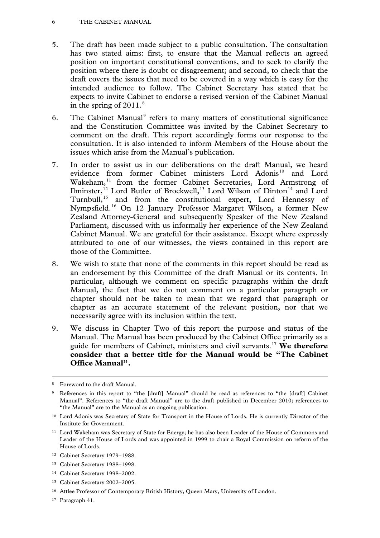#### 6 THE CABINET MANUAL

- 5. The draft has been made subject to a public consultation. The consultation has two stated aims: first, to ensure that the Manual reflects an agreed position on important constitutional conventions, and to seek to clarify the position where there is doubt or disagreement; and second, to check that the draft covers the issues that need to be covered in a way which is easy for the intended audience to follow. The Cabinet Secretary has stated that he expects to invite Cabinet to endorse a revised version of the Cabinet Manual in the spring of  $2011$ .<sup>[8](#page-4-6)</sup>
- 6. The Cabinet Manual<sup>[9](#page-5-0)</sup> refers to many matters of constitutional significance and the Constitution Committee was invited by the Cabinet Secretary to comment on the draft. This report accordingly forms our response to the consultation. It is also intended to inform Members of the House about the issues which arise from the Manual's publication.
- 7. In order to assist us in our deliberations on the draft Manual, we heard evidence from former Cabinet ministers Lord Adonis<sup>[10](#page-5-1)</sup> and Lord Wakeham,<sup>[11](#page-5-2)</sup> from the former Cabinet Secretaries, Lord Armstrong of Ilminster,<sup>[12](#page-5-3)</sup> Lord Butler of Brockwell,<sup>[13](#page-5-4)</sup> Lord Wilson of Dinton<sup>[14](#page-5-5)</sup> and Lord Turnbull,<sup>[15](#page-5-6)</sup> and from the constitutional expert, Lord Hennessy of Nympsfield.[16](#page-5-7) On 12 January Professor Margaret Wilson, a former New Zealand Attorney-General and subsequently Speaker of the New Zealand Parliament, discussed with us informally her experience of the New Zealand Cabinet Manual. We are grateful for their assistance. Except where expressly attributed to one of our witnesses, the views contained in this report are those of the Committee.
- 8. We wish to state that none of the comments in this report should be read as an endorsement by this Committee of the draft Manual or its contents. In particular, although we comment on specific paragraphs within the draft Manual, the fact that we do not comment on a particular paragraph or chapter should not be taken to mean that we regard that paragraph or chapter as an accurate statement of the relevant position, nor that we necessarily agree with its inclusion within the text.
- 9. We discuss in Chapter Two of this report the purpose and status of the Manual. The Manual has been produced by the Cabinet Office primarily as a guide for members of Cabinet, ministers and civil servants.[17](#page-5-8) **We therefore consider that a better title for the Manual would be "The Cabinet Office Manual".**

- <span id="page-5-3"></span><sup>12</sup> Cabinet Secretary 1979–1988.
- <span id="page-5-4"></span><sup>13</sup> Cabinet Secretary 1988–1998.
- <span id="page-5-5"></span><sup>14</sup> Cabinet Secretary 1998–2002.
- <span id="page-5-9"></span><span id="page-5-6"></span><sup>15</sup> Cabinet Secretary 2002–2005.
- <span id="page-5-7"></span><sup>16</sup> Attlee Professor of Contemporary British History, Queen Mary, University of London.
- <span id="page-5-8"></span>17 Paragraph 41.

<sup>8</sup> Foreword to the draft Manual.

<span id="page-5-0"></span>References in this report to "the [draft] Manual" should be read as references to "the [draft] Cabinet Manual". References to "the draft Manual" are to the draft published in December 2010; references to "the Manual" are to the Manual as an ongoing publication.

<span id="page-5-1"></span><sup>&</sup>lt;sup>10</sup> Lord Adonis was Secretary of State for Transport in the House of Lords. He is currently Director of the Institute for Government.

<span id="page-5-2"></span><sup>11</sup> Lord Wakeham was Secretary of State for Energy; he has also been Leader of the House of Commons and Leader of the House of Lords and was appointed in 1999 to chair a Royal Commission on reform of the House of Lords.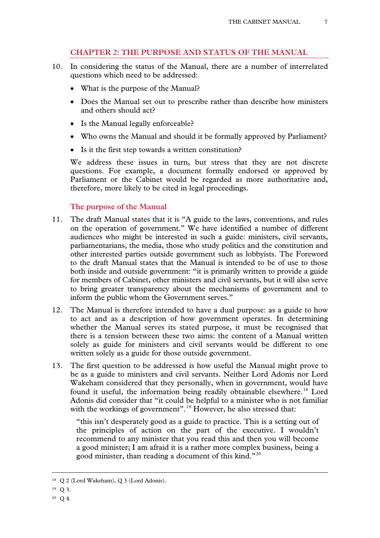# **CHAPTER 2: THE PURPOSE AND STATUS OF THE MANUAL**

- 10. In considering the status of the Manual, there are a number of interrelated questions which need to be addressed:
	- What is the purpose of the Manual?
	- Does the Manual set out to prescribe rather than describe how ministers and others should act?
	- Is the Manual legally enforceable?
	- Who owns the Manual and should it be formally approved by Parliament?
	- Is it the first step towards a written constitution?

We address these issues in turn, but stress that they are not discrete questions. For example, a document formally endorsed or approved by Parliament or the Cabinet would be regarded as more authoritative and, therefore, more likely to be cited in legal proceedings.

## **The purpose of the Manual**

- 11. The draft Manual states that it is "A guide to the laws, conventions, and rules on the operation of government." We have identified a number of different audiences who might be interested in such a guide: ministers, civil servants, parliamentarians, the media, those who study politics and the constitution and other interested parties outside government such as lobbyists. The Foreword to the draft Manual states that the Manual is intended to be of use to those both inside and outside government: "it is primarily written to provide a guide for members of Cabinet, other ministers and civil servants, but it will also serve to bring greater transparency about the mechanisms of government and to inform the public whom the Government serves."
- 12. The Manual is therefore intended to have a dual purpose: as a guide to how to act and as a description of how government operates. In determining whether the Manual serves its stated purpose, it must be recognised that there is a tension between these two aims: the content of a Manual written solely as guide for ministers and civil servants would be different to one written solely as a guide for those outside government.
- 13. The first question to be addressed is how useful the Manual might prove to be as a guide to ministers and civil servants. Neither Lord Adonis nor Lord Wakeham considered that they personally, when in government, would have found it useful, the information being readily obtainable elsewhere.<sup>[18](#page-5-9)</sup> Lord Adonis did consider that "it could be helpful to a minister who is not familiar with the workings of government".<sup>[19](#page-6-0)</sup> However, he also stressed that:

"this isn't desperately good as a guide to practice. This is a setting out of the principles of action on the part of the executive. I wouldn't recommend to any minister that you read this and then you will become a good minister; I am afraid it is a rather more complex business, being a good minister, than reading a document of this kind."[20](#page-6-1)

<span id="page-6-2"></span><sup>18</sup> Q 2 (Lord Wakeham), Q 3 (Lord Adonis).

<span id="page-6-1"></span><span id="page-6-0"></span> $19$  Q 3.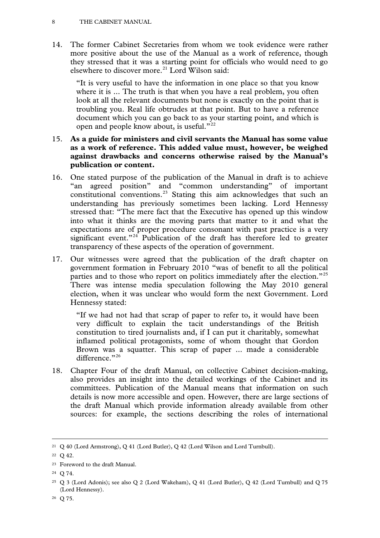14. The former Cabinet Secretaries from whom we took evidence were rather more positive about the use of the Manual as a work of reference, though they stressed that it was a starting point for officials who would need to go elsewhere to discover more.<sup>[21](#page-6-2)</sup> Lord Wilson said:

"It is very useful to have the information in one place so that you know where it is ... The truth is that when you have a real problem, you often look at all the relevant documents but none is exactly on the point that is troubling you. Real life obtrudes at that point. But to have a reference document which you can go back to as your starting point, and which is open and people know about, is useful."<sup>[22](#page-7-0)</sup>

# 15. **As a guide for ministers and civil servants the Manual has some value as a work of reference. This added value must, however, be weighed against drawbacks and concerns otherwise raised by the Manual's publication or content.**

- 16. One stated purpose of the publication of the Manual in draft is to achieve "an agreed position" and "common understanding" of important constitutional conventions.[23](#page-7-1) Stating this aim acknowledges that such an understanding has previously sometimes been lacking. Lord Hennessy stressed that: "The mere fact that the Executive has opened up this window into what it thinks are the moving parts that matter to it and what the expectations are of proper procedure consonant with past practice is a very significant event."<sup>[24](#page-7-2)</sup> Publication of the draft has therefore led to greater transparency of these aspects of the operation of government.
- 17. Our witnesses were agreed that the publication of the draft chapter on government formation in February 2010 "was of benefit to all the political parties and to those who report on politics immediately after the election."<sup>[25](#page-7-3)</sup> There was intense media speculation following the May 2010 general election, when it was unclear who would form the next Government. Lord Hennessy stated:

"If we had not had that scrap of paper to refer to, it would have been very difficult to explain the tacit understandings of the British constitution to tired journalists and, if I can put it charitably, somewhat inflamed political protagonists, some of whom thought that Gordon Brown was a squatter. This scrap of paper ... made a considerable difference."[26](#page-7-4)

18. Chapter Four of the draft Manual, on collective Cabinet decision-making, also provides an insight into the detailed workings of the Cabinet and its committees. Publication of the Manual means that information on such details is now more accessible and open. However, there are large sections of the draft Manual which provide information already available from other sources: for example, the sections describing the roles of international

<sup>21</sup> Q 40 (Lord Armstrong), Q 41 (Lord Butler), Q 42 (Lord Wilson and Lord Turnbull).

<span id="page-7-0"></span><sup>22</sup>  $\Omega$  42.

<span id="page-7-5"></span><span id="page-7-1"></span><sup>23</sup> Foreword to the draft Manual.

<span id="page-7-2"></span><sup>24</sup>  $\Omega$  74.

<span id="page-7-3"></span><sup>25</sup> Q 3 (Lord Adonis); see also Q 2 (Lord Wakeham), Q 41 (Lord Butler), Q 42 (Lord Turnbull) and Q 75 (Lord Hennessy).

<span id="page-7-4"></span><sup>26</sup> Q 75.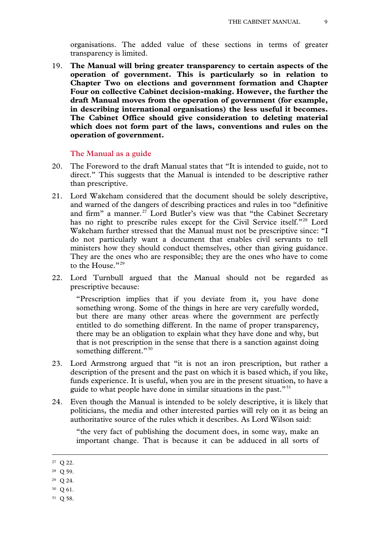organisations. The added value of these sections in terms of greater transparency is limited.

19. **The Manual will bring greater transparency to certain aspects of the operation of government. This is particularly so in relation to Chapter Two on elections and government formation and Chapter Four on collective Cabinet decision-making. However, the further the draft Manual moves from the operation of government (for example, in describing international organisations) the less useful it becomes. The Cabinet Office should give consideration to deleting material which does not form part of the laws, conventions and rules on the operation of government.**

#### **The Manual as a guide**

- 20. The Foreword to the draft Manual states that "It is intended to guide, not to direct." This suggests that the Manual is intended to be descriptive rather than prescriptive.
- 21. Lord Wakeham considered that the document should be solely descriptive, and warned of the dangers of describing practices and rules in too "definitive and firm" a manner. $27$  Lord Butler's view was that "the Cabinet Secretary has no right to prescribe rules except for the Civil Service itself."<sup>[28](#page-8-0)</sup> Lord Wakeham further stressed that the Manual must not be prescriptive since: "I do not particularly want a document that enables civil servants to tell ministers how they should conduct themselves, other than giving guidance. They are the ones who are responsible; they are the ones who have to come to the House."<sup>[29](#page-8-1)</sup>
- 22. Lord Turnbull argued that the Manual should not be regarded as prescriptive because:

"Prescription implies that if you deviate from it, you have done something wrong. Some of the things in here are very carefully worded, but there are many other areas where the government are perfectly entitled to do something different. In the name of proper transparency, there may be an obligation to explain what they have done and why, but that is not prescription in the sense that there is a sanction against doing something different."<sup>[30](#page-8-2)</sup>

- 23. Lord Armstrong argued that "it is not an iron prescription, but rather a description of the present and the past on which it is based which, if you like, funds experience. It is useful, when you are in the present situation, to have a guide to what people have done in similar situations in the past.<sup>"[31](#page-8-3)</sup>
- 24. Even though the Manual is intended to be solely descriptive, it is likely that politicians, the media and other interested parties will rely on it as being an authoritative source of the rules which it describes. As Lord Wilson said:

"the very fact of publishing the document does, in some way, make an important change. That is because it can be adduced in all sorts of

- <span id="page-8-2"></span><sup>30</sup> Q 61.
- <span id="page-8-3"></span><sup>31</sup> Q 58.

<span id="page-8-4"></span><sup>27</sup> Q 22.

<span id="page-8-0"></span><sup>28</sup> Q 59.

<span id="page-8-1"></span><sup>29</sup> Q 24.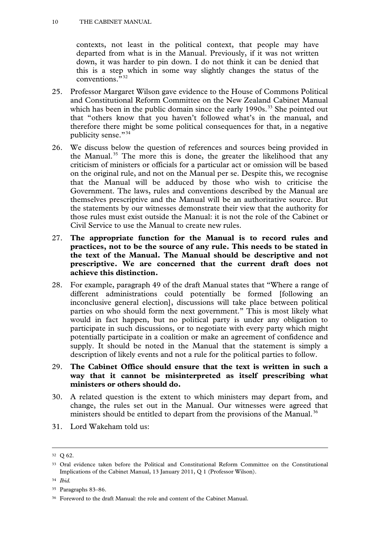contexts, not least in the political context, that people may have departed from what is in the Manual. Previously, if it was not written down, it was harder to pin down. I do not think it can be denied that this is a step which in some way slightly changes the status of the conventions."<sup>[32](#page-8-4)</sup>

- 25. Professor Margaret Wilson gave evidence to the House of Commons Political and Constitutional Reform Committee on the New Zealand Cabinet Manual which has been in the public domain since the early  $1990s$ .<sup>[33](#page-9-0)</sup> She pointed out that "others know that you haven't followed what's in the manual, and therefore there might be some political consequences for that, in a negative publicity sense."[34](#page-9-1)
- 26. We discuss below the question of references and sources being provided in the Manual.<sup>[35](#page-9-2)</sup> The more this is done, the greater the likelihood that any criticism of ministers or officials for a particular act or omission will be based on the original rule, and not on the Manual per se. Despite this, we recognise that the Manual will be adduced by those who wish to criticise the Government. The laws, rules and conventions described by the Manual are themselves prescriptive and the Manual will be an authoritative source. But the statements by our witnesses demonstrate their view that the authority for those rules must exist outside the Manual: it is not the role of the Cabinet or Civil Service to use the Manual to create new rules.
- 27. **The appropriate function for the Manual is to record rules and practices, not to be the source of any rule. This needs to be stated in the text of the Manual. The Manual should be descriptive and not prescriptive. We are concerned that the current draft does not achieve this distinction.**
- 28. For example, paragraph 49 of the draft Manual states that "Where a range of different administrations could potentially be formed [following an inconclusive general election], discussions will take place between political parties on who should form the next government." This is most likely what would in fact happen, but no political party is under any obligation to participate in such discussions, or to negotiate with every party which might potentially participate in a coalition or make an agreement of confidence and supply. It should be noted in the Manual that the statement is simply a description of likely events and not a rule for the political parties to follow.
- 29. **The Cabinet Office should ensure that the text is written in such a way that it cannot be misinterpreted as itself prescribing what ministers or others should do.**
- 30. A related question is the extent to which ministers may depart from, and change, the rules set out in the Manual. Our witnesses were agreed that ministers should be entitled to depart from the provisions of the Manual.<sup>[36](#page-9-3)</sup>
- <span id="page-9-4"></span>31. Lord Wakeham told us:

<sup>32</sup> Q 62.

<span id="page-9-0"></span><sup>&</sup>lt;sup>33</sup> Oral evidence taken before the Political and Constitutional Reform Committee on the Constitutional Implications of the Cabinet Manual, 13 January 2011, Q 1 (Professor Wilson).

<span id="page-9-1"></span><sup>34</sup> *Ibid.*

<span id="page-9-2"></span><sup>35</sup> Paragraphs 83–86.

<span id="page-9-3"></span><sup>36</sup> Foreword to the draft Manual: the role and content of the Cabinet Manual.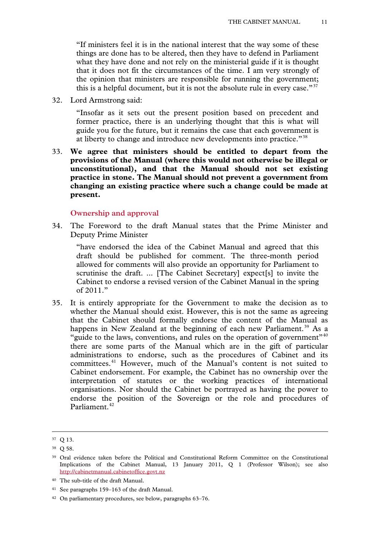"If ministers feel it is in the national interest that the way some of these things are done has to be altered, then they have to defend in Parliament what they have done and not rely on the ministerial guide if it is thought that it does not fit the circumstances of the time. I am very strongly of the opinion that ministers are responsible for running the government; this is a helpful document, but it is not the absolute rule in every case."<sup>[37](#page-9-4)</sup>

32. Lord Armstrong said:

"Insofar as it sets out the present position based on precedent and former practice, there is an underlying thought that this is what will guide you for the future, but it remains the case that each government is at liberty to change and introduce new developments into practice."<sup>[38](#page-10-0)</sup>

33. **We agree that ministers should be entitled to depart from the provisions of the Manual (where this would not otherwise be illegal or unconstitutional), and that the Manual should not set existing practice in stone. The Manual should not prevent a government from changing an existing practice where such a change could be made at present.**

# **Ownership and approval**

34. The Foreword to the draft Manual states that the Prime Minister and Deputy Prime Minister

"have endorsed the idea of the Cabinet Manual and agreed that this draft should be published for comment. The three-month period allowed for comments will also provide an opportunity for Parliament to scrutinise the draft. ... [The Cabinet Secretary] expect[s] to invite the Cabinet to endorse a revised version of the Cabinet Manual in the spring of 2011."

35. It is entirely appropriate for the Government to make the decision as to whether the Manual should exist. However, this is not the same as agreeing that the Cabinet should formally endorse the content of the Manual as happens in New Zealand at the beginning of each new Parliament.<sup>[39](#page-10-1)</sup> As a "guide to the laws, conventions, and rules on the operation of government"<sup>[40](#page-10-2)</sup> there are some parts of the Manual which are in the gift of particular administrations to endorse, such as the procedures of Cabinet and its committees.[41](#page-10-3) However, much of the Manual's content is not suited to Cabinet endorsement. For example, the Cabinet has no ownership over the interpretation of statutes or the working practices of international organisations. Nor should the Cabinet be portrayed as having the power to endorse the position of the Sovereign or the role and procedures of Parliament.<sup>[42](#page-10-4)</sup>

<span id="page-10-5"></span><sup>37</sup> Q 13.

<span id="page-10-0"></span><sup>38</sup> Q 58.

<span id="page-10-1"></span><sup>39</sup> Oral evidence taken before the Political and Constitutional Reform Committee on the Constitutional Implications of the Cabinet Manual, 13 January 2011, Q 1 (Professor Wilson); see also [http://cabinetmanual.cabinetoffice.govt.nz](http://cabinetmanual.cabinetoffice.govt.nz/)

<span id="page-10-2"></span><sup>40</sup> The sub-title of the draft Manual.

<span id="page-10-3"></span><sup>41</sup> See paragraphs 159–163 of the draft Manual.

<span id="page-10-4"></span><sup>42</sup> On parliamentary procedures, see below, paragraphs 63–76.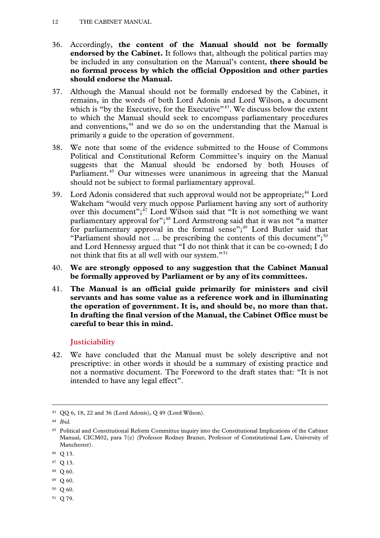#### 12 THE CABINET MANUAL

- 36. Accordingly, **the content of the Manual should not be formally endorsed by the Cabinet.** It follows that, although the political parties may be included in any consultation on the Manual's content, **there should be no formal process by which the official Opposition and other parties should endorse the Manual.**
- 37. Although the Manual should not be formally endorsed by the Cabinet, it remains, in the words of both Lord Adonis and Lord Wilson, a document which is "by the Executive, for the Executive"<sup>[43](#page-10-5)</sup>. We discuss below the extent to which the Manual should seek to encompass parliamentary procedures and conventions,<sup>[44](#page-11-0)</sup> and we do so on the understanding that the Manual is primarily a guide to the operation of government.
- 38. We note that some of the evidence submitted to the House of Commons Political and Constitutional Reform Committee's inquiry on the Manual suggests that the Manual should be endorsed by both Houses of Parliament.<sup>[45](#page-11-1)</sup> Our witnesses were unanimous in agreeing that the Manual should not be subject to formal parliamentary approval.
- 39. Lord Adonis considered that such approval would not be appropriate; $46$  Lord Wakeham "would very much oppose Parliament having any sort of authority over this document"; $47$  Lord Wilson said that "It is not something we want parliamentary approval for";<sup>[48](#page-11-4)</sup> Lord Armstrong said that it was not "a matter for parliamentary approval in the formal sense"; $49$  Lord Butler said that "Parliament should not ... be prescribing the contents of this document";<sup>[50](#page-11-6)</sup> and Lord Hennessy argued that "I do not think that it can be co-owned; I do not think that fits at all well with our system."<sup>[51](#page-11-7)</sup>
- 40. **We are strongly opposed to any suggestion that the Cabinet Manual be formally approved by Parliament or by any of its committees.**
- 41. **The Manual is an official guide primarily for ministers and civil servants and has some value as a reference work and in illuminating the operation of government. It is, and should be, no more than that. In drafting the final version of the Manual, the Cabinet Office must be careful to bear this in mind.**

# **Justiciability**

42. We have concluded that the Manual must be solely descriptive and not prescriptive: in other words it should be a summary of existing practice and not a normative document. The Foreword to the draft states that: "It is not intended to have any legal effect".

- <span id="page-11-4"></span><sup>48</sup> Q 60.
- <span id="page-11-5"></span><sup>49</sup> Q 60.
- <span id="page-11-6"></span><sup>50</sup> Q 60.
- <span id="page-11-7"></span><sup>51</sup> Q 79.

<span id="page-11-8"></span><sup>43</sup> QQ 6, 18, 22 and 36 (Lord Adonis), Q 49 (Lord Wilson).

<span id="page-11-0"></span><sup>44</sup> *Ibid*.

<span id="page-11-1"></span><sup>45</sup> Political and Constitutional Reform Committee inquiry into the Constitutional Implications of the Cabinet Manual, CICM02, para 7(e) (Professor Rodney Brazier, Professor of Constitutional Law, University of Manchester).

<span id="page-11-2"></span><sup>46</sup> Q 13.

<span id="page-11-3"></span><sup>47</sup> Q 13.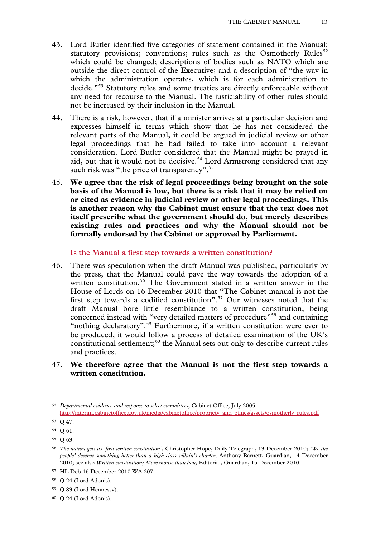- 43. Lord Butler identified five categories of statement contained in the Manual: statutory provisions; conventions; rules such as the Osmotherly Rules<sup>[52](#page-11-8)</sup> which could be changed; descriptions of bodies such as NATO which are outside the direct control of the Executive; and a description of "the way in which the administration operates, which is for each administration to decide."[53](#page-12-0) Statutory rules and some treaties are directly enforceable without any need for recourse to the Manual. The justiciability of other rules should not be increased by their inclusion in the Manual.
- 44. There is a risk, however, that if a minister arrives at a particular decision and expresses himself in terms which show that he has not considered the relevant parts of the Manual, it could be argued in judicial review or other legal proceedings that he had failed to take into account a relevant consideration. Lord Butler considered that the Manual might be prayed in aid, but that it would not be decisive.<sup>[54](#page-12-1)</sup> Lord Armstrong considered that any such risk was "the price of transparency".<sup>[55](#page-12-2)</sup>
- 45. **We agree that the risk of legal proceedings being brought on the sole basis of the Manual is low, but there is a risk that it may be relied on or cited as evidence in judicial review or other legal proceedings. This is another reason why the Cabinet must ensure that the text does not itself prescribe what the government should do, but merely describes existing rules and practices and why the Manual should not be formally endorsed by the Cabinet or approved by Parliament.**

### **Is the Manual a first step towards a written constitution?**

- 46. There was speculation when the draft Manual was published, particularly by the press, that the Manual could pave the way towards the adoption of a written constitution.<sup>[56](#page-12-3)</sup> The Government stated in a written answer in the House of Lords on 16 December 2010 that "The Cabinet manual is not the first step towards a codified constitution".<sup>[57](#page-12-4)</sup> Our witnesses noted that the draft Manual bore little resemblance to a written constitution, being concerned instead with "very detailed matters of procedure"<sup>[58](#page-12-5)</sup> and containing "nothing declaratory".<sup>[59](#page-12-6)</sup> Furthermore, if a written constitution were ever to be produced, it would follow a process of detailed examination of the UK's constitutional settlement;<sup>[60](#page-12-7)</sup> the Manual sets out only to describe current rules and practices.
- 47. **We therefore agree that the Manual is not the first step towards a written constitution.**

<sup>52</sup> *Departmental evidence and response to select committees*, Cabinet Office, July 2005 [http://interim.cabinetoffice.gov.uk/media/cabinetoffice/propriety\\_and\\_ethics/assets/osmotherly\\_rules.pdf](http://interim.cabinetoffice.gov.uk/media/cabinetoffice/propriety_and_ethics/assets/osmotherly_rules.pdf)

<span id="page-12-0"></span><sup>53</sup> Q 47.

<span id="page-12-1"></span><sup>54</sup> Q 61.

<span id="page-12-2"></span><sup>55</sup> Q 63.

<span id="page-12-3"></span><sup>56</sup> *The nation gets its 'first written constitution',* Christopher Hope, Daily Telegraph, 13 December 2010; *'We the people' deserve something better than a high-class villain's charter,* Anthony Barnett, Guardian, 14 December 2010; see also *Written constitution; More mouse than lion,* Editorial, Guardian, 15 December 2010.

<span id="page-12-4"></span><sup>57</sup> HL Deb 16 December 2010 WA 207.

<span id="page-12-5"></span><sup>58</sup> Q 24 (Lord Adonis).

<span id="page-12-6"></span><sup>59</sup> Q 83 (Lord Hennessy).

<span id="page-12-7"></span><sup>60</sup> Q 24 (Lord Adonis).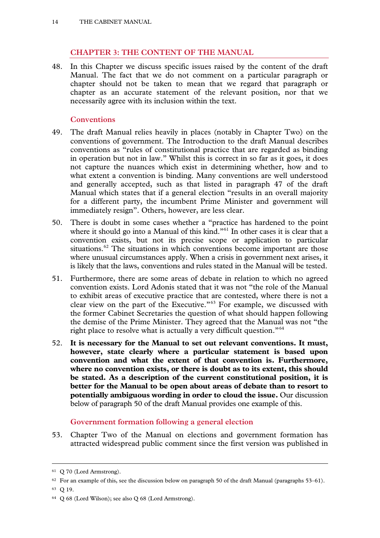# **CHAPTER 3: THE CONTENT OF THE MANUAL**

48. In this Chapter we discuss specific issues raised by the content of the draft Manual. The fact that we do not comment on a particular paragraph or chapter should not be taken to mean that we regard that paragraph or chapter as an accurate statement of the relevant position, nor that we necessarily agree with its inclusion within the text.

# **Conventions**

- 49. The draft Manual relies heavily in places (notably in Chapter Two) on the conventions of government. The Introduction to the draft Manual describes conventions as "rules of constitutional practice that are regarded as binding in operation but not in law." Whilst this is correct in so far as it goes, it does not capture the nuances which exist in determining whether, how and to what extent a convention is binding. Many conventions are well understood and generally accepted, such as that listed in paragraph 47 of the draft Manual which states that if a general election "results in an overall majority for a different party, the incumbent Prime Minister and government will immediately resign". Others, however, are less clear.
- 50. There is doubt in some cases whether a "practice has hardened to the point where it should go into a Manual of this kind."<sup>[61](#page-12-4)</sup> In other cases it is clear that a convention exists, but not its precise scope or application to particular situations.<sup>[62](#page-13-0)</sup> The situations in which conventions become important are those where unusual circumstances apply. When a crisis in government next arises, it is likely that the laws, conventions and rules stated in the Manual will be tested.
- 51. Furthermore, there are some areas of debate in relation to which no agreed convention exists. Lord Adonis stated that it was not "the role of the Manual to exhibit areas of executive practice that are contested, where there is not a clear view on the part of the Executive."[63](#page-13-1) For example, we discussed with the former Cabinet Secretaries the question of what should happen following the demise of the Prime Minister. They agreed that the Manual was not "the right place to resolve what is actually a very difficult question."<sup>[64](#page-13-2)</sup>
- 52. **It is necessary for the Manual to set out relevant conventions. It must, however, state clearly where a particular statement is based upon convention and what the extent of that convention is. Furthermore, where no convention exists, or there is doubt as to its extent, this should be stated. As a description of the current constitutional position, it is better for the Manual to be open about areas of debate than to resort to potentially ambiguous wording in order to cloud the issue.** Our discussion below of paragraph 50 of the draft Manual provides one example of this.

# **Government formation following a general election**

<span id="page-13-3"></span>53. Chapter Two of the Manual on elections and government formation has attracted widespread public comment since the first version was published in

<sup>61</sup> Q 70 (Lord Armstrong).

 $62$  For an example of this, see the discussion below on paragraph 50 of the draft Manual (paragraphs 53–61).

<span id="page-13-1"></span><span id="page-13-0"></span><sup>63</sup> Q 19.

<span id="page-13-2"></span><sup>64</sup> Q 68 (Lord Wilson); see also Q 68 (Lord Armstrong).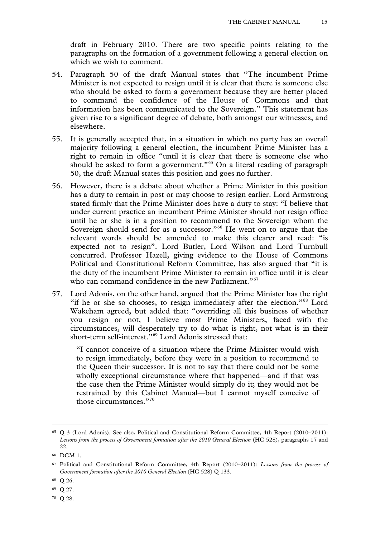draft in February 2010. There are two specific points relating to the paragraphs on the formation of a government following a general election on which we wish to comment.

- 54. Paragraph 50 of the draft Manual states that "The incumbent Prime Minister is not expected to resign until it is clear that there is someone else who should be asked to form a government because they are better placed to command the confidence of the House of Commons and that information has been communicated to the Sovereign." This statement has given rise to a significant degree of debate, both amongst our witnesses, and elsewhere.
- 55. It is generally accepted that, in a situation in which no party has an overall majority following a general election, the incumbent Prime Minister has a right to remain in office "until it is clear that there is someone else who should be asked to form a government."<sup>[65](#page-13-3)</sup> On a literal reading of paragraph 50, the draft Manual states this position and goes no further.
- 56. However, there is a debate about whether a Prime Minister in this position has a duty to remain in post or may choose to resign earlier. Lord Armstrong stated firmly that the Prime Minister does have a duty to stay: "I believe that under current practice an incumbent Prime Minister should not resign office until he or she is in a position to recommend to the Sovereign whom the Sovereign should send for as a successor."<sup>[66](#page-14-0)</sup> He went on to argue that the relevant words should be amended to make this clearer and read: "is expected not to resign". Lord Butler, Lord Wilson and Lord Turnbull concurred. Professor Hazell, giving evidence to the House of Commons Political and Constitutional Reform Committee, has also argued that "it is the duty of the incumbent Prime Minister to remain in office until it is clear who can command confidence in the new Parliament."<sup>[67](#page-14-1)</sup>
- 57. Lord Adonis, on the other hand, argued that the Prime Minister has the right "if he or she so chooses, to resign immediately after the election."[68](#page-14-2) Lord Wakeham agreed, but added that: "overriding all this business of whether you resign or not, I believe most Prime Ministers, faced with the circumstances, will desperately try to do what is right, not what is in their short-term self-interest."[69](#page-14-3) Lord Adonis stressed that:

"I cannot conceive of a situation where the Prime Minister would wish to resign immediately, before they were in a position to recommend to the Queen their successor. It is not to say that there could not be some wholly exceptional circumstance where that happened—and if that was the case then the Prime Minister would simply do it; they would not be restrained by this Cabinet Manual—but I cannot myself conceive of those circumstances."[70](#page-14-4)

<span id="page-14-5"></span><sup>65</sup> Q 3 (Lord Adonis). See also, Political and Constitutional Reform Committee, 4th Report (2010–2011): *Lessons from the process of Government formation after the 2010 General Election* (HC 528), paragraphs 17 and 22.

<span id="page-14-0"></span><sup>66</sup> DCM 1.

<span id="page-14-1"></span><sup>67</sup> Political and Constitutional Reform Committee, 4th Report (2010–2011): *Lessons from the process of Government formation after the 2010 General Election* (HC 528) Q 133.

<span id="page-14-2"></span><sup>68</sup> Q 26.

<span id="page-14-3"></span><sup>69</sup> Q 27.

<span id="page-14-4"></span><sup>70</sup> Q 28.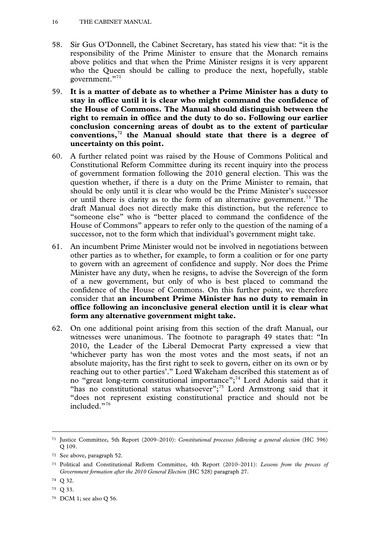- 58. Sir Gus O'Donnell, the Cabinet Secretary, has stated his view that: "it is the responsibility of the Prime Minister to ensure that the Monarch remains above politics and that when the Prime Minister resigns it is very apparent who the Queen should be calling to produce the next, hopefully, stable government."<sup>[71](#page-14-5)</sup>
- 59. **It is a matter of debate as to whether a Prime Minister has a duty to stay in office until it is clear who might command the confidence of the House of Commons. The Manual should distinguish between the right to remain in office and the duty to do so. Following our earlier conclusion concerning areas of doubt as to the extent of particular conventions,[72](#page-15-0) the Manual should state that there is a degree of uncertainty on this point.**
- 60. A further related point was raised by the House of Commons Political and Constitutional Reform Committee during its recent inquiry into the process of government formation following the 2010 general election. This was the question whether, if there is a duty on the Prime Minister to remain, that should be only until it is clear who would be the Prime Minister's successor or until there is clarity as to the form of an alternative government.<sup>[73](#page-15-1)</sup> The draft Manual does not directly make this distinction, but the reference to "someone else" who is "better placed to command the confidence of the House of Commons" appears to refer only to the question of the naming of a successor, not to the form which that individual's government might take.
- 61. An incumbent Prime Minister would not be involved in negotiations between other parties as to whether, for example, to form a coalition or for one party to govern with an agreement of confidence and supply. Nor does the Prime Minister have any duty, when he resigns, to advise the Sovereign of the form of a new government, but only of who is best placed to command the confidence of the House of Commons. On this further point, we therefore consider that **an incumbent Prime Minister has no duty to remain in office following an inconclusive general election until it is clear what form any alternative government might take.**
- 62. On one additional point arising from this section of the draft Manual, our witnesses were unanimous. The footnote to paragraph 49 states that: "In 2010, the Leader of the Liberal Democrat Party expressed a view that 'whichever party has won the most votes and the most seats, if not an absolute majority, has the first right to seek to govern, either on its own or by reaching out to other parties'." Lord Wakeham described this statement as of no "great long-term constitutional importance";[74](#page-15-2) Lord Adonis said that it "has no constitutional status whatsoever";<sup>[75](#page-15-3)</sup> Lord Armstrong said that it "does not represent existing constitutional practice and should not be included."[76](#page-15-4)

<span id="page-15-5"></span><sup>71</sup> Justice Committee, 5th Report (2009–2010): *Constitutional processes following a general election* (HC 396) Q 109.

<span id="page-15-0"></span><sup>72</sup> See above, paragraph 52.

<span id="page-15-1"></span><sup>73</sup> Political and Constitutional Reform Committee, 4th Report (2010–2011): *Lessons from the process of Government formation after the 2010 General Election* (HC 528) paragraph 27.

<span id="page-15-2"></span><sup>74</sup> Q 32.

<span id="page-15-3"></span><sup>75</sup> Q 33.

<span id="page-15-4"></span><sup>76</sup> DCM 1; see also Q 56.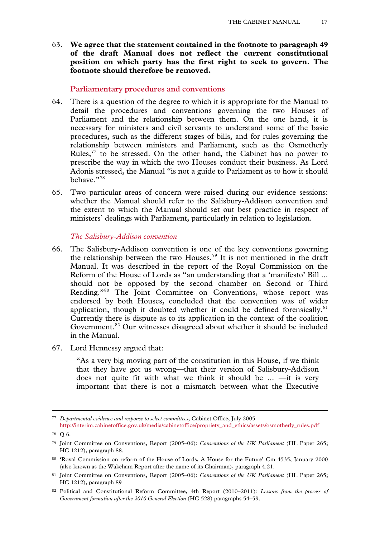63. **We agree that the statement contained in the footnote to paragraph 49 of the draft Manual does not reflect the current constitutional position on which party has the first right to seek to govern. The footnote should therefore be removed.**

# **Parliamentary procedures and conventions**

- 64. There is a question of the degree to which it is appropriate for the Manual to detail the procedures and conventions governing the two Houses of Parliament and the relationship between them. On the one hand, it is necessary for ministers and civil servants to understand some of the basic procedures, such as the different stages of bills, and for rules governing the relationship between ministers and Parliament, such as the Osmotherly Rules, $^{77}$  $^{77}$  $^{77}$  to be stressed. On the other hand, the Cabinet has no power to prescribe the way in which the two Houses conduct their business. As Lord Adonis stressed, the Manual "is not a guide to Parliament as to how it should behave."[78](#page-16-0)
- 65. Two particular areas of concern were raised during our evidence sessions: whether the Manual should refer to the Salisbury-Addison convention and the extent to which the Manual should set out best practice in respect of ministers' dealings with Parliament, particularly in relation to legislation.

### *The Salisbury-Addison convention*

- 66. The Salisbury-Addison convention is one of the key conventions governing the relationship between the two Houses.[79](#page-16-1) It is not mentioned in the draft Manual. It was described in the report of the Royal Commission on the Reform of the House of Lords as "an understanding that a 'manifesto' Bill ... should not be opposed by the second chamber on Second or Third Reading."<sup>[80](#page-16-2)</sup> The Joint Committee on Conventions, whose report was endorsed by both Houses, concluded that the convention was of wider application, though it doubted whether it could be defined forensically. $81$ Currently there is dispute as to its application in the context of the coalition Government.<sup>[82](#page-16-4)</sup> Our witnesses disagreed about whether it should be included in the Manual.
- 67. Lord Hennessy argued that:

"As a very big moving part of the constitution in this House, if we think that they have got us wrong—that their version of Salisbury-Addison does not quite fit with what we think it should be  $\ldots$  —it is very important that there is not a mismatch between what the Executive

<sup>77</sup> *Departmental evidence and response to select committees*, Cabinet Office, July 2005

[http://interim.cabinetoffice.gov.uk/media/cabinetoffice/propriety\\_and\\_ethics/assets/osmotherly\\_rules.pdf](http://interim.cabinetoffice.gov.uk/media/cabinetoffice/propriety_and_ethics/assets/osmotherly_rules.pdf)

<span id="page-16-5"></span><span id="page-16-0"></span><sup>78</sup> Q 6.

<span id="page-16-1"></span><sup>79</sup> Joint Committee on Conventions, Report (2005–06): *Conventions of the UK Parliament* (HL Paper 265; HC 1212), paragraph 88.

<span id="page-16-2"></span><sup>80 &#</sup>x27;Royal Commission on reform of the House of Lords, A House for the Future' Cm 4535, January 2000 (also known as the Wakeham Report after the name of its Chairman), paragraph 4.21.

<span id="page-16-3"></span><sup>81</sup> Joint Committee on Conventions, Report (2005–06): *Conventions of the UK Parliament* (HL Paper 265; HC 1212), paragraph 89

<span id="page-16-4"></span><sup>82</sup> Political and Constitutional Reform Committee, 4th Report (2010–2011): *Lessons from the process of Government formation after the 2010 General Election* (HC 528) paragraphs 54–59.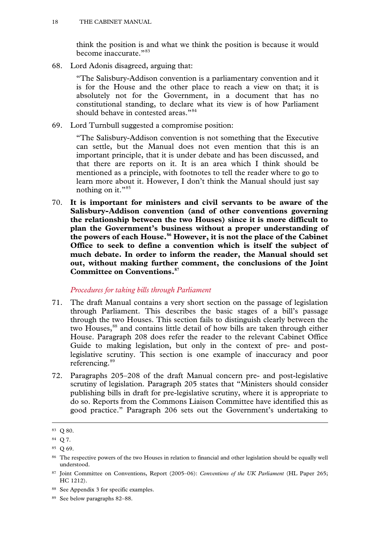think the position is and what we think the position is because it would become inaccurate."[83](#page-16-5)

68. Lord Adonis disagreed, arguing that:

"The Salisbury-Addison convention is a parliamentary convention and it is for the House and the other place to reach a view on that; it is absolutely not for the Government, in a document that has no constitutional standing, to declare what its view is of how Parliament should behave in contested areas."<sup>[84](#page-17-0)</sup>

69. Lord Turnbull suggested a compromise position:

"The Salisbury-Addison convention is not something that the Executive can settle, but the Manual does not even mention that this is an important principle, that it is under debate and has been discussed, and that there are reports on it. It is an area which I think should be mentioned as a principle, with footnotes to tell the reader where to go to learn more about it. However, I don't think the Manual should just say nothing on it."<sup>[85](#page-17-1)</sup>

70. **It is important for ministers and civil servants to be aware of the Salisbury-Addison convention (and of other conventions governing the relationship between the two Houses) since it is more difficult to plan the Government's business without a proper understanding of the powers of each House.[86](#page-17-2) However, it is not the place of the Cabinet Office to seek to define a convention which is itself the subject of much debate. In order to inform the reader, the Manual should set out, without making further comment, the conclusions of the Joint Committee on Conventions.[87](#page-17-3)**

### *Procedures for taking bills through Parliament*

- 71. The draft Manual contains a very short section on the passage of legislation through Parliament. This describes the basic stages of a bill's passage through the two Houses. This section fails to distinguish clearly between the two Houses,<sup>[88](#page-17-4)</sup> and contains little detail of how bills are taken through either House. Paragraph 208 does refer the reader to the relevant Cabinet Office Guide to making legislation, but only in the context of pre- and postlegislative scrutiny. This section is one example of inaccuracy and poor referencing.<sup>[89](#page-17-5)</sup>
- 72. Paragraphs 205–208 of the draft Manual concern pre- and post-legislative scrutiny of legislation. Paragraph 205 states that "Ministers should consider publishing bills in draft for pre-legislative scrutiny, where it is appropriate to do so. Reports from the Commons Liaison Committee have identified this as good practice." Paragraph 206 sets out the Government's undertaking to

<sup>83</sup> Q 80.

<span id="page-17-6"></span><span id="page-17-0"></span><sup>84</sup> Q 7.

<span id="page-17-1"></span><sup>85</sup> Q 69.

<span id="page-17-2"></span><sup>86</sup> The respective powers of the two Houses in relation to financial and other legislation should be equally well understood.

<span id="page-17-3"></span><sup>87</sup> Joint Committee on Conventions, Report (2005–06): *Conventions of the UK Parliament* (HL Paper 265; HC 1212).

<span id="page-17-4"></span><sup>88</sup> See Appendix 3 for specific examples.

<span id="page-17-5"></span><sup>89</sup> See below paragraphs 82–88.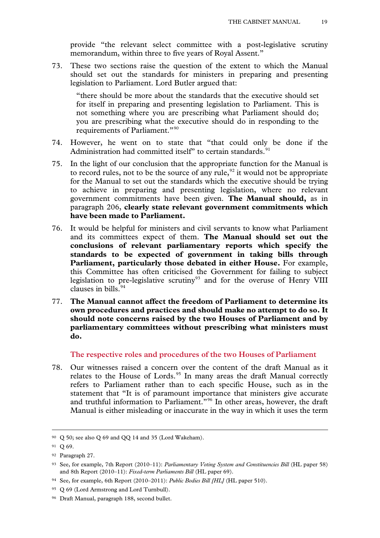provide "the relevant select committee with a post-legislative scrutiny memorandum, within three to five years of Royal Assent."

73. These two sections raise the question of the extent to which the Manual should set out the standards for ministers in preparing and presenting legislation to Parliament. Lord Butler argued that:

"there should be more about the standards that the executive should set for itself in preparing and presenting legislation to Parliament. This is not something where you are prescribing what Parliament should do; you are prescribing what the executive should do in responding to the requirements of Parliament."<sup>[90](#page-17-6)</sup>

- 74. However, he went on to state that "that could only be done if the Administration had committed itself" to certain standards.<sup>[91](#page-18-0)</sup>
- 75. In the light of our conclusion that the appropriate function for the Manual is to record rules, not to be the source of any rule,  $92$  it would not be appropriate for the Manual to set out the standards which the executive should be trying to achieve in preparing and presenting legislation, where no relevant government commitments have been given. **The Manual should,** as in paragraph 206, **clearly state relevant government commitments which have been made to Parliament.**
- 76. It would be helpful for ministers and civil servants to know what Parliament and its committees expect of them. **The Manual should set out the conclusions of relevant parliamentary reports which specify the standards to be expected of government in taking bills through Parliament, particularly those debated in either House.** For example, this Committee has often criticised the Government for failing to subject legislation to pre-legislative scrutiny<sup>[93](#page-18-2)</sup> and for the overuse of Henry VIII clauses in bills.[94](#page-18-3)
- 77. **The Manual cannot affect the freedom of Parliament to determine its own procedures and practices and should make no attempt to do so. It should note concerns raised by the two Houses of Parliament and by parliamentary committees without prescribing what ministers must do.**

# **The respective roles and procedures of the two Houses of Parliament**

78. Our witnesses raised a concern over the content of the draft Manual as it relates to the House of Lords.<sup>[95](#page-18-4)</sup> In many areas the draft Manual correctly refers to Parliament rather than to each specific House, such as in the statement that "It is of paramount importance that ministers give accurate and truthful information to Parliament."[96](#page-18-5) In other areas, however, the draft Manual is either misleading or inaccurate in the way in which it uses the term

<sup>90</sup> Q 50; see also Q 69 and QQ 14 and 35 (Lord Wakeham).

<span id="page-18-0"></span><sup>91</sup> Q 69.

<span id="page-18-1"></span><sup>92</sup> Paragraph 27.

<span id="page-18-6"></span><span id="page-18-2"></span><sup>93</sup> See, for example, 7th Report (2010–11): *Parliamentary Voting System and Constituencies Bill* (HL paper 58) and 8th Report (2010–11): *Fixed-term Parliaments Bill* (HL paper 69).

<span id="page-18-3"></span><sup>94</sup> See, for example, 6th Report (2010–2011): *Public Bodies Bill [HL]* (HL paper 510).

<span id="page-18-4"></span><sup>&</sup>lt;sup>95</sup> Q 69 (Lord Armstrong and Lord Turnbull).

<span id="page-18-5"></span><sup>96</sup> Draft Manual, paragraph 188, second bullet.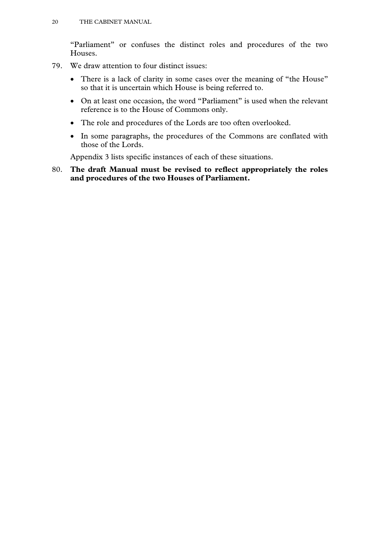"Parliament" or confuses the distinct roles and procedures of the two Houses.

- 79. We draw attention to four distinct issues:
	- There is a lack of clarity in some cases over the meaning of "the House" so that it is uncertain which House is being referred to.
	- On at least one occasion, the word "Parliament" is used when the relevant reference is to the House of Commons only.
	- The role and procedures of the Lords are too often overlooked.
	- In some paragraphs, the procedures of the Commons are conflated with those of the Lords.

Appendix 3 lists specific instances of each of these situations.

80. **The draft Manual must be revised to reflect appropriately the roles and procedures of the two Houses of Parliament.**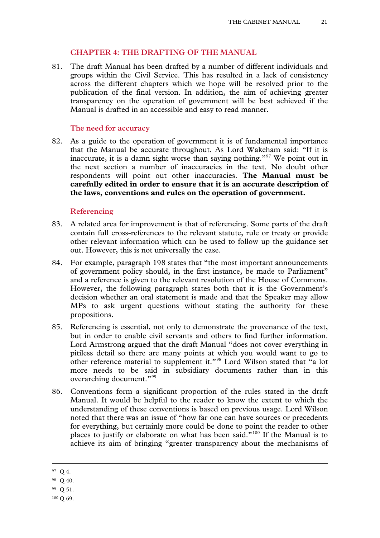# **CHAPTER 4: THE DRAFTING OF THE MANUAL**

81. The draft Manual has been drafted by a number of different individuals and groups within the Civil Service. This has resulted in a lack of consistency across the different chapters which we hope will be resolved prior to the publication of the final version. In addition, the aim of achieving greater transparency on the operation of government will be best achieved if the Manual is drafted in an accessible and easy to read manner.

#### **The need for accuracy**

82. As a guide to the operation of government it is of fundamental importance that the Manual be accurate throughout. As Lord Wakeham said: "If it is inaccurate, it is a damn sight worse than saying nothing."[97](#page-18-6) We point out in the next section a number of inaccuracies in the text. No doubt other respondents will point out other inaccuracies. **The Manual must be carefully edited in order to ensure that it is an accurate description of the laws, conventions and rules on the operation of government.**

### **Referencing**

- 83. A related area for improvement is that of referencing. Some parts of the draft contain full cross-references to the relevant statute, rule or treaty or provide other relevant information which can be used to follow up the guidance set out. However, this is not universally the case.
- 84. For example, paragraph 198 states that "the most important announcements of government policy should, in the first instance, be made to Parliament" and a reference is given to the relevant resolution of the House of Commons. However, the following paragraph states both that it is the Government's decision whether an oral statement is made and that the Speaker may allow MPs to ask urgent questions without stating the authority for these propositions.
- 85. Referencing is essential, not only to demonstrate the provenance of the text, but in order to enable civil servants and others to find further information. Lord Armstrong argued that the draft Manual "does not cover everything in pitiless detail so there are many points at which you would want to go to other reference material to supplement it."[98](#page-20-0) Lord Wilson stated that "a lot more needs to be said in subsidiary documents rather than in this overarching document."<sup>[99](#page-20-1)</sup>
- 86. Conventions form a significant proportion of the rules stated in the draft Manual. It would be helpful to the reader to know the extent to which the understanding of these conventions is based on previous usage. Lord Wilson noted that there was an issue of "how far one can have sources or precedents for everything, but certainly more could be done to point the reader to other places to justify or elaborate on what has been said."[100](#page-20-2) If the Manual is to achieve its aim of bringing "greater transparency about the mechanisms of

<span id="page-20-3"></span><sup>97</sup> Q 4.

<sup>98</sup> Q 40.

<span id="page-20-1"></span><span id="page-20-0"></span><sup>99</sup> Q 51.

<span id="page-20-2"></span><sup>100</sup> Q 69.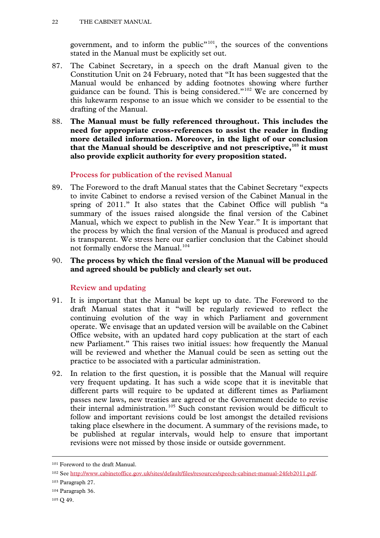government, and to inform the public<sup>"[101](#page-20-3)</sup>, the sources of the conventions stated in the Manual must be explicitly set out.

- 87. The Cabinet Secretary, in a speech on the draft Manual given to the Constitution Unit on 24 February, noted that "It has been suggested that the Manual would be enhanced by adding footnotes showing where further guidance can be found. This is being considered."[102](#page-21-0) We are concerned by this lukewarm response to an issue which we consider to be essential to the drafting of the Manual.
- 88. **The Manual must be fully referenced throughout. This includes the need for appropriate cross-references to assist the reader in finding more detailed information. Moreover, in the light of our conclusion that the Manual should be descriptive and not prescriptive,[103](#page-21-1) it must also provide explicit authority for every proposition stated.**

# **Process for publication of the revised Manual**

- 89. The Foreword to the draft Manual states that the Cabinet Secretary "expects to invite Cabinet to endorse a revised version of the Cabinet Manual in the spring of 2011." It also states that the Cabinet Office will publish "a summary of the issues raised alongside the final version of the Cabinet Manual, which we expect to publish in the New Year." It is important that the process by which the final version of the Manual is produced and agreed is transparent. We stress here our earlier conclusion that the Cabinet should not formally endorse the Manual. [104](#page-21-2)
- 90. **The process by which the final version of the Manual will be produced and agreed should be publicly and clearly set out.**

# **Review and updating**

- 91. It is important that the Manual be kept up to date. The Foreword to the draft Manual states that it "will be regularly reviewed to reflect the continuing evolution of the way in which Parliament and government operate. We envisage that an updated version will be available on the Cabinet Office website, with an updated hard copy publication at the start of each new Parliament." This raises two initial issues: how frequently the Manual will be reviewed and whether the Manual could be seen as setting out the practice to be associated with a particular administration.
- 92. In relation to the first question, it is possible that the Manual will require very frequent updating. It has such a wide scope that it is inevitable that different parts will require to be updated at different times as Parliament passes new laws, new treaties are agreed or the Government decide to revise their internal administration.<sup>[105](#page-21-3)</sup> Such constant revision would be difficult to follow and important revisions could be lost amongst the detailed revisions taking place elsewhere in the document. A summary of the revisions made, to be published at regular intervals, would help to ensure that important revisions were not missed by those inside or outside government.

<sup>101</sup> Foreword to the draft Manual.

<span id="page-21-0"></span><sup>102</sup> See [http://www.cabinetoffice.gov.uk/sites/default/files/resources/speech-cabinet-manual-24feb2011.pdf.](http://www.cabinetoffice.gov.uk/sites/default/files/resources/speech-cabinet-manual-24feb2011.pdf)

<span id="page-21-1"></span><sup>103</sup> Paragraph 27.

<span id="page-21-2"></span><sup>104</sup> Paragraph 36.

<span id="page-21-3"></span><sup>105</sup> Q 49.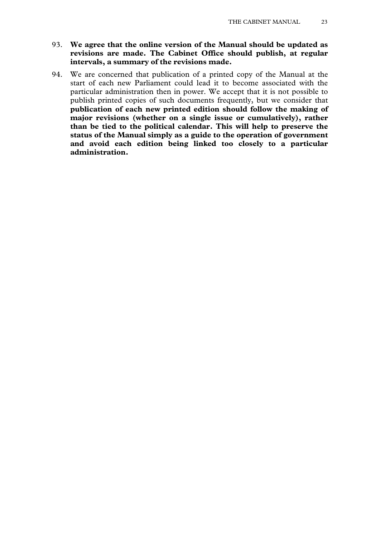- 93. **We agree that the online version of the Manual should be updated as revisions are made. The Cabinet Office should publish, at regular intervals, a summary of the revisions made.**
- 94. We are concerned that publication of a printed copy of the Manual at the start of each new Parliament could lead it to become associated with the particular administration then in power. We accept that it is not possible to publish printed copies of such documents frequently, but we consider that **publication of each new printed edition should follow the making of major revisions (whether on a single issue or cumulatively), rather than be tied to the political calendar. This will help to preserve the status of the Manual simply as a guide to the operation of government and avoid each edition being linked too closely to a particular administration.**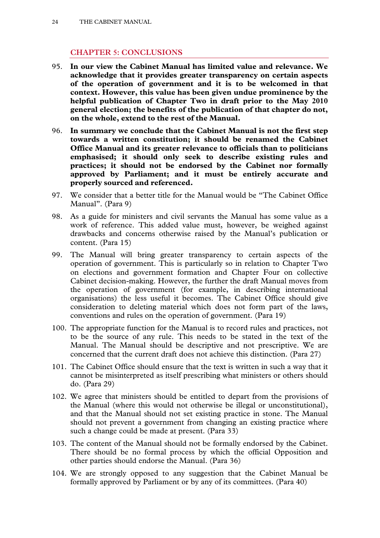# **CHAPTER 5: CONCLUSIONS**

- 95. **In our view the Cabinet Manual has limited value and relevance. We acknowledge that it provides greater transparency on certain aspects of the operation of government and it is to be welcomed in that context. However, this value has been given undue prominence by the helpful publication of Chapter Two in draft prior to the May 2010 general election; the benefits of the publication of that chapter do not, on the whole, extend to the rest of the Manual.**
- 96. **In summary we conclude that the Cabinet Manual is not the first step towards a written constitution; it should be renamed the Cabinet Office Manual and its greater relevance to officials than to politicians emphasised; it should only seek to describe existing rules and practices; it should not be endorsed by the Cabinet nor formally approved by Parliament; and it must be entirely accurate and properly sourced and referenced.**
- 97. We consider that a better title for the Manual would be "The Cabinet Office Manual". (Para 9)
- 98. As a guide for ministers and civil servants the Manual has some value as a work of reference. This added value must, however, be weighed against drawbacks and concerns otherwise raised by the Manual's publication or content. (Para 15)
- 99. The Manual will bring greater transparency to certain aspects of the operation of government. This is particularly so in relation to Chapter Two on elections and government formation and Chapter Four on collective Cabinet decision-making. However, the further the draft Manual moves from the operation of government (for example, in describing international organisations) the less useful it becomes. The Cabinet Office should give consideration to deleting material which does not form part of the laws, conventions and rules on the operation of government. (Para 19)
- 100. The appropriate function for the Manual is to record rules and practices, not to be the source of any rule. This needs to be stated in the text of the Manual. The Manual should be descriptive and not prescriptive. We are concerned that the current draft does not achieve this distinction. (Para 27)
- 101. The Cabinet Office should ensure that the text is written in such a way that it cannot be misinterpreted as itself prescribing what ministers or others should do. (Para 29)
- 102. We agree that ministers should be entitled to depart from the provisions of the Manual (where this would not otherwise be illegal or unconstitutional), and that the Manual should not set existing practice in stone. The Manual should not prevent a government from changing an existing practice where such a change could be made at present. (Para 33)
- 103. The content of the Manual should not be formally endorsed by the Cabinet. There should be no formal process by which the official Opposition and other parties should endorse the Manual. (Para 36)
- 104. We are strongly opposed to any suggestion that the Cabinet Manual be formally approved by Parliament or by any of its committees. (Para 40)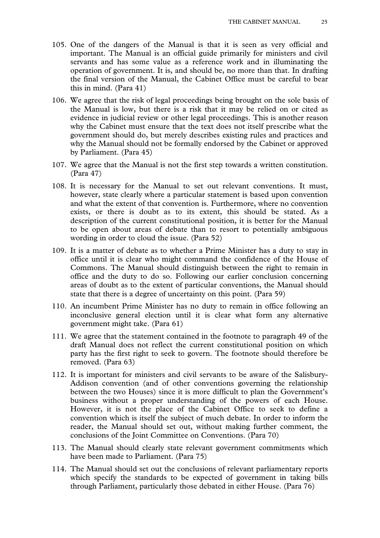- 105. One of the dangers of the Manual is that it is seen as very official and important. The Manual is an official guide primarily for ministers and civil servants and has some value as a reference work and in illuminating the operation of government. It is, and should be, no more than that. In drafting the final version of the Manual, the Cabinet Office must be careful to bear this in mind. (Para 41)
- 106. We agree that the risk of legal proceedings being brought on the sole basis of the Manual is low, but there is a risk that it may be relied on or cited as evidence in judicial review or other legal proceedings. This is another reason why the Cabinet must ensure that the text does not itself prescribe what the government should do, but merely describes existing rules and practices and why the Manual should not be formally endorsed by the Cabinet or approved by Parliament. (Para 45)
- 107. We agree that the Manual is not the first step towards a written constitution. (Para 47)
- 108. It is necessary for the Manual to set out relevant conventions. It must, however, state clearly where a particular statement is based upon convention and what the extent of that convention is. Furthermore, where no convention exists, or there is doubt as to its extent, this should be stated. As a description of the current constitutional position, it is better for the Manual to be open about areas of debate than to resort to potentially ambiguous wording in order to cloud the issue. (Para 52)
- 109. It is a matter of debate as to whether a Prime Minister has a duty to stay in office until it is clear who might command the confidence of the House of Commons. The Manual should distinguish between the right to remain in office and the duty to do so. Following our earlier conclusion concerning areas of doubt as to the extent of particular conventions, the Manual should state that there is a degree of uncertainty on this point. (Para 59)
- 110. An incumbent Prime Minister has no duty to remain in office following an inconclusive general election until it is clear what form any alternative government might take. (Para 61)
- 111. We agree that the statement contained in the footnote to paragraph 49 of the draft Manual does not reflect the current constitutional position on which party has the first right to seek to govern. The footnote should therefore be removed. (Para 63)
- 112. It is important for ministers and civil servants to be aware of the Salisbury-Addison convention (and of other conventions governing the relationship between the two Houses) since it is more difficult to plan the Government's business without a proper understanding of the powers of each House. However, it is not the place of the Cabinet Office to seek to define a convention which is itself the subject of much debate. In order to inform the reader, the Manual should set out, without making further comment, the conclusions of the Joint Committee on Conventions. (Para 70)
- 113. The Manual should clearly state relevant government commitments which have been made to Parliament. (Para 75)
- 114. The Manual should set out the conclusions of relevant parliamentary reports which specify the standards to be expected of government in taking bills through Parliament, particularly those debated in either House. (Para 76)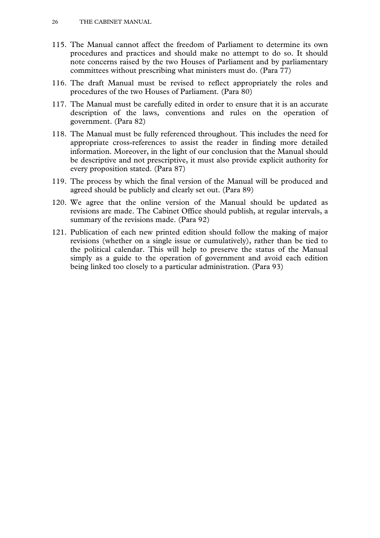- 115. The Manual cannot affect the freedom of Parliament to determine its own procedures and practices and should make no attempt to do so. It should note concerns raised by the two Houses of Parliament and by parliamentary committees without prescribing what ministers must do. (Para 77)
- 116. The draft Manual must be revised to reflect appropriately the roles and procedures of the two Houses of Parliament. (Para 80)
- 117. The Manual must be carefully edited in order to ensure that it is an accurate description of the laws, conventions and rules on the operation of government. (Para 82)
- 118. The Manual must be fully referenced throughout. This includes the need for appropriate cross-references to assist the reader in finding more detailed information. Moreover, in the light of our conclusion that the Manual should be descriptive and not prescriptive, it must also provide explicit authority for every proposition stated. (Para 87)
- 119. The process by which the final version of the Manual will be produced and agreed should be publicly and clearly set out. (Para 89)
- 120. We agree that the online version of the Manual should be updated as revisions are made. The Cabinet Office should publish, at regular intervals, a summary of the revisions made. (Para 92)
- 121. Publication of each new printed edition should follow the making of major revisions (whether on a single issue or cumulatively), rather than be tied to the political calendar. This will help to preserve the status of the Manual simply as a guide to the operation of government and avoid each edition being linked too closely to a particular administration. (Para 93)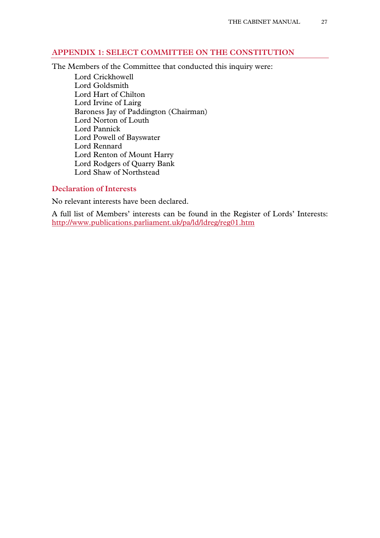# **APPENDIX 1: SELECT COMMITTEE ON THE CONSTITUTION**

The Members of the Committee that conducted this inquiry were:

Lord Crickhowell Lord Goldsmith Lord Hart of Chilton Lord Irvine of Lairg Baroness Jay of Paddington (Chairman) Lord Norton of Louth Lord Pannick Lord Powell of Bayswater Lord Rennard Lord Renton of Mount Harry Lord Rodgers of Quarry Bank Lord Shaw of Northstead

# **Declaration of Interests**

No relevant interests have been declared.

A full list of Members' interests can be found in the Register of Lords' Interests: <http://www.publications.parliament.uk/pa/ld/ldreg/reg01.htm>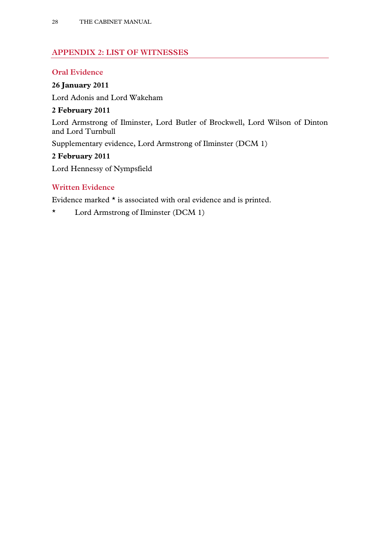# **APPENDIX 2: LIST OF WITNESSES**

# **Oral Evidence**

# **26 January 2011**

Lord Adonis and Lord Wakeham

# **2 February 2011**

Lord Armstrong of Ilminster, Lord Butler of Brockwell, Lord Wilson of Dinton and Lord Turnbull

Supplementary evidence, Lord Armstrong of Ilminster (DCM 1)

# **2 February 2011**

Lord Hennessy of Nympsfield

# **Written Evidence**

Evidence marked \* is associated with oral evidence and is printed.

\* Lord Armstrong of Ilminster (DCM 1)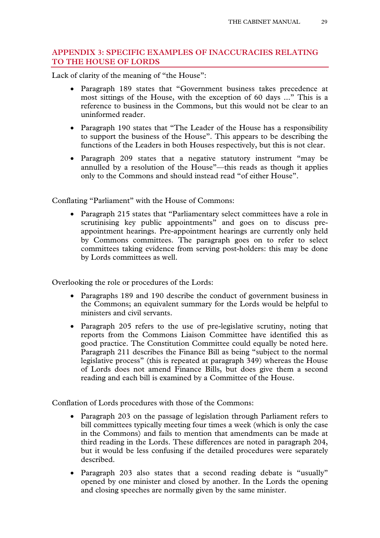# **APPENDIX 3: SPECIFIC EXAMPLES OF INACCURACIES RELATING TO THE HOUSE OF LORDS**

Lack of clarity of the meaning of "the House":

- Paragraph 189 states that "Government business takes precedence at most sittings of the House, with the exception of 60 days ..." This is a reference to business in the Commons, but this would not be clear to an uninformed reader.
- Paragraph 190 states that "The Leader of the House has a responsibility to support the business of the House". This appears to be describing the functions of the Leaders in both Houses respectively, but this is not clear.
- Paragraph 209 states that a negative statutory instrument "may be annulled by a resolution of the House"—this reads as though it applies only to the Commons and should instead read "of either House".

Conflating "Parliament" with the House of Commons:

• Paragraph 215 states that "Parliamentary select committees have a role in scrutinising key public appointments" and goes on to discuss preappointment hearings. Pre-appointment hearings are currently only held by Commons committees. The paragraph goes on to refer to select committees taking evidence from serving post-holders: this may be done by Lords committees as well.

Overlooking the role or procedures of the Lords:

- Paragraphs 189 and 190 describe the conduct of government business in the Commons; an equivalent summary for the Lords would be helpful to ministers and civil servants.
- Paragraph 205 refers to the use of pre-legislative scrutiny, noting that reports from the Commons Liaison Committee have identified this as good practice. The Constitution Committee could equally be noted here. Paragraph 211 describes the Finance Bill as being "subject to the normal legislative process" (this is repeated at paragraph 349) whereas the House of Lords does not amend Finance Bills, but does give them a second reading and each bill is examined by a Committee of the House.

Conflation of Lords procedures with those of the Commons:

- Paragraph 203 on the passage of legislation through Parliament refers to bill committees typically meeting four times a week (which is only the case in the Commons) and fails to mention that amendments can be made at third reading in the Lords. These differences are noted in paragraph 204, but it would be less confusing if the detailed procedures were separately described.
- Paragraph 203 also states that a second reading debate is "usually" opened by one minister and closed by another. In the Lords the opening and closing speeches are normally given by the same minister.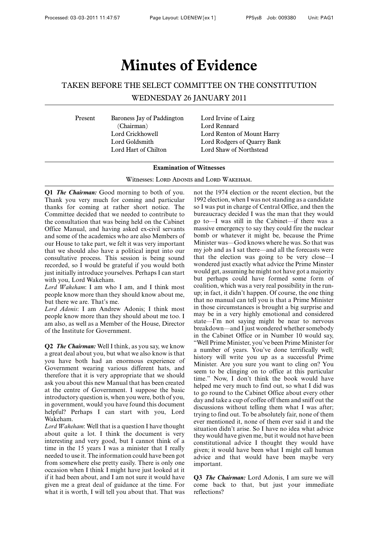# **Minutes of Evidence**

# TAKEN BEFORE THE SELECT COMMITTEE ON THE CONSTITUTION

WEDNESDAY 26 JANUARY 2011

Present Baroness Jay of Paddington Lord Irvine of Lairg (Chairman) Lord Rennard Lord Hart of Chilton Lord Shaw of Northstead

Lord Crickhowell Lord Renton of Mount Harry Lord Goldsmith Lord Rodgers of Quarry Bank

#### **Examination of Witnesses**

Witnesses: LORD ADONIS and LORD WAKEHAM.

**Q1** *The Chairman:* Good morning to both of you. Thank you very much for coming and particular thanks for coming at rather short notice. The Committee decided that we needed to contribute to the consultation that was being held on the Cabinet Office Manual, and having asked ex-civil servants and some of the academics who are also Members of our House to take part, we felt it was very important that we should also have a political input into our consultative process. This session is being sound recorded, so I would be grateful if you would both just initially introduce yourselves. Perhaps I can start with you, Lord Wakeham.

*Lord Wakeham*: I am who I am, and I think most people know more than they should know about me, but there we are. That's me.

*Lord Adonis*: I am Andrew Adonis; I think most people know more than they should about me too. I am also, as well as a Member of the House, Director of the Institute for Government.

**Q2** *The Chairman:* Well I think, as you say, we know a great deal about you, but what we also know is that you have both had an enormous experience of Government wearing various different hats, and therefore that it is very appropriate that we should ask you about this new Manual that has been created at the centre of Government. I suppose the basic introductory question is, when you were, both of you, in government, would you have found this document helpful? Perhaps I can start with you, Lord Wakeham.

*Lord Wakeham*: Well that is a question I have thought about quite a lot. I think the document is very interesting and very good, but I cannot think of a time in the 15 years I was a minister that I really needed to use it. The information could have been got from somewhere else pretty easily. There is only one occasion when I think I might have just looked at it if it had been about, and I am not sure it would have given me a great deal of guidance at the time. For what it is worth, I will tell you about that. That was

not the 1974 election or the recent election, but the 1992 election, when I was not standing as a candidate so I was put in charge of Central Office, and then the bureaucracy decided I was the man that they would go to—I was still in the Cabinet—if there was a massive emergency to say they could fire the nuclear bomb or whatever it might be, because the Prime Minister was—God knows where he was. So that was my job and as I sat there—and all the forecasts were that the election was going to be very close—I wondered just exactly what advice the Prime Minster would get, assuming he might not have got a majority but perhaps could have formed some form of coalition, which was a very real possibility in the runup; in fact, it didn't happen. Of course, the one thing that no manual can tell you is that a Prime Minister in those circumstances is brought a big surprise and may be in a very highly emotional and considered state—I'm not saying might be near to nervous breakdown—and I just wondered whether somebody in the Cabinet Office or in Number 10 would say, "Well Prime Minister, you've been Prime Minister for a number of years. You've done terrifically well; history will write you up as a successful Prime Minister. Are you sure you want to cling on? You seem to be clinging on to office at this particular time." Now, I don't think the book would have helped me very much to find out, so what I did was to go round to the Cabinet Office about every other day and take a cup of coffee off them and sniff out the discussions without telling them what I was after; trying to find out. To be absolutely fair, none of them ever mentioned it, none of them ever said it and the situation didn't arise. So I have no idea what advice they would have given me, but it would not have been constitutional advice I thought they would have given; it would have been what I might call human advice and that would have been maybe very important.

**Q3** *The Chairman:* Lord Adonis, I am sure we will come back to that, but just your immediate reflections?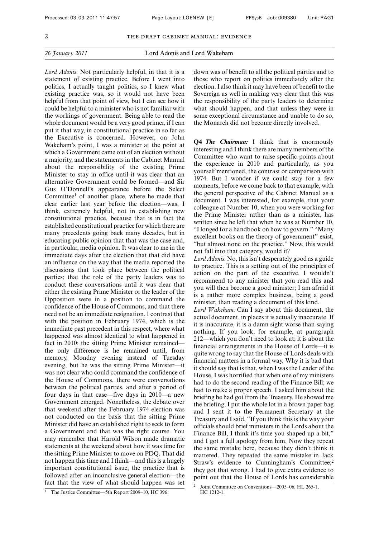*Lord Adonis*: Not particularly helpful, in that it is a statement of existing practice. Before I went into politics, I actually taught politics, so I knew what existing practice was, so it would not have been helpful from that point of view, but I can see how it could be helpful to a minister who is not familiar with the workings of government. Being able to read the whole document would be a very good primer, if I can put it that way, in constitutional practice in so far as the Executive is concerned. However, on John Wakeham's point, I was a minister at the point at which a Government came out of an election without a majority, and the statements in the Cabinet Manual about the responsibility of the existing Prime Minister to stay in office until it was clear that an alternative Government could be formed—and Sir Gus O'Donnell's appearance before the Select Committee1 of another place, where he made that clear earlier last year before the election—was, I think, extremely helpful, not in establishing new constitutional practice, because that is in fact the established constitutional practice for which there are many precedents going back many decades, but in educating public opinion that that was the case and, in particular, media opinion. It was clear to me in the immediate days after the election that that did have an influence on the way that the media reported the discussions that took place between the political parties; that the role of the party leaders was to conduct these conversations until it was clear that either the existing Prime Minister or the leader of the Opposition were in a position to command the confidence of the House of Commons, and that there need not be an immediate resignation. I contrast that with the position in February 1974, which is the immediate past precedent in this respect, where what happened was almost identical to what happened in fact in 2010: the sitting Prime Minister remained the only difference is he remained until, from memory, Monday evening instead of Tuesday evening, but he was the sitting Prime Minister—it was not clear who could command the confidence of the House of Commons, there were conversations between the political parties, and after a period of four days in that case—five days in 2010—a new Government emerged. Nonetheless, the debate over that weekend after the February 1974 election was not conducted on the basis that the sitting Prime Minister did have an established right to seek to form a Government and that was the right course. You may remember that Harold Wilson made dramatic statements at the weekend about how it was time for the sitting Prime Minister to move on PDQ. That did not happen this time and I think—and this is a hugely important constitutional issue, the practice that is followed after an inconclusive general election—the fact that the view of what should happen was set down was of benefit to all the political parties and to those who report on politics immediately after the election. I also think it may have been of benefit to the Sovereign as well in making very clear that this was the responsibility of the party leaders to determine what should happen, and that unless they were in some exceptional circumstance and unable to do so, the Monarch did not become directly involved.

**Q4** *The Chairman:* I think that is enormously interesting and I think there are many members of the Committee who want to raise specific points about the experience in 2010 and particularly, as you yourself mentioned, the contrast or comparison with 1974. But I wonder if we could stay for a few moments, before we come back to that example, with the general perspective of the Cabinet Manual as a document. I was interested, for example, that your colleague at Number 10, when you were working for the Prime Minister rather than as a minister, has written since he left that when he was at Number 10, "I longed for a handbook on how to govern." "Many excellent books on the theory of government" exist, "but almost none on the practice." Now, this would not fall into that category, would it?

*Lord Adonis*: No, this isn't desperately good as a guide to practice. This is a setting out of the principles of action on the part of the executive. I wouldn't recommend to any minister that you read this and you will then become a good minister; I am afraid it is a rather more complex business, being a good minister, than reading a document of this kind.

*Lord Wakeham*: Can I say about this document, the actual document, in places it is actually inaccurate. If it is inaccurate, it is a damn sight worse than saying nothing. If you look, for example, at paragraph 212—which you don't need to look at; it is about the financial arrangements in the House of Lords—it is quite wrong to say that the House of Lords deals with financial matters in a formal way. Why it is bad that it should say that is that, when I was the Leader of the House, I was horrified that when one of my ministers had to do the second reading of the Finance Bill; we had to make a proper speech. I asked him about the briefing he had got from the Treasury. He showed me the briefing; I put the whole lot in a brown paper bag and I sent it to the Permanent Secretary at the Treasury and I said, "If you think this is the way your officials should brief ministers in the Lords about the Finance Bill, I think it's time you shaped up a bit," and I got a full apology from him. Now they repeat the same mistake here, because they didn't think it mattered. They repeated the same mistake in Jack Straw's evidence to Cunningham's Committee;<sup>2</sup> they got that wrong. I had to give extra evidence to point out that the House of Lords has considerable

<sup>&</sup>lt;sup>1</sup> The Justice Committee—5th Report 2009–10, HC 396.

<sup>2</sup> Joint Committee on Conventions—2005–06, HL 265-1, HC 1212-1.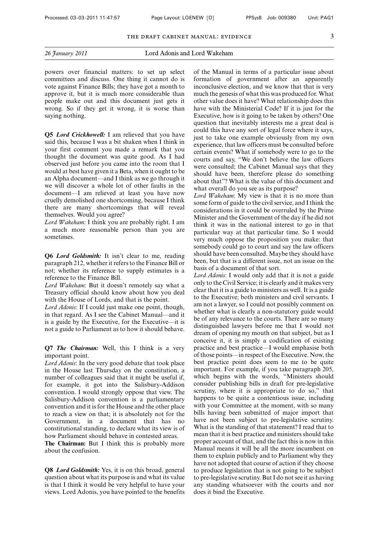powers over financial matters: to set up select committees and discuss. One thing it cannot do is vote against Finance Bills; they have got a month to approve it, but it is much more considerable than people make out and this document just gets it wrong. So if they get it wrong, it is worse than saying nothing.

**Q5** *Lord Crickhowell:* I am relieved that you have said this, because I was a bit shaken when I think in your first comment you made a remark that you thought the document was quite good. As I had observed just before you came into the room that I would at best have given it a Beta, when it ought to be an Alpha document—and I think as we go through it we will discover a whole lot of other faults in the document—I am relieved at least you have now cruelly demolished one shortcoming, because I think there are many shortcomings that will reveal themselves. Would you agree?

*Lord Wakeham*: I think you are probably right. I am a much more reasonable person than you are sometimes.

**Q6** *Lord Goldsmith:* It isn't clear to me, reading paragraph 212, whether it refers to the Finance Bill or not; whether its reference to supply estimates is a reference to the Finance Bill.

*Lord Wakeham*: But it doesn't remotely say what a Treasury official should know about how you deal with the House of Lords, and that is the point.

*Lord Adonis*: If I could just make one point, though, in that regard. As I see the Cabinet Manual—and it is a guide by the Executive, for the Executive—it is not a guide to Parliament as to how it should behave.

**Q7** *The Chairman:* Well, this I think is a very important point.

*Lord Adonis*: In the very good debate that took place in the House last Thursday on the constitution, a number of colleagues said that it might be useful if, for example, it got into the Salisbury-Addison convention. I would strongly oppose that view. The Salisbury-Addison convention is a parliamentary convention and it is for the House and the other place to reach a view on that; it is absolutely not for the Government, in a document that has no constitutional standing, to declare what its view is of how Parliament should behave in contested areas.

**The Chairman:** But I think this is probably more about the confusion.

**Q8** *Lord Goldsmith:* Yes, it is on this broad, general question about what its purpose is and what its value is that I think it would be very helpful to have your views. Lord Adonis, you have pointed to the benefits of the Manual in terms of a particular issue about formation of government after an apparently inconclusive election, and we know that that is very much the genesis of what this was produced for. What other value does it have? What relationship does this have with the Ministerial Code? If it is just for the Executive, how is it going to be taken by others? One question that inevitably interests me a great deal is could this have any sort of legal force where it says, just to take one example obviously from my own experience, that law officers must be consulted before certain events? What if somebody were to go to the courts and say, "We don't believe the law officers were consulted; the Cabinet Manual says that they should have been, therefore please do something about that"? What is the value of this document and what overall do you see as its purpose?

*Lord Wakeham*: My view is that it is no more than some form of guide to the civil service, and I think the considerations in it could be overruled by the Prime Minister and the Government of the day if he did not think it was in the national interest to go in that particular way at that particular time. So I would very much oppose the proposition you make: that somebody could go to court and say the law officers should have been consulted. Maybe they should have been, but that is a different issue, not an issue on the basis of a document of that sort.

*Lord Adonis*: I would only add that it is not a guide only to the Civil Service; it is clearly and it makes very clear that it is a guide to ministers as well. It is a guide to the Executive; both ministers and civil servants. I am not a lawyer, so I could not possibly comment on whether what is clearly a non-statutory guide would be of any relevance to the courts. There are so many distinguished lawyers before me that I would not dream of opening my mouth on that subject, but as I conceive it, it is simply a codification of existing practice and best practice—I would emphasise both of those points—in respect of the Executive. Now, the best practice point does seem to me to be quite important. For example, if you take paragraph 205, which begins with the words, "Ministers should consider publishing bills in draft for pre-legislative scrutiny, where it is appropriate to do so," that happens to be quite a contentious issue, including with your Committee at the moment, with so many bills having been submitted of major import that have not been subject to pre-legislative scrutiny. What is the standing of that statement? I read that to mean that it is best practice and ministers should take proper account of that, and the fact this is now in this Manual means it will be all the more incumbent on them to explain publicly and to Parliament why they have not adopted that course of action if they choose to produce legislation that is not going to be subject to pre-legislative scrutiny. But I do not see it as having any standing whatsoever with the courts and nor does it bind the Executive.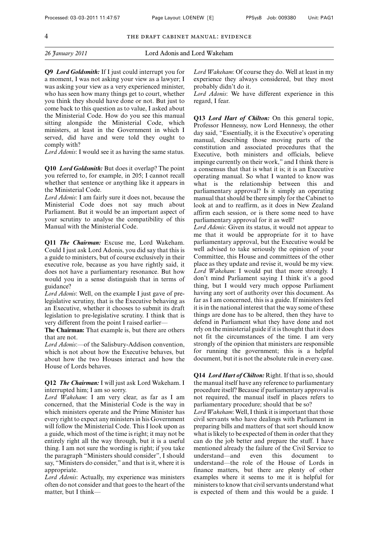**Q9** *Lord Goldsmith:* If I just could interrupt you for a moment, I was not asking your view as a lawyer; I was asking your view as a very experienced minister, who has seen how many things get to court, whether you think they should have done or not. But just to come back to this question as to value, I asked about the Ministerial Code. How do you see this manual sitting alongside the Ministerial Code, which ministers, at least in the Government in which I served, did have and were told they ought to comply with?

*Lord Adonis*: I would see it as having the same status.

**Q10** *Lord Goldsmith:* But does it overlap? The point you referred to, for example, in 205; I cannot recall whether that sentence or anything like it appears in the Ministerial Code.

*Lord Adonis*: I am fairly sure it does not, because the Ministerial Code does not say much about Parliament. But it would be an important aspect of your scrutiny to analyse the compatibility of this Manual with the Ministerial Code.

**Q11** *The Chairman:* Excuse me, Lord Wakeham. Could I just ask Lord Adonis, you did say that this is a guide to ministers, but of course exclusively in their executive role, because as you have rightly said, it does not have a parliamentary resonance. But how would you in a sense distinguish that in terms of guidance?

*Lord Adonis*: Well, on the example I just gave of prelegislative scrutiny, that is the Executive behaving as an Executive, whether it chooses to submit its draft legislation to pre-legislative scrutiny. I think that is very different from the point I raised earlier—

**The Chairman:** That example is, but there are others that are not.

*Lord Adonis*:—of the Salisbury-Addison convention, which is not about how the Executive behaves, but about how the two Houses interact and how the House of Lords behaves.

**Q12** *The Chairman:* I will just ask Lord Wakeham. I interrupted him; I am so sorry.

*Lord Wakeham*: I am very clear, as far as I am concerned, that the Ministerial Code is the way in which ministers operate and the Prime Minister has every right to expect any ministers in his Government will follow the Ministerial Code. This I look upon as a guide, which most of the time is right; it may not be entirely right all the way through, but it is a useful thing. I am not sure the wording is right; if you take the paragraph "Ministers should consider", I should say, "Ministers do consider," and that is it, where it is appropriate.

*Lord Adonis*: Actually, my experience was ministers often do not consider and that goes to the heart of the matter, but I think*Lord Wakeham*: Of course they do. Well at least in my experience they always considered, but they most probably didn't do it.

*Lord Adonis*: We have different experience in this regard, I fear.

**Q13** *Lord Hart of Chilton:* On this general topic, Professor Hennessy, now Lord Hennessy, the other day said, "Essentially, it is the Executive's operating manual, describing those moving parts of the constitution and associated procedures that the Executive, both ministers and officials, believe impinge currently on their work," and I think there is a consensus that that is what it is; it is an Executive operating manual. So what I wanted to know was what is the relationship between this and parliamentary approval? Is it simply an operating manual that should be there simply for the Cabinet to look at and to reaffirm, as it does in New Zealand affirm each session, or is there some need to have parliamentary approval for it as well?

*Lord Adonis*: Given its status, it would not appear to me that it would be appropriate for it to have parliamentary approval, but the Executive would be well advised to take seriously the opinion of your Committee, this House and committees of the other place as they update and revise it, would be my view. *Lord Wakeham*: I would put that more strongly. I don't mind Parliament saying I think it's a good thing, but I would very much oppose Parliament having any sort of authority over this document. As far as I am concerned, this is a guide. If ministers feel it is in the national interest that the way some of these things are done has to be altered, then they have to defend in Parliament what they have done and not rely on the ministerial guide if it is thought that it does not fit the circumstances of the time. I am very strongly of the opinion that ministers are responsible for running the government; this is a helpful document, but it is not the absolute rule in every case.

**Q14** *Lord Hart of Chilton:* Right. If that is so, should the manual itself have any reference to parliamentary procedure itself? Because if parliamentary approval is not required, the manual itself in places refers to parliamentary procedure; should that be so?

*Lord Wakeham*: Well, I think it is important that those civil servants who have dealings with Parliament in preparing bills and matters of that sort should know what is likely to be expected of them in order that they can do the job better and prepare the stuff. I have mentioned already the failure of the Civil Service to understand—and even this document understand—the role of the House of Lords in finance matters, but there are plenty of other examples where it seems to me it is helpful for ministers to know that civil servants understand what is expected of them and this would be a guide. I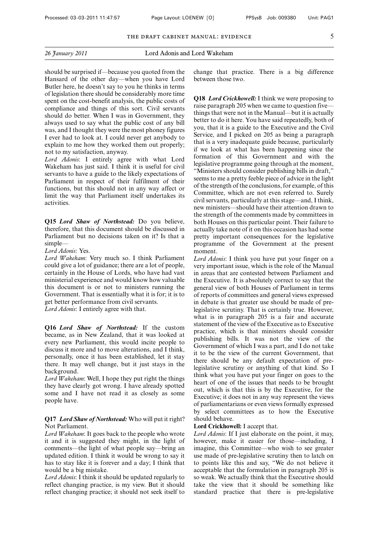| 26 January 2011 |  |
|-----------------|--|
|                 |  |

should be surprised if—because you quoted from the Hansard of the other day—when you have Lord Butler here, he doesn't say to you he thinks in terms of legislation there should be considerably more time spent on the cost-benefit analysis, the public costs of compliance and things of this sort. Civil servants should do better. When I was in Government, they always used to say what the public cost of any bill was, and I thought they were the most phoney figures I ever had to look at. I could never get anybody to explain to me how they worked them out properly; not to my satisfaction, anyway.

*Lord Adonis*: I entirely agree with what Lord Wakeham has just said. I think it is useful for civil servants to have a guide to the likely expectations of Parliament in respect of their fulfilment of their functions, but this should not in any way affect or limit the way that Parliament itself undertakes its activities.

**Q15** *Lord Shaw of Northstead:* Do you believe, therefore, that this document should be discussed in Parliament but no decisions taken on it? Is that a simple—

*Lord Adonis*: Yes.

*Lord Wakeham*: Very much so. I think Parliament could give a lot of guidance; there are a lot of people, certainly in the House of Lords, who have had vast ministerial experience and would know how valuable this document is or not to ministers running the Government. That is essentially what it is for; it is to get better performance from civil servants. *Lord Adonis*: I entirely agree with that.

**Q16** *Lord Shaw of Northstead:* If the custom became, as in New Zealand, that it was looked at every new Parliament, this would incite people to discuss it more and to move alterations, and I think, personally, once it has been established, let it stay there. It may well change, but it just stays in the background.

*Lord Wakeham*: Well, I hope they put right the things they have clearly got wrong. I have already spotted some and I have not read it as closely as some people have.

#### **Q17** *Lord Shaw of Northstead:* Who will put it right? Not Parliament.

*Lord Wakeham*: It goes back to the people who wrote it and it is suggested they might, in the light of comments—the light of what people say—bring an updated edition. I think it would be wrong to say it has to stay like it is forever and a day; I think that would be a big mistake.

*Lord Adonis*: I think it should be updated regularly to reflect changing practice, is my view. But it should reflect changing practice; it should not seek itself to change that practice. There is a big difference between those two.

**Q18** *Lord Crickhowell:* I think we were proposing to raise paragraph 205 when we came to question five things that were not in the Manual—but it is actually better to do it here. You have said repeatedly, both of you, that it is a guide to the Executive and the Civil Service, and I picked on 205 as being a paragraph that is a very inadequate guide because, particularly if we look at what has been happening since the formation of this Government and with the legislative programme going through at the moment, "Ministers should consider publishing bills in draft," seems to me a pretty feeble piece of advice in the light of the strength of the conclusions, for example, of this Committee, which are not even referred to. Surely civil servants, particularly at this stage—and, I think, new ministers—should have their attention drawn to the strength of the comments made by committees in both Houses on this particular point. Their failure to actually take note of it on this occasion has had some pretty important consequences for the legislative programme of the Government at the present moment.

*Lord Adonis*: I think you have put your finger on a very important issue, which is the role of the Manual in areas that are contested between Parliament and the Executive. It is absolutely correct to say that the general view of both Houses of Parliament in terms of reports of committees and general views expressed in debate is that greater use should be made of prelegislative scrutiny. That is certainly true. However, what is in paragraph 205 is a fair and accurate statement of the view of the Executive as to Executive practice, which is that ministers should consider publishing bills. It was not the view of the Government of which I was a part, and I do not take it to be the view of the current Government, that there should be any default expectation of prelegislative scrutiny or anything of that kind. So I think what you have put your finger on goes to the heart of one of the issues that needs to be brought out, which is that this is by the Executive, for the Executive; it does not in any way represent the views of parliamentarians or even views formally expressed by select committees as to how the Executive should behave.

#### **Lord Crickhowell:** I accept that.

*Lord Adonis*: If I just elaborate on the point, it may, however, make it easier for those—including, I imagine, this Committee—who wish to see greater use made of pre-legislative scrutiny then to latch on to points like this and say, "We do not believe it acceptable that the formulation in paragraph 205 is so weak. We actually think that the Executive should take the view that it should be something like standard practice that there is pre-legislative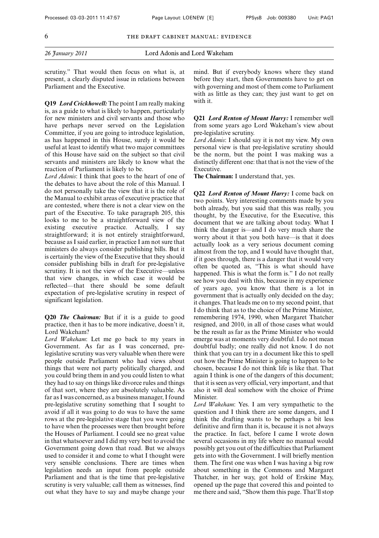scrutiny." That would then focus on what is, at present, a clearly disputed issue in relations between Parliament and the Executive.

**Q19** *Lord Crickhowell:* The point I am really making is, as a guide to what is likely to happen, particularly for new ministers and civil servants and those who have perhaps never served on the Legislation Committee, if you are going to introduce legislation, as has happened in this House, surely it would be useful at least to identify what two major committees of this House have said on the subject so that civil servants and ministers are likely to know what the reaction of Parliament is likely to be.

*Lord Adonis*: I think that goes to the heart of one of the debates to have about the role of this Manual. I do not personally take the view that it is the role of the Manual to exhibit areas of executive practice that are contested, where there is not a clear view on the part of the Executive. To take paragraph 205, this looks to me to be a straightforward view of the existing executive practice. Actually, I say straightforward; it is not entirely straightforward, because as I said earlier, in practice I am not sure that ministers do always consider publishing bills. But it is certainly the view of the Executive that they should consider publishing bills in draft for pre-legislative scrutiny. It is not the view of the Executive—unless that view changes, in which case it would be reflected—that there should be some default expectation of pre-legislative scrutiny in respect of significant legislation.

**Q20** *The Chairman:* But if it is a guide to good practice, then it has to be more indicative, doesn't it, Lord Wakeham?

*Lord Wakeham*: Let me go back to my years in Government. As far as I was concerned, prelegislative scrutiny was very valuable when there were people outside Parliament who had views about things that were not party politically charged, and you could bring them in and you could listen to what they had to say on things like divorce rules and things of that sort, where they are absolutely valuable. As far as I was concerned, as a business manager, I found pre-legislative scrutiny something that I sought to avoid if all it was going to do was to have the same rows at the pre-legislative stage that you were going to have when the processes were then brought before the Houses of Parliament. I could see no great value in that whatsoever and I did my very best to avoid the Government going down that road. But we always used to consider it and come to what I thought were very sensible conclusions. There are times when legislation needs an input from people outside Parliament and that is the time that pre-legislative scrutiny is very valuable; call them as witnesses, find out what they have to say and maybe change your mind. But if everybody knows where they stand before they start, then Governments have to get on with governing and most of them come to Parliament with as little as they can; they just want to get on with it.

**Q21** *Lord Renton of Mount Harry:* I remember well from some years ago Lord Wakeham's view about pre-legislative scrutiny.

*Lord Adonis*: I should say it is not my view. My own personal view is that pre-legislative scrutiny should be the norm, but the point I was making was a distinctly different one: that that is not the view of the Executive.

**The Chairman:** I understand that, yes.

**Q22** *Lord Renton of Mount Harry:* I come back on two points. Very interesting comments made by you both already, but you said that this was really, you thought, by the Executive, for the Executive, this document that we are talking about today. What I think the danger is—and I do very much share the worry about it that you both have—is that it does actually look as a very serious document coming almost from the top, and I would have thought that, if it goes through, there is a danger that it would very often be quoted as, "This is what should have happened. This is what the form is." I do not really see how you deal with this, because in my experience of years ago, you know that there is a lot in government that is actually only decided on the day; it changes. That leads me on to my second point, that I do think that as to the choice of the Prime Minister, remembering 1974, 1990, when Margaret Thatcher resigned, and 2010, in all of those cases what would be the result as far as the Prime Minister who would emerge was at moments very doubtful. I do not mean doubtful badly; one really did not know. I do not think that you can try in a document like this to spell out how the Prime Minister is going to happen to be chosen, because I do not think life is like that. That again I think is one of the dangers of this document; that it is seen as very official, very important, and that also it will deal somehow with the choice of Prime Minister.

*Lord Wakeham*: Yes. I am very sympathetic to the question and I think there are some dangers, and I think the drafting wants to be perhaps a bit less definitive and firm than it is, because it is not always the practice. In fact, before I came I wrote down several occasions in my life where no manual would possibly get you out of the difficulties that Parliament gets into with the Government. I will briefly mention them. The first one was when I was having a big row about something in the Commons and Margaret Thatcher, in her way, got hold of Erskine May, opened up the page that covered this and pointed to me there and said, "Show them this page. That'll stop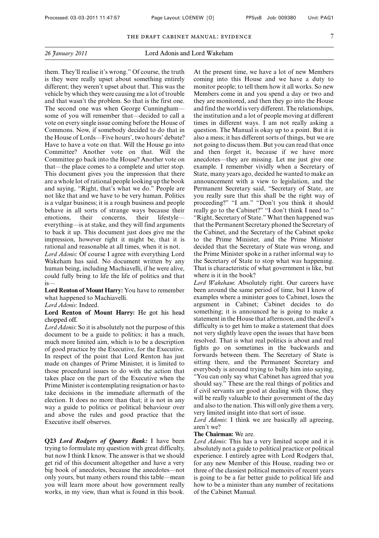them. They'll realise it's wrong." Of course, the truth is they were really upset about something entirely different; they weren't upset about that. This was the vehicle by which they were causing me a lot of trouble and that wasn't the problem. So that is the first one. The second one was when George Cunningham some of you will remember that—decided to call a vote on every single issue coming before the House of Commons. Now, if somebody decided to do that in the House of Lords—Five hours', two hours' debate? Have to have a vote on that. Will the House go into Committee? Another vote on that. Will the Committee go back into the House? Another vote on that—the place comes to a complete and utter stop. This document gives you the impression that there are a whole lot of rational people looking up the book and saying, "Right, that's what we do." People are not like that and we have to be very human. Politics is a vulgar business; it is a rough business and people behave in all sorts of strange ways because their<br>emotions. their concerns. their lifestyle lifestyle everything—is at stake, and they will find arguments to back it up. This document just does give me the impression, however right it might be, that it is rational and reasonable at all times, when it is not.

*Lord Adonis*: Of course I agree with everything Lord Wakeham has said. No document written by any human being, including Machiavelli, if he were alive, could fully bring to life the life of politics and that is—

**Lord Renton of Mount Harry:** You have to remember what happened to Machiavelli.

*Lord Adonis*: Indeed.

**Lord Renton of Mount Harry:** He got his head chopped off.

*Lord Adonis*: So it is absolutely not the purpose of this document to be a guide to politics; it has a much, much more limited aim, which is to be a description of good practice by the Executive, for the Executive. In respect of the point that Lord Renton has just made on changes of Prime Minister, it is limited to those procedural issues to do with the action that takes place on the part of the Executive when the Prime Minister is contemplating resignation or has to take decisions in the immediate aftermath of the election. It does no more than that; it is not in any way a guide to politics or political behaviour over and above the rules and good practice that the Executive itself observes.

**Q23** *Lord Rodgers of Quarry Bank:* I have been trying to formulate my question with great difficulty, but now I think I know. The answer is that we should get rid of this document altogether and have a very big book of anecdotes, because the anecdotes—not only yours, but many others round this table—mean you will learn more about how government really works, in my view, than what is found in this book.

At the present time, we have a lot of new Members coming into this House and we have a duty to monitor people; to tell them how it all works. So new Members come in and you spend a day or two and they are monitored, and then they go into the House and find the world is very different. The relationships, the institution and a lot of people moving at different times in different ways. I am not really asking a question. The Manual is okay up to a point. But it is also a mess; it has different sorts of things, but we are not going to discuss them. But you can read that once and then forget it, because if we have more anecdotes—they are missing. Let me just give one example. I remember vividly when a Secretary of State, many years ago, decided he wanted to make an announcement with a view to legislation, and the Permanent Secretary said, "Secretary of State, are you really sure that this shall be the right way of proceeding?" "I am." "Don't you think it should really go to the Cabinet?" "I don't think I need to." "Right, Secretary of State." What then happened was that the Permanent Secretary phoned the Secretary of the Cabinet, and the Secretary of the Cabinet spoke to the Prime Minister, and the Prime Minister decided that the Secretary of State was wrong, and the Prime Minister spoke in a rather informal way to the Secretary of State to stop what was happening. That is characteristic of what government is like, but where is it in the book?

*Lord Wakeham*: Absolutely right. Our careers have been around the same period of time, but I know of examples where a minister goes to Cabinet, loses the argument in Cabinet; Cabinet decides to do something; it is announced he is going to make a statement in the House that afternoon, and the devil's difficulty is to get him to make a statement that does not very slightly leave open the issues that have been resolved. That is what real politics is about and real fights go on sometimes in the backwards and forwards between them. The Secretary of State is sitting there, and the Permanent Secretary and everybody is around trying to bully him into saying, "You can only say what Cabinet has agreed that you should say." These are the real things of politics and if civil servants are good at dealing with those, they will be really valuable to their government of the day and also to the nation. This will only give them a very, very limited insight into that sort of issue.

*Lord Adonis*: I think we are basically all agreeing, aren't we?

#### **The Chairman:** We are.

*Lord Adonis*: This has a very limited scope and it is absolutely not a guide to political practice or political experience. I entirely agree with Lord Rodgers that, for any new Member of this House, reading two or three of the classiest political memoirs of recent years is going to be a far better guide to political life and how to be a minister than any number of recitations of the Cabinet Manual.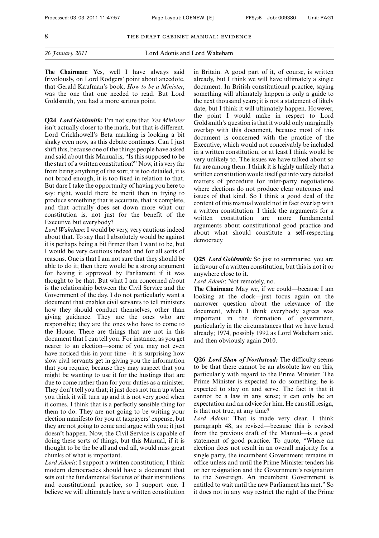**The Chairman:** Yes, well I have always said frivolously, on Lord Rodgers' point about anecdote, that Gerald Kaufman's book, *How to be a Minister*, was the one that one needed to read. But Lord Goldsmith, you had a more serious point.

**Q24** *Lord Goldsmith:* I'm not sure that *Yes Minister* isn't actually closer to the mark, but that is different. Lord Crickhowell's Beta marking is looking a bit shaky even now, as this debate continues. Can I just shift this, because one of the things people have asked and said about this Manual is, "Is this supposed to be the start of a written constitution?" Now, it is very far from being anything of the sort; it is too detailed, it is not broad enough, it is too fixed in relation to that. But dare I take the opportunity of having you here to say: right, would there be merit then in trying to produce something that is accurate, that is complete, and that actually does set down more what our constitution is, not just for the benefit of the Executive but everybody?

*Lord Wakeham*: I would be very, very cautious indeed about that. To say that I absolutely would be against it is perhaps being a bit firmer than I want to be, but I would be very cautious indeed and for all sorts of reasons. One is that I am not sure that they should be able to do it; then there would be a strong argument for having it approved by Parliament if it was thought to be that. But what I am concerned about is the relationship between the Civil Service and the Government of the day. I do not particularly want a document that enables civil servants to tell ministers how they should conduct themselves, other than giving guidance. They are the ones who are responsible; they are the ones who have to come to the House. There are things that are not in this document that I can tell you. For instance, as you get nearer to an election—some of you may not even have noticed this in your time—it is surprising how slow civil servants get in giving you the information that you require, because they may suspect that you might be wanting to use it for the hustings that are due to come rather than for your duties as a minister. They don't tell you that; it just does not turn up when you think it will turn up and it is not very good when it comes. I think that is a perfectly sensible thing for them to do. They are not going to be writing your election manifesto for you at taxpayers' expense, but they are not going to come and argue with you; it just doesn't happen. Now, the Civil Service is capable of doing these sorts of things, but this Manual, if it is thought to be the be all and end all, would miss great chunks of what is important.

*Lord Adonis*: I support a written constitution; I think modern democracies should have a document that sets out the fundamental features of their institutions and constitutional practice, so I support one. I believe we will ultimately have a written constitution in Britain. A good part of it, of course, is written already, but I think we will have ultimately a single document. In British constitutional practice, saying something will ultimately happen is only a guide to the next thousand years; it is not a statement of likely date, but I think it will ultimately happen. However, the point I would make in respect to Lord Goldsmith's question is that it would only marginally overlap with this document, because most of this document is concerned with the practice of the Executive, which would not conceivably be included in a written constitution, or at least I think would be very unlikely to. The issues we have talked about so far are among them. I think it is highly unlikely that a written constitution would itself get into very detailed matters of procedure for inter-party negotiations where elections do not produce clear outcomes and issues of that kind. So I think a good deal of the content of this manual would not in fact overlap with a written constitution. I think the arguments for a written constitution are more arguments about constitutional good practice and about what should constitute a self-respecting democracy.

**Q25** *Lord Goldsmith:* So just to summarise, you are in favour of a written constitution, but this is not it or anywhere close to it.

*Lord Adonis*: Not remotely, no.

**The Chairman:** May we, if we could—because I am looking at the clock—just focus again on the narrower question about the relevance of the document, which I think everybody agrees was important in the formation of government, particularly in the circumstances that we have heard already; 1974, possibly 1992 as Lord Wakeham said, and then obviously again 2010.

**Q26** *Lord Shaw of Northstead:* The difficulty seems to be that there cannot be an absolute law on this, particularly with regard to the Prime Minister. The Prime Minister is expected to do something; he is expected to stay on and serve. The fact is that it cannot be a law in any sense; it can only be an expectation and an advice for him. He can still resign, is that not true, at any time?

*Lord Adonis*: That is made very clear. I think paragraph 48, as revised—because this is revised from the previous draft of the Manual—is a good statement of good practice. To quote, "Where an election does not result in an overall majority for a single party, the incumbent Government remains in office unless and until the Prime Minister tenders his or her resignation and the Government's resignation to the Sovereign. An incumbent Government is entitled to wait until the new Parliament has met." So it does not in any way restrict the right of the Prime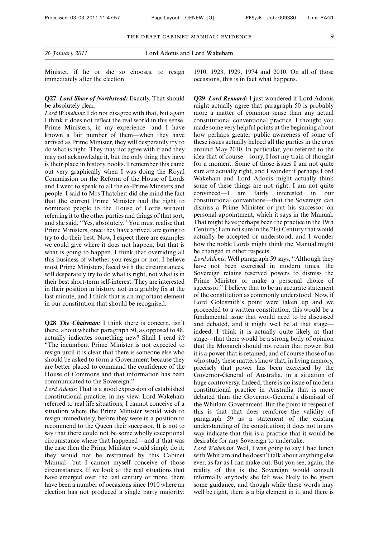Minister, if he or she so chooses, to resign immediately after the election.

#### **Q27** *Lord Shaw of Northstead:* Exactly. That should be absolutely clear.

*Lord Wakeham*: I do not disagree with that, but again I think it does not reflect the real world in this sense. Prime Ministers, in my experience—and I have known a fair number of them—when they have arrived as Prime Minister, they will desperately try to do what is right. They may not agree with it and they may not acknowledge it, but the only thing they have is their place in history books. I remember this came out very graphically when I was doing the Royal Commission on the Reform of the House of Lords and I went to speak to all the ex-Prime Minsters and people. I said to Mrs Thatcher: did she mind the fact that the current Prime Minister had the right to nominate people to the House of Lords without referring it to the other parties and things of that sort, and she said, "Yes, absolutely." You must realise that Prime Ministers, once they have arrived, are going to try to do their best. Now, I expect there are examples we could give where it does not happen, but that is what is going to happen. I think that overriding all this business of whether you resign or not, I believe most Prime Ministers, faced with the circumstances, will desperately try to do what is right, not what is in their best short-term self-interest. They are interested in their position in history, not in a grubby fix at the last minute, and I think that is an important element in our constitution that should be recognised.

**Q28** *The Chairman:* I think there is concern, isn't there, about whether paragraph 50, as opposed to 48, actually indicates something new? Shall I read it? "The incumbent Prime Minister is not expected to resign until it is clear that there is someone else who should be asked to form a Government because they are better placed to command the confidence of the House of Commons and that information has been communicated to the Sovereign."

*Lord Adonis*: That is a good expression of established constitutional practice, in my view. Lord Wakeham referred to real life situations; I cannot conceive of a situation where the Prime Minister would wish to resign immediately, before they were in a position to recommend to the Queen their successor. It is not to say that there could not be some wholly exceptional circumstance where that happened—and if that was the case then the Prime Minister would simply do it; they would not be restrained by this Cabinet Manual—but I cannot myself conceive of those circumstances. If we look at the real situations that have emerged over the last century or more, there have been a number of occasions since 1910 where an election has not produced a single party majority:

1910, 1923, 1929, 1974 and 2010. On all of those occasions, this is in fact what happens.

**Q29** *Lord Rennard:* I just wondered if Lord Adonis might actually agree that paragraph 50 is probably more a matter of common sense than any actual constitutional conventional practice. I thought you made some very helpful points at the beginning about how perhaps greater public awareness of some of these issues actually helped all the parties in the crux around May 2010. In particular, you referred to the idea that of course—sorry, I lost my train of thought for a moment. Some of those issues I am not quite sure are actually right, and I wonder if perhaps Lord Wakeham and Lord Adonis might actually think some of these things are not right. I am not quite convinced—I am fairly interested in our constitutional conventions—that the Sovereign can dismiss a Prime Minister or put his successor on personal appointment, which it says in the Manual. That might have perhaps been the practice in the 19th Century; I am not sure in the 21st Century that would actually be accepted or understood, and I wonder how the noble Lords might think the Manual might be changed in other respects.

*Lord Adonis*: Well paragraph 59 says, "Although they have not been exercised in modern times, the Sovereign retains reserved powers to dismiss the Prime Minister or make a personal choice of successor." I believe that to be an accurate statement of the constitution as commonly understood. Now, if Lord Goldsmith's point were taken up and we proceeded to a written constitution, this would be a fundamental issue that would need to be discussed and debated, and it might well be at that stage indeed, I think it is actually quite likely at that stage—that there would be a strong body of opinion that the Monarch should not retain that power. But it is a power that is retained, and of course those of us who study these matters know that, in living memory, precisely that power has been exercised by the Governor-General of Australia, in a situation of huge controversy. Indeed, there is no issue of modern constitutional practice in Australia that is more debated than the Governor-General's dismissal of the Whitlam Government. But the point in respect of this is that that does reinforce the validity of paragraph 59 as a statement of the existing understanding of the constitution; it does not in any way indicate that this is a practice that it would be desirable for any Sovereign to undertake.

*Lord Wakeham*: Well, I was going to say I had lunch with Whitlam and he doesn't talk about anything else ever, as far as I can make out. But you see, again, the reality of this is the Sovereign would consult informally anybody she felt was likely to be given some guidance, and though while these words may well be right, there is a big element in it, and there is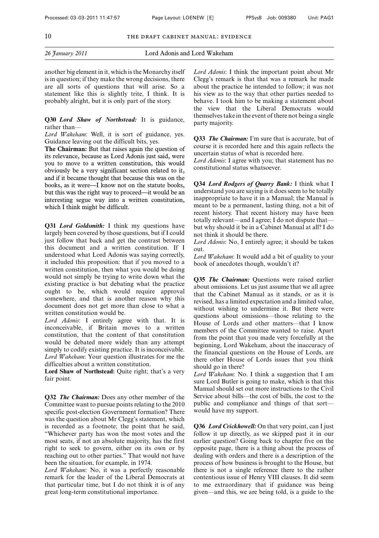another big element in it, which is the Monarchy itself is in question; if they make the wrong decisions, there are all sorts of questions that will arise. So a statement like this is slightly trite, I think. It is probably alright, but it is only part of the story.

#### **Q30** *Lord Shaw of Northstead:* It is guidance, rather than—

*Lord Wakeham*: Well, it is sort of guidance, yes. Guidance leaving out the difficult bits, yes.

**The Chairman:** But that raises again the question of its relevance, because as Lord Adonis just said, were you to move to a written constitution, this would obviously be a very significant section related to it, and if it became thought that because this was on the books, as it were—I know not on the statute books, but this was the right way to proceed—it would be an interesting segue way into a written constitution, which I think might be difficult.

**Q31** *Lord Goldsmith:* I think my questions have largely been covered by those questions, but if I could just follow that back and get the contrast between this document and a written constitution. If I understood what Lord Adonis was saying correctly, it included this proposition: that if you moved to a written constitution, then what you would be doing would not simply be trying to write down what the existing practice is but debating what the practice ought to be, which would require approval somewhere, and that is another reason why this document does not get more than close to what a written constitution would be.

*Lord Adonis*: I entirely agree with that. It is inconceivable, if Britain moves to a written constitution, that the content of that constitution would be debated more widely than any attempt simply to codify existing practice. It is inconceivable. *Lord Wakeham*: Your question illustrates for me the difficulties about a written constitution.

**Lord Shaw of Northstead:** Quite right; that's a very fair point.

**Q32** *The Chairman:* Does any other member of the Committee want to pursue points relating to the 2010 specific post-election Government formation? There was the question about Mr Clegg's statement, which is recorded as a footnote; the point that he said, "Whichever party has won the most votes and the most seats, if not an absolute majority, has the first right to seek to govern, either on its own or by reaching out to other parties." That would not have been the situation, for example, in 1974.

*Lord Wakeham*: No, it was a perfectly reasonable remark for the leader of the Liberal Democrats at that particular time, but I do not think it is of any great long-term constitutional importance.

*Lord Adonis*: I think the important point about Mr Clegg's remark is that that was a remark he made about the practice he intended to follow; it was not his view as to the way that other parties needed to behave. I took him to be making a statement about the view that the Liberal Democrats would themselves take in the event of there not being a single party majority.

**Q33** *The Chairman:* I'm sure that is accurate, but of course it is recorded here and this again reflects the uncertain status of what is recorded here.

*Lord Adonis*: I agree with you; that statement has no constitutional status whatsoever.

**Q34** *Lord Rodgers of Quarry Bank:* I think what I understand you are saying is it does seem to be totally inappropriate to have it in a Manual; the Manual is meant to be a permanent, lasting thing, not a bit of recent history. That recent history may have been totally relevant—and I agree; I do not dispute that but why should it be in a Cabinet Manual at all? I do not think it should be there.

*Lord Adonis*: No, I entirely agree; it should be taken out.

*Lord Wakeham*: It would add a bit of quality to your book of anecdotes though, wouldn't it?

**Q35** *The Chairman:* Questions were raised earlier about omissions. Let us just assume that we all agree that the Cabinet Manual as it stands, or as it is revised, has a limited expectation and a limited value, without wishing to undermine it. But there were questions about omissions—those relating to the House of Lords and other matters—that I know members of the Committee wanted to raise. Apart from the point that you made very forcefully at the beginning, Lord Wakeham, about the inaccuracy of the financial questions on the House of Lords, are there other House of Lords issues that you think should go in there?

*Lord Wakeham*: No. I think a suggestion that I am sure Lord Butler is going to make, which is that this Manual should set out more instructions to the Civil Service about bills—the cost of bills, the cost to the public and compliance and things of that sort would have my support.

**Q36** *Lord Crickhowell:* On that very point, can I just follow it up directly, as we skipped past it in our earlier question? Going back to chapter five on the opposite page, there is a thing about the process of dealing with orders and there is a description of the process of how business is brought to the House, but there is not a single reference there to the rather contentious issue of Henry VIII clauses. It did seem to me extraordinary that if guidance was being given—and this, we are being told, is a guide to the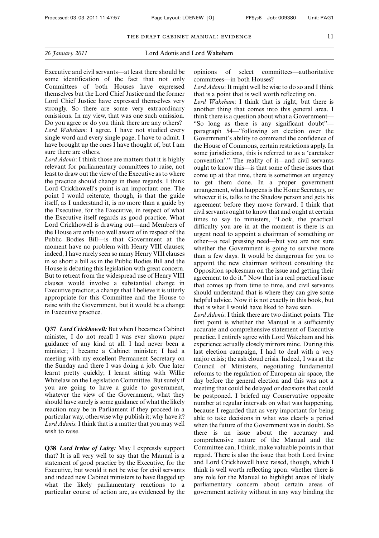| 26 January 2011 |  |
|-----------------|--|
|                 |  |

Executive and civil servants—at least there should be some identification of the fact that not only Committees of both Houses have expressed themselves but the Lord Chief Justice and the former Lord Chief Justice have expressed themselves very strongly. So there are some very extraordinary omissions. In my view, that was one such omission. Do you agree or do you think there are any others? *Lord Wakeham*: I agree. I have not studied every single word and every single page, I have to admit. I have brought up the ones I have thought of, but I am sure there are others.

*Lord Adonis*: I think those are matters that it is highly relevant for parliamentary committees to raise, not least to draw out the view of the Executive as to where the practice should change in these regards. I think Lord Crickhowell's point is an important one. The point I would reiterate, though, is that the guide itself, as I understand it, is no more than a guide by the Executive, for the Executive, in respect of what the Executive itself regards as good practice. What Lord Crickhowell is drawing out—and Members of the House are only too well aware of in respect of the Public Bodies Bill—is that Government at the moment have no problem with Henry VIII clauses; indeed, I have rarely seen so many Henry VIII clauses in so short a bill as in the Public Bodies Bill and the House is debating this legislation with great concern. But to retreat from the widespread use of Henry VIII clauses would involve a substantial change in Executive practice; a change that I believe it is utterly appropriate for this Committee and the House to raise with the Government, but it would be a change in Executive practice.

**Q37** *Lord Crickhowell:* But when I became a Cabinet minister, I do not recall I was ever shown paper guidance of any kind at all. I had never been a minister; I became a Cabinet minister; I had a meeting with my excellent Permanent Secretary on the Sunday and there I was doing a job. One later learnt pretty quickly; I learnt sitting with Willie Whitelaw on the Legislation Committee. But surely if you are going to have a guide to government, whatever the view of the Government, what they should have surely is some guidance of what the likely reaction may be in Parliament if they proceed in a particular way, otherwise why publish it; why have it? *Lord Adonis*: I think that is a matter that you may well wish to raise.

**Q38** *Lord Irvine of Lairg:* May I expressly support that? It is all very well to say that the Manual is a statement of good practice by the Executive, for the Executive, but would it not be wise for civil servants and indeed new Cabinet ministers to have flagged up what the likely parliamentary reactions to a particular course of action are, as evidenced by the opinions of select committees—authoritative committees—in both Houses?

*Lord Adonis*: It might well be wise to do so and I think that is a point that is well worth reflecting on.

*Lord Wakeham*: I think that is right, but there is another thing that comes into this general area. I think there is a question about what a Government— "So long as there is any significant doubt" paragraph 54—"following an election over the Government's ability to command the confidence of the House of Commons, certain restrictions apply. In some jurisdictions, this is referred to as a 'caretaker convention'." The reality of it—and civil servants ought to know this—is that some of these issues that come up at that time, there is sometimes an urgency to get them done. In a proper government arrangement, what happens is the Home Secretary, or whoever it is, talks to the Shadow person and gets his agreement before they move forward. I think that civil servants ought to know that and ought at certain times to say to ministers, "Look, the practical difficulty you are in at the moment is there is an urgent need to appoint a chairman of something or other—a real pressing need—but you are not sure whether the Government is going to survive more than a few days. It would be dangerous for you to appoint the new chairman without consulting the Opposition spokesman on the issue and getting their agreement to do it." Now that is a real practical issue that comes up from time to time, and civil servants should understand that is where they can give some helpful advice. Now it is not exactly in this book, but that is what I would have liked to have seen.

*Lord Adonis*: I think there are two distinct points. The first point is whether the Manual is a sufficiently accurate and comprehensive statement of Executive practice. I entirely agree with Lord Wakeham and his experience actually closely mirrors mine. During this last election campaign, I had to deal with a very major crisis; the ash cloud crisis. Indeed, I was at the Council of Ministers, negotiating fundamental reforms to the regulation of European air space, the day before the general election and this was not a meeting that could be delayed or decisions that could be postponed. I briefed my Conservative opposite number at regular intervals on what was happening, because I regarded that as very important for being able to take decisions in what was clearly a period when the future of the Government was in doubt. So there is an issue about the accuracy and comprehensive nature of the Manual and the Committee can, I think, make valuable points in that regard. There is also the issue that both Lord Irvine and Lord Crickhowell have raised, though, which I think is well worth reflecting upon: whether there is any role for the Manual to highlight areas of likely parliamentary concern about certain areas of government activity without in any way binding the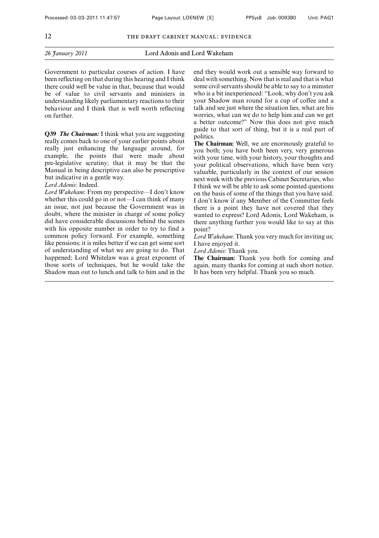#### *26 January 2011* Lord Adonis and Lord Wakeham

Government to particular courses of action. I have been reflecting on that during this hearing and I think there could well be value in that, because that would be of value to civil servants and ministers in understanding likely parliamentary reactions to their behaviour and I think that is well worth reflecting on further.

**Q39** *The Chairman:* I think what you are suggesting really comes back to one of your earlier points about really just enhancing the language around, for example, the points that were made about pre-legislative scrutiny; that it may be that the Manual in being descriptive can also be prescriptive but indicative in a gentle way.

#### *Lord Adonis*: Indeed.

*Lord Wakeham*: From my perspective—I don't know whether this could go in or not—I can think of many an issue, not just because the Government was in doubt, where the minister in charge of some policy did have considerable discussions behind the scenes with his opposite number in order to try to find a common policy forward. For example, something like pensions; it is miles better if we can get some sort of understanding of what we are going to do. That happened; Lord Whitelaw was a great exponent of those sorts of techniques, but he would take the Shadow man out to lunch and talk to him and in the end they would work out a sensible way forward to deal with something. Now that is real and that is what some civil servants should be able to say to a minister who is a bit inexperienced: "Look, why don't you ask your Shadow man round for a cup of coffee and a talk and see just where the situation lies, what are his worries, what can we do to help him and can we get a better outcome?" Now this does not give much guide to that sort of thing, but it is a real part of politics.

**The Chairman:** Well, we are enormously grateful to you both; you have both been very, very generous with your time, with your history, your thoughts and your political observations, which have been very valuable, particularly in the context of our session next week with the previous Cabinet Secretaries, who I think we will be able to ask some pointed questions on the basis of some of the things that you have said. I don't know if any Member of the Committee feels there is a point they have not covered that they wanted to express? Lord Adonis, Lord Wakeham, is there anything further you would like to say at this point?

*Lord Wakeham*: Thank you very much for inviting us; I have enjoyed it.

*Lord Adonis*: Thank you.

**The Chairman:** Thank you both for coming and again, many thanks for coming at such short notice. It has been very helpful. Thank you so much.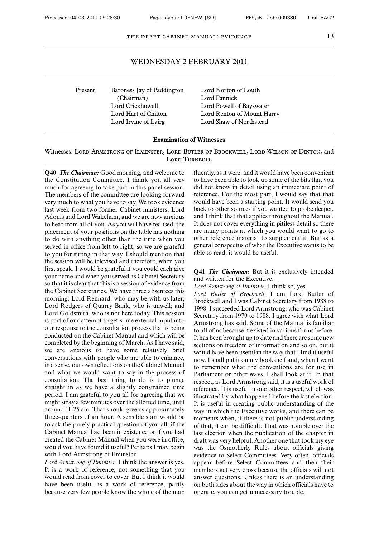# WEDNESDAY 2 FEBRUARY 2011

Present Baroness Jay of Paddington Lord Norton of Louth<br>
(Chairman) Lord Pannick (Chairman) Lord Crickhowell Lord Powell of Bayswater Lord Irvine of Lairg Lord Shaw of Northstead

Lord Hart of Chilton Lord Renton of Mount Harry

#### **Examination of Witnesses**

Witnesses: Lord Armstrong of Ilminster, Lord Butler of Brockwell, Lord Wilson of Dinton, and LORD TURNBULL

**Q40** *The Chairman:* Good morning, and welcome to the Constitution Committee. I thank you all very much for agreeing to take part in this panel session. The members of the committee are looking forward very much to what you have to say. We took evidence last week from two former Cabinet ministers, Lord Adonis and Lord Wakeham, and we are now anxious to hear from all of you. As you will have realised, the placement of your positions on the table has nothing to do with anything other than the time when you served in office from left to right, so we are grateful to you for sitting in that way. I should mention that the session will be televised and therefore, when you first speak, I would be grateful if you could each give your name and when you served as Cabinet Secretary so that it is clear that this is a session of evidence from the Cabinet Secretaries. We have three absentees this morning: Lord Rennard, who may be with us later; Lord Rodgers of Quarry Bank, who is unwell; and Lord Goldsmith, who is not here today. This session is part of our attempt to get some external input into our response to the consultation process that is being conducted on the Cabinet Manual and which will be completed by the beginning of March. As I have said, we are anxious to have some relatively brief conversations with people who are able to enhance, in a sense, our own reflections on the Cabinet Manual and what we would want to say in the process of consultation. The best thing to do is to plunge straight in as we have a slightly constrained time period. I am grateful to you all for agreeing that we might stray a few minutes over the allotted time, until around 11.25 am. That should give us approximately three-quarters of an hour. A sensible start would be to ask the purely practical question of you all: if the Cabinet Manual had been in existence or if you had created the Cabinet Manual when you were in office, would you have found it useful? Perhaps I may begin with Lord Armstrong of Ilminster.

*Lord Armstrong of Ilminster*: I think the answer is yes. It is a work of reference, not something that you would read from cover to cover. But I think it would have been useful as a work of reference, partly because very few people know the whole of the map fluently, as it were, and it would have been convenient to have been able to look up some of the bits that you did not know in detail using an immediate point of reference. For the most part, I would say that that would have been a starting point. It would send you back to other sources if you wanted to probe deeper, and I think that that applies throughout the Manual. It does not cover everything in pitiless detail so there are many points at which you would want to go to other reference material to supplement it. But as a general conspectus of what the Executive wants to be able to read, it would be useful.

#### **Q41** *The Chairman:* But it is exclusively intended and written for the Executive.

*Lord Armstrong of Ilminster*: I think so, yes.

*Lord Butler of Brockwell*: I am Lord Butler of Brockwell and I was Cabinet Secretary from 1988 to 1998. I succeeded Lord Armstrong, who was Cabinet Secretary from 1979 to 1988. I agree with what Lord Armstrong has said. Some of the Manual is familiar to all of us because it existed in various forms before. It has been brought up to date and there are some new sections on freedom of information and so on, but it would have been useful in the way that I find it useful now. I shall put it on my bookshelf and, when I want to remember what the conventions are for use in Parliament or other ways, I shall look at it. In that respect, as Lord Armstrong said, it is a useful work of reference. It is useful in one other respect, which was illustrated by what happened before the last election. It is useful in creating public understanding of the way in which the Executive works, and there can be moments when, if there is not public understanding of that, it can be difficult. That was notable over the last election when the publication of the chapter in draft was very helpful. Another one that took my eye was the Osmotherly Rules about officials giving evidence to Select Committees. Very often, officials appear before Select Committees and then their members get very cross because the officials will not answer questions. Unless there is an understanding on both sides about the way in which officials have to operate, you can get unnecessary trouble.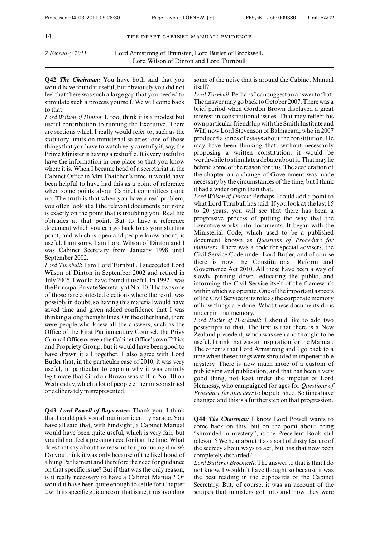**Q42** *The Chairman:* You have both said that you would have found it useful, but obviously you did not feel that there was such a large gap that you needed to stimulate such a process yourself. We will come back to that.

*Lord Wilson of Dinton*: I, too, think it is a modest but useful contribution to running the Executive. There are sections which I really would refer to, such as the statutory limits on ministerial salaries: one of those things that you have to watch very carefully if, say, the Prime Minister is having a reshuffle. It is very useful to have the information in one place so that you know where it is. When I became head of a secretariat in the Cabinet Office in Mrs Thatcher's time, it would have been helpful to have had this as a point of reference when some points about Cabinet committees came up. The truth is that when you have a real problem, you often look at all the relevant documents but none is exactly on the point that is troubling you. Real life obtrudes at that point. But to have a reference document which you can go back to as your starting point, and which is open and people know about, is useful. I am sorry. I am Lord Wilson of Dinton and I was Cabinet Secretary from January 1998 until September 2002.

*Lord Turnbull*: I am Lord Turnbull. I succeeded Lord Wilson of Dinton in September 2002 and retired in July 2005. I would have found it useful. In 1992 I was the Principal Private Secretary at No. 10. That was one of those rare contested elections where the result was possibly in doubt, so having this material would have saved time and given added confidence that I was thinking along the right lines. On the other hand, there were people who knew all the answers, such as the Office of the First Parliamentary Counsel, the Privy Council Office or even the Cabinet Office's ownEthics and Propriety Group, but it would have been good to have drawn it all together. I also agree with Lord Butler that, in the particular case of 2010, it was very useful, in particular to explain why it was entirely legitimate that Gordon Brown was still in No. 10 on Wednesday, which a lot of people either misconstrued or deliberately misrepresented.

**Q43** *Lord Powell of Bayswater:* Thank you. I think that I could pick you all out in an identity parade. You have all said that, with hindsight, a Cabinet Manual would have been quite useful, which is very fair, but you did not feel a pressing need for it at the time.What does that say about the reasons for producing it now? Do you think it was only because of the likelihood of a hung Parliament and therefore the need for guidance on that specific issue? But if that was the only reason, is it really necessary to have a Cabinet Manual? Or would it have been quite enough to settle for Chapter 2 with its specific guidance on that issue, thus avoiding some of the noise that is around the Cabinet Manual itself?

*Lord Turnbull*: Perhaps I can suggest an answer to that. The answer may go back to October 2007. There was a brief period when Gordon Brown displayed a great interest in constitutional issues. That may reflect his own particular friendship with the Smith Institute and Wilf, now Lord Stevenson of Balmacara, who in 2007 produced a series of essays about the constitution. He may have been thinking that, without necessarily proposing a written constitution, it would be worthwhile to stimulate a debate aboutit.Thatmaylie behind some of the reason for this. The acceleration of the chapter on a change of Government was made necessary by the circumstances of the time, but I think it had a wider origin than that.

*Lord Wilson of Dinton*: Perhaps I could add a point to what Lord Turnbull has said. If you look at the last 15 to 20 years, you will see that there has been a progressive process of putting the way that the Executive works into documents. It began with the Ministerial Code, which used to be a published document known as *Questions of Procedure for ministers*. There was a code for special advisers, the Civil Service Code under Lord Butler, and of course there is now the Constitutional Reform and Governance Act 2010. All these have been a way of slowly pinning down, educating the public, and informing the Civil Service itself of the framework within which we operate. One of the important aspects of the Civil Service is its role as the corporate memory of how things are done. What these documents do is underpin that memory.

*Lord Butler of Brockwell*: I should like to add two postscripts to that. The first is that there is a New Zealand precedent, which was seen and thought to be useful. I think that was an inspiration for the Manual. The other is that Lord Armstrong and I go back to a time when these things were shrouded in impenetrable mystery. There is now much more of a custom of publicising and publication, and that has been a very good thing, not least under the impetus of Lord Hennessy, who campaigned for ages for *Questions of Procedure for ministers*to be published. So times have changed and this is a further step on that progression.

**Q44** *The Chairman:* I know Lord Powell wants to come back on this, but on the point about being "shrouded in mystery", is the Precedent Book still relevant? We hear about it as a sort of dusty feature of the secrecy about ways to act, but has that now been completely discarded?

*Lord Butler of Brockwell*: The answer to that is that I do not know. I wouldn't have thought so because it was the best reading in the cupboards of the Cabinet Secretary. But, of course, it was an account of the scrapes that ministers got into and how they were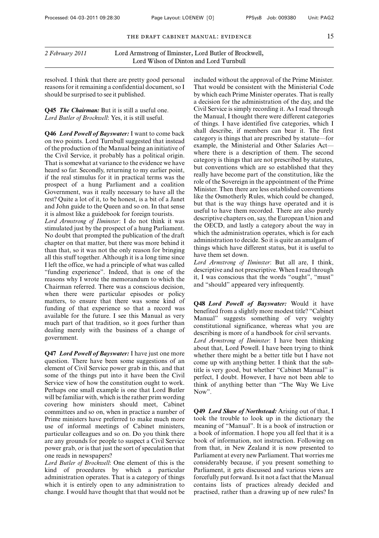*2 February 2011* Lord Armstrong of Ilminster, Lord Butler of Brockwell, Lord Wilson of Dinton and Lord Turnbull

resolved. I think that there are pretty good personal reasons for it remaining a confidential document, so I should be surprised to see it published.

**Q45** *The Chairman:* But it is still a useful one. *Lord Butler of Brockwell*: Yes, it is still useful.

**Q46** *Lord Powell of Bayswater:* I want to come back on two points. Lord Turnbull suggested that instead of the production of the Manual being an initiative of the Civil Service, it probably has a political origin. That is somewhat at variance to the evidence we have heard so far. Secondly, returning to my earlier point, if the real stimulus for it in practical terms was the prospect of a hung Parliament and a coalition Government, was it really necessary to have all the rest? Quite a lot of it, to be honest, is a bit of a Janet and John guide to the Queen and so on. In that sense it is almost like a guidebook for foreign tourists.

*Lord Armstrong of Ilminster*: I do not think it was stimulated just by the prospect of a hung Parliament. No doubt that prompted the publication of the draft chapter on that matter, but there was more behind it than that, so it was not the only reason for bringing all this stuff together. Although it is a long time since I left the office, we had a principle of what was called "funding experience". Indeed, that is one of the reasons why I wrote the memorandum to which the Chairman referred. There was a conscious decision, when there were particular episodes or policy matters, to ensure that there was some kind of funding of that experience so that a record was available for the future. I see this Manual as very much part of that tradition, so it goes further than dealing merely with the business of a change of government.

**Q47** *Lord Powell of Bayswater:* I have just one more question. There have been some suggestions of an element of Civil Service power grab in this, and that some of the things put into it have been the Civil Service view of how the constitution ought to work. Perhaps one small example is one that Lord Butler will be familiar with, which is the rather prim wording covering how ministers should meet, Cabinet committees and so on, when in practice a number of Prime ministers have preferred to make much more use of informal meetings of Cabinet ministers, particular colleagues and so on. Do you think there are any grounds for people to suspect a Civil Service power grab, or is that just the sort of speculation that one reads in newspapers?

*Lord Butler of Brockwell*: One element of this is the kind of procedures by which a particular administration operates. That is a category of things which it is entirely open to any administration to change. I would have thought that that would not be included without the approval of the Prime Minister. That would be consistent with the Ministerial Code by which each Prime Minister operates. That is really a decision for the administration of the day, and the Civil Service is simply recording it. As I read through the Manual, I thought there were different categories of things. I have identified five categories, which I shall describe, if members can bear it. The first category is things that are prescribed by statute—for example, the Ministerial and Other Salaries Act where there is a description of them. The second category is things that are not prescribed by statutes, but conventions which are so established that they really have become part of the constitution, like the role of the Sovereign in the appointment of the Prime Minister. Then there are less established conventions like the Osmotherly Rules, which could be changed, but that is the way things have operated and it is useful to have them recorded. There are also purely descriptive chapters on, say, the European Union and the OECD, and lastly a category about the way in which the administration operates, which is for each administration to decide. So it is quite an amalgam of things which have different status, but it is useful to have them set down.

*Lord Armstrong of Ilminster*: But all are, I think, descriptive and not prescriptive. When I read through it, I was conscious that the words "ought", "must" and "should" appeared very infrequently.

**Q48** *Lord Powell of Bayswater:* Would it have benefited from a slightly more modest title? "Cabinet Manual" suggests something of very weighty constitutional significance, whereas what you are describing is more of a handbook for civil servants. *Lord Armstrong of Ilminster*: I have been thinking about that, Lord Powell. I have been trying to think whether there might be a better title but I have not come up with anything better. I think that the subtitle is very good, but whether "Cabinet Manual" is perfect, I doubt. However, I have not been able to think of anything better than "The Way We Live Now".

**Q49** *Lord Shaw of Northstead:* Arising out of that, I took the trouble to look up in the dictionary the meaning of "Manual". It is a book of instruction or a book of information. I hope you all feel that it is a book of information, not instruction. Following on from that, in New Zealand it is now presented to Parliament at every new Parliament. That worries me considerably because, if you present something to Parliament, it gets discussed and various views are forcefully put forward. Is it not a fact that the Manual contains lists of practices already decided and practised, rather than a drawing up of new rules? In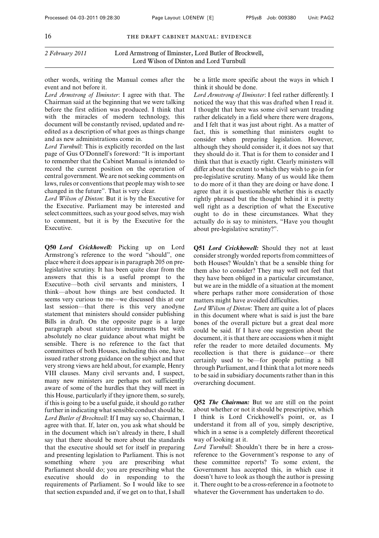other words, writing the Manual comes after the event and not before it.

*Lord Armstrong of Ilminster*: I agree with that. The Chairman said at the beginning that we were talking before the first edition was produced. I think that with the miracles of modern technology, this document will be constantly revised, updated and reedited as a description of what goes as things change and as new administrations come in.

*Lord Turnbull*: This is explicitly recorded on the last page of Gus O'Donnell's foreword: "It is important to remember that the Cabinet Manual is intended to record the current position on the operation of central government. We are not seeking comments on laws, rules or conventions that people may wish to see changed in the future". That is very clear.

*Lord Wilson of Dinton*: But it is by the Executive for the Executive. Parliament may be interested and select committees, such as your good selves, may wish to comment, but it is by the Executive for the Executive.

**Q50** *Lord Crickhowell:* Picking up on Lord Armstrong's reference to the word "should", one place where it does appear is in paragraph 205 on prelegislative scrutiny. It has been quite clear from the answers that this is a useful prompt to the Executive—both civil servants and ministers, I think—about how things are best conducted. It seems very curious to me—we discussed this at our last session—that there is this very anodyne statement that ministers should consider publishing Bills in draft. On the opposite page is a large paragraph about statutory instruments but with absolutely no clear guidance about what might be sensible. There is no reference to the fact that committees of both Houses, including this one, have issued rather strong guidance on the subject and that very strong views are held about, for example, Henry VIII clauses. Many civil servants and, I suspect, many new ministers are perhaps not sufficiently aware of some of the hurdles that they will meet in this House, particularly if they ignore them, so surely, if this is going to be a useful guide, it should go rather further in indicating what sensible conduct should be. *Lord Butler of Brockwell*: If I may say so, Chairman, I agree with that. If, later on, you ask what should be in the document which isn't already in there, I shall say that there should be more about the standards that the executive should set for itself in preparing and presenting legislation to Parliament. This is not something where you are prescribing what Parliament should do; you are prescribing what the executive should do in responding to the requirements of Parliament. So I would like to see that section expanded and, if we get on to that, I shall

be a little more specific about the ways in which I think it should be done.

*Lord Armstrong of Ilminster*: I feel rather differently. I noticed the way that this was drafted when I read it. I thought that here was some civil servant treading rather delicately in a field where there were dragons, and I felt that it was just about right. As a matter of fact, this is something that ministers ought to consider when preparing legislation. However, although they should consider it, it does not say that they should do it. That is for them to consider and I think that that is exactly right. Clearly ministers will differ about the extent to which they wish to go in for pre-legislative scrutiny. Many of us would like them to do more of it than they are doing or have done. I agree that it is questionable whether this is exactly rightly phrased but the thought behind it is pretty well right as a description of what the Executive ought to do in these circumstances. What they actually do is say to ministers, "Have you thought about pre-legislative scrutiny?".

**Q51** *Lord Crickhowell:* Should they not at least consider strongly worded reports from committees of both Houses? Wouldn't that be a sensible thing for them also to consider? They may well not feel that they have been obliged in a particular circumstance, but we are in the middle of a situation at the moment where perhaps rather more consideration of those matters might have avoided difficulties.

*Lord Wilson of Dinton*: There are quite a lot of places in this document where what is said is just the bare bones of the overall picture but a great deal more could be said. If I have one suggestion about the document, it is that there are occasions when it might refer the reader to more detailed documents. My recollection is that there is guidance—or there certainly used to be—for people putting a bill through Parliament, and I think that a lot more needs to be said in subsidiary documents rather than in this overarching document.

**Q52** *The Chairman:* But we are still on the point about whether or not it should be prescriptive, which I think is Lord Crickhowell's point, or, as I understand it from all of you, simply descriptive, which in a sense is a completely different theoretical way of looking at it.

*Lord Turnbull*: Shouldn't there be in here a crossreference to the Government's response to any of these committee reports? To some extent, the Government has accepted this, in which case it doesn't have to look as though the author is pressing it. There ought to be a cross-reference in a footnote to whatever the Government has undertaken to do.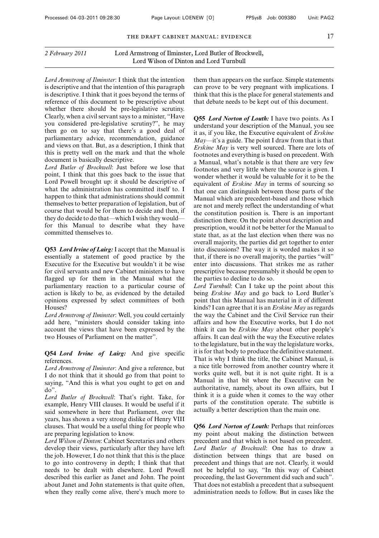*Lord Armstrong of Ilminster*: I think that the intention is descriptive and that the intention of this paragraph is descriptive. I think that it goes beyond the terms of reference of this document to be prescriptive about whether there should be pre-legislative scrutiny. Clearly, when a civil servant says to a minister, "Have you considered pre-legislative scrutiny?", he may then go on to say that there's a good deal of parliamentary advice, recommendation, guidance and views on that. But, as a description, I think that this is pretty well on the mark and that the whole document is basically descriptive.

*Lord Butler of Brockwell*: Just before we lose that point, I think that this goes back to the issue that Lord Powell brought up: it should be descriptive of what the administration has committed itself to. I happen to think that administrations should commit themselves to better preparation of legislation, but of course that would be for them to decide and then, if they do decide to do that—which I wish they would for this Manual to describe what they have committed themselves to.

**Q53** *Lord Irvine of Lairg:*I accept that the Manual is essentially a statement of good practice by the Executive for the Executive but wouldn't it be wise for civil servants and new Cabinet ministers to have flagged up for them in the Manual what the parliamentary reaction to a particular course of action is likely to be, as evidenced by the detailed opinions expressed by select committees of both Houses?

*Lord Armstrong of Ilminster*: Well, you could certainly add here, "ministers should consider taking into account the views that have been expressed by the two Houses of Parliament on the matter".

**Q54** *Lord Irvine of Lairg:* And give specific references.

*Lord Armstrong of Ilminster*: And give a reference, but I do not think that it should go from that point to saying, "And this is what you ought to get on and do".

*Lord Butler of Brockwell*: That's right. Take, for example, Henry VIII clauses. It would be useful if it said somewhere in here that Parliament, over the years, has shown a very strong dislike of Henry VIII clauses. That would be a useful thing for people who are preparing legislation to know.

*Lord Wilson of Dinton*: Cabinet Secretaries and others develop their views, particularly after they have left the job. However, I do not think that this is the place to go into controversy in depth; I think that that needs to be dealt with elsewhere. Lord Powell described this earlier as Janet and John. The point about Janet and John statements is that quite often, when they really come alive, there's much more to them than appears on the surface. Simple statements can prove to be very pregnant with implications. I think that this is the place for general statements and that debate needs to be kept out of this document.

**Q55** *Lord Norton of Louth:* I have two points. As I understand your description of the Manual, you see it as, if you like, the Executive equivalent of *Erskine May—*it's a guide. The point I draw from that is that *Erskine May* is very well sourced. There are lots of footnotes and everything is based on precedent. With a Manual, what's notable is that there are very few footnotes and very little where the source is given. I wonder whether it would be valuable for it to be the equivalent of *Erskine May* in terms of sourcing so that one can distinguish between those parts of the Manual which are precedent-based and those which are not and merely reflect the understanding of what the constitution position is. There is an important distinction there. On the point about description and prescription, would it not be better for the Manual to state that, as at the last election when there was no overall majority, the parties did get together to enter into discussions? The way it is worded makes it so that, if there is no overall majority, the parties "will" enter into discussions. That strikes me as rather prescriptive because presumably it should be open to the parties to decline to do so.

*Lord Turnbull*: Can I take up the point about this being *Erskine May* and go back to Lord Butler's point that this Manual has material in it of different kinds? I can agree that it is an *Erskine May* as regards the way the Cabinet and the Civil Service run their affairs and how the Executive works, but I do not think it can be *Erskine May* about other people's affairs. It can deal with the way the Executive relates to the legislature, but in the way the legislature works, it is for that body to produce the definitive statement. That is why I think the title, the Cabinet Manual, is a nice title borrowed from another country where it works quite well, but it is not quite right. It is a Manual in that bit where the Executive can be authoritative, namely, about its own affairs, but I think it is a guide when it comes to the way other parts of the constitution operate. The subtitle is actually a better description than the main one.

**Q56** *Lord Norton of Louth:* Perhaps that reinforces my point about making the distinction between precedent and that which is not based on precedent. *Lord Butler of Brockwell*: One has to draw a distinction between things that are based on precedent and things that are not. Clearly, it would not be helpful to say, "In this way of Cabinet proceeding, the last Government did such and such". That does not establish a precedent that a subsequent administration needs to follow. But in cases like the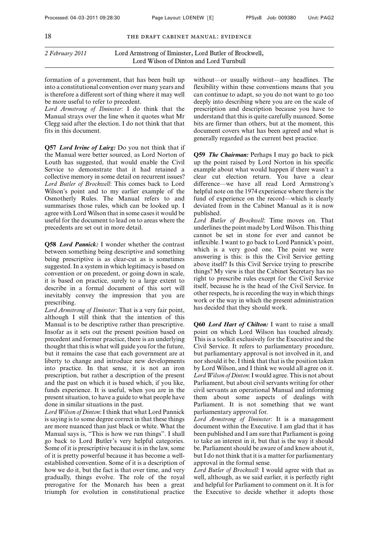formation of a government, that has been built up into a constitutional convention over many years and is therefore a different sort of thing where it may well be more useful to refer to precedent.

*Lord Armstrong of Ilminster*: I do think that the Manual strays over the line when it quotes what Mr Clegg said after the election. I do not think that that fits in this document.

**Q57** *Lord Irvine of Lairg:* Do you not think that if the Manual were better sourced, as Lord Norton of Louth has suggested, that would enable the Civil Service to demonstrate that it had retained a collective memory in some detail on recurrent issues? *Lord Butler of Brockwell*: This comes back to Lord Wilson's point and to my earlier example of the Osmotherly Rules. The Manual refers to and summarises those rules, which can be looked up. I agree with Lord Wilson that in some cases it would be useful for the document to lead on to areas where the precedents are set out in more detail.

**Q58** *Lord Pannick:* I wonder whether the contrast between something being descriptive and something being prescriptive is as clear-cut as is sometimes suggested. In a system in which legitimacy is based on convention or on precedent, or going down in scale, it is based on practice, surely to a large extent to describe in a formal document of this sort will inevitably convey the impression that you are prescribing.

*Lord Armstrong of Ilminster*: That is a very fair point, although I still think that the intention of this Manual is to be descriptive rather than prescriptive. Insofar as it sets out the present position based on precedent and former practice, there is an underlying thought that this is what will guide you for the future, but it remains the case that each government are at liberty to change and introduce new developments into practice. In that sense, it is not an iron prescription, but rather a description of the present and the past on which it is based which, if you like, funds experience. It is useful, when you are in the present situation, to have a guide to what people have done in similar situations in the past.

*Lord Wilson of Dinton*: I think that what Lord Pannick is saying is to some degree correct in that these things are more nuanced than just black or white. What the Manual says is, "This is how we run things". I shall go back to Lord Butler's very helpful categories. Some of it is prescriptive because it is in the law, some of it is pretty powerful because it has become a wellestablished convention. Some of it is a description of how we do it, but the fact is that over time, and very gradually, things evolve. The role of the royal prerogative for the Monarch has been a great triumph for evolution in constitutional practice without—or usually without—any headlines. The flexibility within these conventions means that you can continue to adapt, so you do not want to go too deeply into describing where you are on the scale of prescription and description because you have to understand that this is quite carefully nuanced. Some bits are firmer than others, but at the moment, this document covers what has been agreed and what is generally regarded as the current best practice.

**Q59** *The Chairman:* Perhaps I may go back to pick up the point raised by Lord Norton in his specific example about what would happen if there wasn't a clear cut election return. You have a clear difference—we have all read Lord Armstrong's helpful note on the 1974 experience where there is the fund of experience on the record—which is clearly deviated from in the Cabinet Manual as it is now published.

*Lord Butler of Brockwell*: Time moves on. That underlines the point made by Lord Wilson. This thing cannot be set in stone for ever and cannot be inflexible. I want to go back to Lord Pannick's point, which is a very good one. The point we were answering is this: is this the Civil Service getting above itself? Is this Civil Service trying to prescribe things? My view is that the Cabinet Secretary has no right to prescribe rules except for the Civil Service itself, because he is the head of the Civil Service. In other respects, he is recording the way in which things work or the way in which the present administration has decided that they should work.

**Q60** *Lord Hart of Chilton:* I want to raise a small point on which Lord Wilson has touched already. This is a toolkit exclusively for the Executive and the Civil Service. It refers to parliamentary procedure, but parliamentary approval is not involved in it, and nor should it be. I think that that is the position taken by Lord Wilson, and I think we would all agree on it. *Lord Wilson of Dinton*: I would agree. This is not about Parliament, but about civil servants writing for other civil servants an operational Manual and informing them about some aspects of dealings with Parliament. It is not something that we want parliamentary approval for.

*Lord Armstrong of Ilminster*: It is a management document within the Executive. I am glad that it has been published and I am sure that Parliament is going to take an interest in it, but that is the way it should be. Parliament should be aware of and know about it, but I do not think that it is a matter for parliamentary approval in the formal sense.

*Lord Butler of Brockwell*: I would agree with that as well, although, as we said earlier, it is perfectly right and helpful for Parliament to comment on it. It is for the Executive to decide whether it adopts those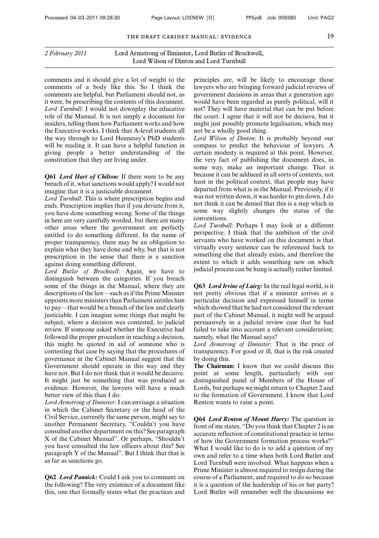*2 February 2011* Lord Armstrong of Ilminster, Lord Butler of Brockwell, Lord Wilson of Dinton and Lord Turnbull

comments and it should give a lot of weight to the comments of a body like this. So I think the comments are helpful, but Parliament should not, as it were, be prescribing the contents of this document. *Lord Turnbull*: I would not downplay the educative role of the Manual. It is not simply a document for insiders, telling them how Parliament works and how the Executive works. I think that A-level students all the way through to Lord Hennessy's PhD students will be reading it. It can have a helpful function in giving people a better understanding of the constitution that they are living under.

**Q61** *Lord Hart of Chilton:* If there were to be any breach of it, what sanctions would apply? I would not imagine that it is a justiciable document.

*Lord Turnbull*: This is where prescription begins and ends. Prescription implies that if you deviate from it, you have done something wrong. Some of the things in here are very carefully worded, but there are many other areas where the government are perfectly entitled to do something different. In the name of proper transparency, there may be an obligation to explain what they have done and why, but that is not prescription in the sense that there is a sanction against doing something different.

*Lord Butler of Brockwell*: Again, we have to distinguish between the categories. If you breach some of the things in the Manual, where they are descriptions of the law—such as if the Prime Minister appoints more ministers than Parliament entitles him to pay—that would be a breach of the law and clearly justiciable. I can imagine some things that might be subject, where a decision was contested, to judicial review. If someone asked whether the Executive had followed the proper procedure in reaching a decision, this might be quoted in aid of someone who is contesting that case by saying that the procedures of governance in the Cabinet Manual suggest that the Government should operate in this way and they have not. But I do not think that it would be decisive. It might just be something that was produced as evidence. However, the lawyers will have a much better view of this than I do.

*Lord Armstrong of Ilminster*: I can envisage a situation in which the Cabinet Secretary or the head of the Civil Service, currently the same person, might say to another Permanent Secretary, "Couldn't you have consulted another department on this? See paragraph X of the Cabinet Manual". Or perhaps, "Shouldn't you have consulted the law officers about this? See paragraph Y of the Manual". But I think that that is as far as sanctions go.

**Q62** *Lord Pannick:* Could I ask you to comment on the following? The very existence of a document like this, one that formally states what the practices and principles are, will be likely to encourage those lawyers who are bringing forward judicial reviews of government decisions in areas that a generation ago would have been regarded as purely political, will it not? They will have material that can be put before the court. I agree that it will not be decisive, but it might just possibly promote legalisation, which may not be a wholly good thing.

*Lord Wilson of Dinton*: It is probably beyond our compass to predict the behaviour of lawyers. A certain modesty is required at this point. However, the very fact of publishing the document does, in some way, make an important change. That is because it can be adduced in all sorts of contexts, not least in the political context, that people may have departed from what is in the Manual. Previously, if it was not written down, it was harder to pin down. I do not think it can be denied that this is a step which in some way slightly changes the status of the conventions.

*Lord Turnbull*: Perhaps I may look at a different perspective. I think that the ambition of the civil servants who have worked on this document is that virtually every sentence can be referenced back to something else that already exists, and therefore the extent to which it adds something new on which judicial process can be hung is actually rather limited.

**Q63** *Lord Irvine of Lairg:* In the real legal world, is it not pretty obvious that if a minister arrives at a particular decision and expressed himself in terms which showed that he had not considered the relevant part of the Cabinet Manual, it might well be argued persuasively in a judicial review case that he had failed to take into account a relevant consideration; namely, what the Manual says?

*Lord Armstrong of Ilminster*: That is the price of transparency. For good or ill, that is the risk created by doing this.

**The Chairman:** I know that we could discuss this point at some length, particularly with our distinguished panel of Members of the House of Lords, but perhaps we might return to Chapter 2 and to the formation of Government. I know that Lord Renton wants to raise a point.

**Q64** *Lord Renton of Mount Harry:* The question in front of me states, "Do you think that Chapter 2 is an accurate reflection of constitutional practice in terms of how the Government formation process works?" What I would like to do is to add a question of my own and refer to a time when both Lord Butler and Lord Turnbull were involved. What happens when a Prime Minister is almost required to resign during the course of a Parliament, and required to do so because it is a question of the leadership of his or her party? Lord Butler will remember well the discussions we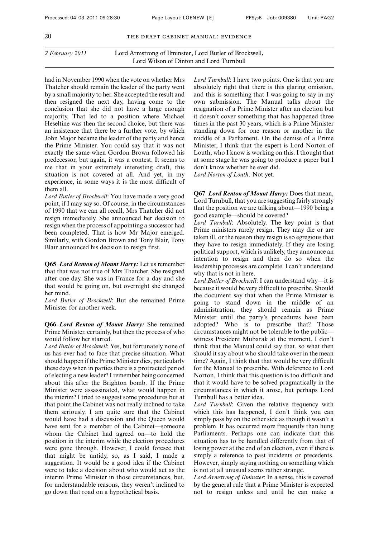had in November 1990 when the vote on whether Mrs Thatcher should remain the leader of the party went by a small majority to her. She accepted the result and then resigned the next day, having come to the conclusion that she did not have a large enough majority. That led to a position where Michael Heseltine was then the second choice, but there was an insistence that there be a further vote, by which John Major became the leader of the party and hence the Prime Minister. You could say that it was not exactly the same when Gordon Brown followed his predecessor, but again, it was a contest. It seems to me that in your extremely interesting draft, this situation is not covered at all. And yet, in my experience, in some ways it is the most difficult of them all.

*Lord Butler of Brockwell*: You have made a very good point, if I may say so. Of course, in the circumstances of 1990 that we can all recall, Mrs Thatcher did not resign immediately. She announced her decision to resign when the process of appointing a successor had been completed. That is how Mr Major emerged. Similarly, with Gordon Brown and Tony Blair, Tony Blair announced his decision to resign first.

**Q65** *Lord Renton of Mount Harry:* Let us remember that that was not true of Mrs Thatcher. She resigned after one day. She was in France for a day and she that would be going on, but overnight she changed her mind.

*Lord Butler of Brockwell*: But she remained Prime Minister for another week.

**Q66** *Lord Renton of Mount Harry:* She remained Prime Minister, certainly, but then the process of who would follow her started.

*Lord Butler of Brockwell*: Yes, but fortunately none of us has ever had to face that precise situation. What should happen if the Prime Minister dies, particularly these days when in parties there is a protracted period of electing a new leader? I remember being concerned about this after the Brighton bomb. If the Prime Minister were assassinated, what would happen in the interim? I tried to suggest some procedures but at that point the Cabinet was not really inclined to take them seriously. I am quite sure that the Cabinet would have had a discussion and the Queen would have sent for a member of the Cabinet—someone whom the Cabinet had agreed on—to hold the position in the interim while the election procedures were gone through. However, I could foresee that that might be untidy, so, as I said, I made a suggestion. It would be a good idea if the Cabinet were to take a decision about who would act as the interim Prime Minister in those circumstances, but, for understandable reasons, they weren't inclined to go down that road on a hypothetical basis.

*Lord Turnbull*: I have two points. One is that you are absolutely right that there is this glaring omission, and this is something that I was going to say in my own submission. The Manual talks about the resignation of a Prime Minister after an election but it doesn't cover something that has happened three times in the past 30 years, which is a Prime Minister standing down for one reason or another in the middle of a Parliament. On the demise of a Prime Minister, I think that the expert is Lord Norton of Louth, who I know is working on this. I thought that at some stage he was going to produce a paper but I don't know whether he ever did.

*Lord Norton of Louth:* Not yet.

**Q67** *Lord Renton of Mount Harry:* Does that mean, Lord Turnbull, that you are suggesting fairly strongly that the position we are talking about—1990 being a good example—should be covered?

*Lord Turnbull*: Absolutely. The key point is that Prime ministers rarely resign. They may die or are taken ill, or the reason they resign is so egregious that they have to resign immediately. If they are losing political support, which is unlikely, they announce an intention to resign and then do so when the leadership processes are complete. I can't understand why that is not in here.

*Lord Butler of Brockwell*: I can understand why—it is because it would be very difficult to prescribe. Should the document say that when the Prime Minister is going to stand down in the middle of an administration, they should remain as Prime Minister until the party's procedures have been adopted? Who is to prescribe that? Those circumstances might not be tolerable to the public witness President Mubarak at the moment. I don't think that the Manual could say that, so what then should it say about who should take over in the mean time? Again, I think that that would be very difficult for the Manual to prescribe. With deference to Lord Norton, I think that this question is too difficult and that it would have to be solved pragmatically in the circumstances in which it arose, but perhaps Lord Turnbull has a better idea.

*Lord Turnbull*: Given the relative frequency with which this has happened, I don't think you can simply pass by on the other side as though it wasn't a problem. It has occurred more frequently than hung Parliaments. Perhaps one can indicate that this situation has to be handled differently from that of losing power at the end of an election, even if there is simply a reference to past incidents or precedents. However, simply saying nothing on something which is not at all unusual seems rather strange.

*Lord Armstrong of Ilminster*: In a sense, this is covered by the general rule that a Prime Minister is expected not to resign unless and until he can make a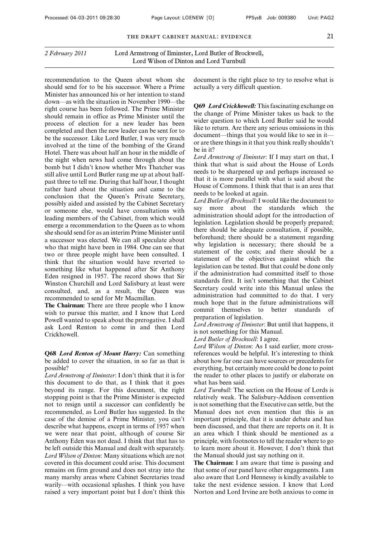recommendation to the Queen about whom she should send for to be his successor. Where a Prime Minister has announced his or her intention to stand down—as with the situation in November 1990—the right course has been followed. The Prime Minister should remain in office as Prime Minister until the process of election for a new leader has been completed and then the new leader can be sent for to be the successor. Like Lord Butler, I was very much involved at the time of the bombing of the Grand Hotel. There was about half an hour in the middle of the night when news had come through about the bomb but I didn't know whether Mrs Thatcher was still alive until Lord Butler rang me up at about halfpast three to tell me. During that half hour, I thought rather hard about the situation and came to the conclusion that the Queen's Private Secretary, possibly aided and assisted by the Cabinet Secretary or someone else, would have consultations with leading members of the Cabinet, from which would emerge a recommendation to the Queen as to whom she should send for as an interim Prime Minister until a successor was elected. We can all speculate about who that might have been in 1984. One can see that two or three people might have been consulted. I think that the situation would have reverted to something like what happened after Sir Anthony Eden resigned in 1957. The record shows that Sir Winston Churchill and Lord Salisbury at least were consulted, and, as a result, the Queen was recommended to send for Mr Macmillan.

**The Chairman:** There are three people who I know wish to pursue this matter, and I know that Lord Powell wanted to speak about the prerogative. I shall ask Lord Renton to come in and then Lord Crickhowell.

#### **Q68** *Lord Renton of Mount Harry:* Can something be added to cover the situation, in so far as that is possible?

*Lord Armstrong of Ilminster*: I don't think that it is for this document to do that, as I think that it goes beyond its range. For this document, the right stopping point is that the Prime Minister is expected not to resign until a successor can confidently be recommended, as Lord Butler has suggested. In the case of the demise of a Prime Minister, you can't describe what happens, except in terms of 1957 when we were near that point, although of course Sir Anthony Eden was not dead. I think that that has to be left outside this Manual and dealt with separately. *Lord Wilson of Dinton*: Many situations which are not covered in this document could arise. This document remains on firm ground and does not stray into the many marshy areas where Cabinet Secretaries tread warily—with occasional splashes. I think you have raised a very important point but I don't think this document is the right place to try to resolve what is actually a very difficult question.

**Q69** *Lord Crickhowell:* This fascinating exchange on the change of Prime Minister takes us back to the wider question to which Lord Butler said he would like to return. Are there any serious omissions in this document—things that you would like to see in it or are there things in it that you think really shouldn't be in it?

*Lord Armstrong of Ilminster*: If I may start on that, I think that what is said about the House of Lords needs to be sharpened up and perhaps increased so that it is more parallel with what is said about the House of Commons. I think that that is an area that needs to be looked at again.

*Lord Butler of Brockwell*: I would like the document to say more about the standards which the administration should adopt for the introduction of legislation. Legislation should be properly prepared; there should be adequate consultation, if possible, beforehand; there should be a statement regarding why legislation is necessary; there should be a statement of the costs; and there should be a statement of the objectives against which the legislation can be tested. But that could be done only if the administration had committed itself to those standards first. It isn't something that the Cabinet Secretary could write into this Manual unless the administration had committed to do that. I very much hope that in the future administrations will commit themselves to better standards preparation of legislation.

*Lord Armstrong of Ilminster*: But until that happens, it is not something for this Manual.

*Lord Butler of Brockwell*: I agree.

*Lord Wilson of Dinton*: As I said earlier, more crossreferences would be helpful. It's interesting to think about how far one can have sources or precedents for everything, but certainly more could be done to point the reader to other places to justify or elaborate on what has been said.

*Lord Turnbull*: The section on the House of Lords is relatively weak. The Salisbury-Addison convention is not something that the Executive can settle, but the Manual does not even mention that this is an important principle, that it is under debate and has been discussed, and that there are reports on it. It is an area which I think should be mentioned as a principle, with footnotes to tell the reader where to go to learn more about it. However, I don't think that the Manual should just say nothing on it.

**The Chairman:** I am aware that time is passing and that some of our panel have other engagements. I am also aware that Lord Hennessy is kindly available to take the next evidence session. I know that Lord Norton and Lord Irvine are both anxious to come in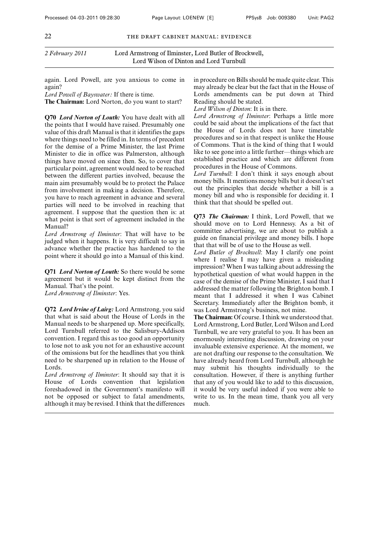again. Lord Powell, are you anxious to come in again?

*Lord Powell of Bayswater:* If there is time.

**The Chairman:** Lord Norton, do you want to start?

**Q70** *Lord Norton of Louth:* You have dealt with all the points that I would have raised. Presumably one value of this draft Manual is that it identifies the gaps where things need to be filled in. In terms of precedent for the demise of a Prime Minister, the last Prime Minister to die in office was Palmerston, although things have moved on since then. So, to cover that particular point, agreement would need to be reached between the different parties involved, because the main aim presumably would be to protect the Palace from involvement in making a decision. Therefore, you have to reach agreement in advance and several parties will need to be involved in reaching that agreement. I suppose that the question then is: at what point is that sort of agreement included in the Manual?

*Lord Armstrong of Ilminster*: That will have to be judged when it happens. It is very difficult to say in advance whether the practice has hardened to the point where it should go into a Manual of this kind.

**Q71** *Lord Norton of Louth:* So there would be some agreement but it would be kept distinct from the Manual. That's the point.

*Lord Armstrong of Ilminster*: Yes.

**Q72** *Lord Irvine of Lairg:* Lord Armstrong, you said that what is said about the House of Lords in the Manual needs to be sharpened up. More specifically, Lord Turnbull referred to the Salisbury-Addison convention. I regard this as too good an opportunity to lose not to ask you not for an exhaustive account of the omissions but for the headlines that you think need to be sharpened up in relation to the House of Lords.

*Lord Armstrong of Ilminster*: It should say that it is House of Lords convention that legislation foreshadowed in the Government's manifesto will not be opposed or subject to fatal amendments, although it may be revised. I think that the differences in procedure on Bills should be made quite clear. This may already be clear but the fact that in the House of Lords amendments can be put down at Third Reading should be stated.

*Lord Wilson of Dinton*: It is in there.

*Lord Armstrong of Ilminster*: Perhaps a little more could be said about the implications of the fact that the House of Lords does not have timetable procedures and so in that respect is unlike the House of Commons. That is the kind of thing that I would like to see gone into a little further—things which are established practice and which are different from procedures in the House of Commons.

*Lord Turnbull*: I don't think it says enough about money bills. It mentions money bills but it doesn't set out the principles that decide whether a bill is a money bill and who is responsible for deciding it. I think that that should be spelled out.

**Q73** *The Chairman:* I think, Lord Powell, that we should move on to Lord Hennessy. As a bit of committee advertising, we are about to publish a guide on financial privilege and money bills. I hope that that will be of use to the House as well.

*Lord Butler of Brockwell*: May I clarify one point where I realise I may have given a misleading impression? When I was talking about addressing the hypothetical question of what would happen in the case of the demise of the Prime Minister, I said that I addressed the matter following the Brighton bomb. I meant that I addressed it when I was Cabinet Secretary. Immediately after the Brighton bomb, it was Lord Armstrong's business, not mine.

**The Chairman:** Of course. I think we understood that. Lord Armstrong, Lord Butler, Lord Wilson and Lord Turnbull, we are very grateful to you. It has been an enormously interesting discussion, drawing on your invaluable extensive experience. At the moment, we are not drafting our response to the consultation. We have already heard from Lord Turnbull, although he may submit his thoughts individually to the consultation. However, if there is anything further that any of you would like to add to this discussion, it would be very useful indeed if you were able to write to us. In the mean time, thank you all very much.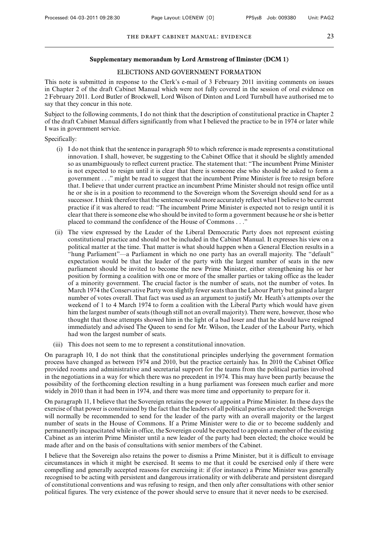#### **Supplementary memorandum by Lord Armstrong of Ilminster (DCM 1)**

#### ELECTIONS AND GOVERNMENT FORMATION

This note is submitted in response to the Clerk's e-mail of 3 February 2011 inviting comments on issues in Chapter 2 of the draft Cabinet Manual which were not fully covered in the session of oral evidence on 2 February 2011. Lord Butler of Brockwell, Lord Wilson of Dinton and Lord Turnbull have authorised me to say that they concur in this note.

Subject to the following comments, I do not think that the description of constitutional practice in Chapter 2 of the draft Cabinet Manual differs significantly from what I believed the practice to be in 1974 or later while I was in government service.

Specifically:

- (i) I do not think that the sentence in paragraph 50 to which reference is made represents a constitutional innovation. I shall, however, be suggesting to the Cabinet Office that it should be slightly amended so as unambiguously to reflect current practice. The statement that: "The incumbent Prime Minister is not expected to resign until it is clear that there is someone else who should be asked to form a government . . ." might be read to suggest that the incumbent Prime Minister is free to resign before that. I believe that under current practice an incumbent Prime Minister should not resign office until he or she is in a position to recommend to the Sovereign whom the Sovereign should send for as a successor. I think therefore that the sentence would more accurately reflect what I believe to be current practice if it was altered to read: "The incumbent Prime Minister is expected not to resign until it is clear that there is someone else who should be invited to form a government because he or she is better placed to command the confidence of the House of Commons . . ."
- (ii) The view expressed by the Leader of the Liberal Democratic Party does not represent existing constitutional practice and should not be included in the Cabinet Manual. It expresses his view on a political matter at the time. That matter is what should happen when a General Election results in a "hung Parliament"—a Parliament in which no one party has an overall majority. The "default" expectation would be that the leader of the party with the largest number of seats in the new parliament should be invited to become the new Prime Minister, either strengthening his or her position by forming a coalition with one or more of the smaller parties or taking office as the leader of a minority government. The crucial factor is the number of seats, not the number of votes. In March 1974 the Conservative Party won slightly fewer seats than the Labour Party but gained a larger number of votes overall. That fact was used as an argument to justify Mr. Heath's attempts over the weekend of 1 to 4 March 1974 to form a coalition with the Liberal Party which would have given him the largest number of seats (though still not an overall majority). There were, however, those who thought that those attempts showed him in the light of a bad loser and that he should have resigned immediately and advised The Queen to send for Mr. Wilson, the Leader of the Labour Party, which had won the largest number of seats.
- (iii) This does not seem to me to represent a constitutional innovation.

On paragraph 10, I do not think that the constitutional principles underlying the government formation process have changed as between 1974 and 2010, but the practice certainly has. In 2010 the Cabinet Office provided rooms and administrative and secretarial support for the teams from the political parties involved in the negotiations in a way for which there was no precedent in 1974. This may have been partly because the possibility of the forthcoming election resulting in a hung parliament was foreseen much earlier and more widely in 2010 than it had been in 1974, and there was more time and opportunity to prepare for it.

On paragraph 11, I believe that the Sovereign retains the power to appoint a Prime Minister. In these days the exercise of that power is constrained by the fact that the leaders of all political parties are elected: the Sovereign will normally be recommended to send for the leader of the party with an overall majority or the largest number of seats in the House of Commons. If a Prime Minister were to die or to become suddenly and permanently incapacitated while in office, the Sovereign could be expected to appoint a member of the existing Cabinet as an interim Prime Minister until a new leader of the party had been elected; the choice would be made after and on the basis of consultations with senior members of the Cabinet.

I believe that the Sovereign also retains the power to dismiss a Prime Minister, but it is difficult to envisage circumstances in which it might be exercised. It seems to me that it could be exercised only if there were compelling and generally accepted reasons for exercising it: if (for instance) a Prime Minister was generally recognised to be acting with persistent and dangerous irrationality or with deliberate and persistent disregard of constitutional conventions and was refusing to resign, and then only after consultations with other senior political figures. The very existence of the power should serve to ensure that it never needs to be exercised.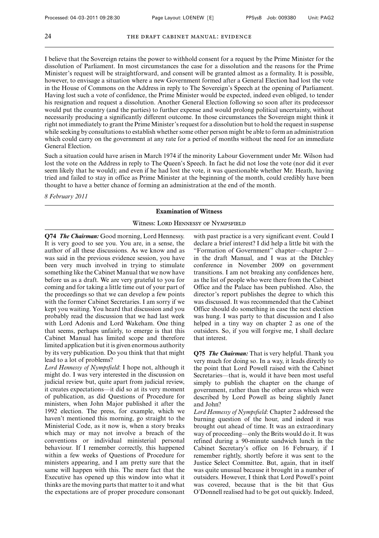I believe that the Sovereign retains the power to withhold consent for a request by the Prime Minister for the dissolution of Parliament. In most circumstances the case for a dissolution and the reasons for the Prime Minister's request will be straightforward, and consent will be granted almost as a formality. It is possible, however, to envisage a situation where a new Government formed after a General Election had lost the vote in the House of Commons on the Address in reply to The Sovereign's Speech at the opening of Parliament. Having lost such a vote of confidence, the Prime Minister would be expected, indeed even obliged, to tender his resignation and request a dissolution. Another General Election following so soon after its predecessor would put the country (and the parties) to further expense and would prolong political uncertainty, without necessarily producing a significantly different outcome. In those circumstances the Sovereign might think it right not immediately to grant the Prime Minister's request for a dissolution but to hold the request in suspense while seeking by consultations to establish whether some other person might be able to form an administration which could carry on the government at any rate for a period of months without the need for an immediate General Election.

Such a situation could have arisen in March 1974 if the minority Labour Government under Mr. Wilson had lost the vote on the Address in reply to The Queen's Speech. In fact he did not lose the vote (nor did it ever seem likely that he would); and even if he had lost the vote, it was questionable whether Mr. Heath, having tried and failed to stay in office as Prime Minister at the beginning of the month, could credibly have been thought to have a better chance of forming an administration at the end of the month.

*8 February 2011*

#### **Examination of Witness**

#### Witness: LORD HENNESSY OF NYMPSFIELD

**Q74** *The Chairman:* Good morning, Lord Hennessy. It is very good to see you. You are, in a sense, the author of all these discussions. As we know and as was said in the previous evidence session, you have been very much involved in trying to stimulate something like the Cabinet Manual that we now have before us as a draft. We are very grateful to you for coming and for taking a little time out of your part of the proceedings so that we can develop a few points with the former Cabinet Secretaries. I am sorry if we kept you waiting. You heard that discussion and you probably read the discussion that we had last week with Lord Adonis and Lord Wakeham. One thing that seems, perhaps unfairly, to emerge is that this Cabinet Manual has limited scope and therefore limited application but it is given enormous authority by its very publication. Do you think that that might lead to a lot of problems?

*Lord Hennessy of Nympsfield*: I hope not, although it might do. I was very interested in the discussion on judicial review but, quite apart from judicial review, it creates expectations—it did so at its very moment of publication, as did Questions of Procedure for ministers, when John Major published it after the 1992 election. The press, for example, which we haven't mentioned this morning, go straight to the Ministerial Code, as it now is, when a story breaks which may or may not involve a breach of the conventions or individual ministerial personal behaviour. If I remember correctly, this happened within a few weeks of Questions of Procedure for ministers appearing, and I am pretty sure that the same will happen with this. The mere fact that the Executive has opened up this window into what it thinks are the moving parts that matter to it and what the expectations are of proper procedure consonant with past practice is a very significant event. Could I declare a brief interest? I did help a little bit with the "Formation of Government" chapter—chapter 2 in the draft Manual, and I was at the Ditchley conference in November 2009 on government transitions. I am not breaking any confidences here, as the list of people who were there from the Cabinet Office and the Palace has been published. Also, the director's report publishes the degree to which this was discussed. It was recommended that the Cabinet Office should do something in case the next election was hung. I was party to that discussion and I also helped in a tiny way on chapter 2 as one of the outsiders. So, if you will forgive me, I shall declare that interest.

**Q75** *The Chairman:* That is very helpful. Thank you very much for doing so. In a way, it leads directly to the point that Lord Powell raised with the Cabinet Secretaries—that is, would it have been most useful simply to publish the chapter on the change of government, rather than the other areas which were described by Lord Powell as being slightly Janet and John?

*Lord Hennessy of Nympsfield*: Chapter 2 addressed the burning question of the hour, and indeed it was brought out ahead of time. It was an extraordinary way of proceeding—only the Brits would do it. It was refined during a 90-minute sandwich lunch in the Cabinet Secretary's office on 16 February, if I remember rightly, shortly before it was sent to the Justice Select Committee. But, again, that in itself was quite unusual because it brought in a number of outsiders. However, I think that Lord Powell's point was covered, because that is the bit that Gus O'Donnell realised had to be got out quickly. Indeed,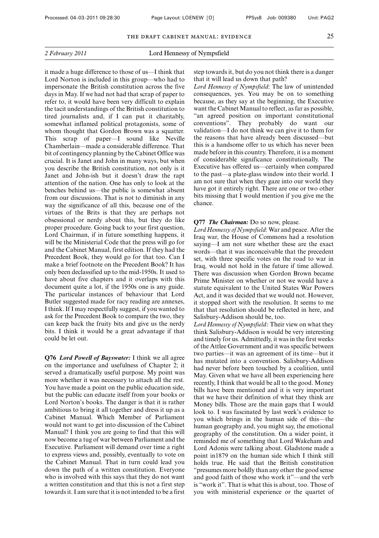it made a huge difference to those of us—I think that Lord Norton is included in this group—who had to impersonate the British constitution across the five days in May. If we had not had that scrap of paper to refer to, it would have been very difficult to explain the tacit understandings of the British constitution to tired journalists and, if I can put it charitably, somewhat inflamed political protagonists, some of whom thought that Gordon Brown was a squatter. This scrap of paper—I sound like Neville Chamberlain—made a considerable difference. That bit of contingency planning by the Cabinet Office was crucial. It is Janet and John in many ways, but when you describe the British constitution, not only is it Janet and John-ish but it doesn't draw the rapt attention of the nation. One has only to look at the benches behind us—the public is somewhat absent from our discussions. That is not to diminish in any way the significance of all this, because one of the virtues of the Brits is that they are perhaps not obsessional or nerdy about this, but they do like proper procedure. Going back to your first question, Lord Chairman, if in future something happens, it will be the Ministerial Code that the press will go for and the Cabinet Manual, first edition. If they had the Precedent Book, they would go for that too. Can I make a brief footnote on the Precedent Book? It has only been declassified up to the mid-1950s. It used to have about five chapters and it overlaps with this document quite a lot, if the 1950s one is any guide. The particular instances of behaviour that Lord Butler suggested made for racy reading are annexes, I think. If I may respectfully suggest, if you wanted to ask for the Precedent Book to compare the two, they can keep back the fruity bits and give us the nerdy bits. I think it would be a great advantage if that could be let out.

**Q76** *Lord Powell of Bayswater:* I think we all agree on the importance and usefulness of Chapter 2; it served a dramatically useful purpose. My point was more whether it was necessary to attach all the rest. You have made a point on the public education side, but the public can educate itself from your books or Lord Norton's books. The danger is that it is rather ambitious to bring it all together and dress it up as a Cabinet Manual. Which Member of Parliament would not want to get into discussion of the Cabinet Manual? I think you are going to find that this will now become a tug of war between Parliament and the Executive. Parliament will demand over time a right to express views and, possibly, eventually to vote on the Cabinet Manual. That in turn could lead you down the path of a written constitution. Everyone who is involved with this says that they do not want a written constitution and that this is not a first step towards it. I am sure that it is not intended to be a first step towards it, but do you not think there is a danger that it will lead us down that path?

*Lord Hennessy of Nympsfield*: The law of unintended consequences, yes. You may be on to something because, as they say at the beginning, the Executive want the Cabinet Manual to reflect, as far as possible, "an agreed position on important constitutional conventions". They probably do want our validation—I do not think we can give it to them for the reasons that have already been discussed—but this is a handsome offer to us which has never been made before in this country. Therefore, it is a moment of considerable significance constitutionally. The Executive has offered us—certainly when compared to the past—a plate-glass window into their world. I am not sure that when they gaze into our world they have got it entirely right. There are one or two other bits missing that I would mention if you give me the chance.

#### **Q77** *The Chairman:* Do so now, please.

*Lord Hennessy of Nympsfield*: War and peace. After the Iraq war, the House of Commons had a resolution saying—I am not sure whether these are the exact words—that it was inconceivable that the precedent set, with three specific votes on the road to war in Iraq, would not hold in the future if time allowed. There was discussion when Gordon Brown became Prime Minister on whether or not we would have a statute equivalent to the United States War Powers Act, and it was decided that we would not. However, it stopped short with the resolution. It seems to me that that resolution should be reflected in here, and Salisbury-Addison should be, too.

*Lord Hennessy of Nympsfield:* Their view on what they think Salisbury-Addison is would be very interesting and timely for us. Admittedly, it was in the first weeks of the Attlee Government and it was specific between two parties—it was an agreement of its time—but it has mutated into a convention. Salisbury-Addison had never before been touched by a coalition, until May. Given what we have all been experiencing here recently, I think that would be all to the good. Money bills have been mentioned and it is very important that we have their definition of what they think are Money bills. Those are the main gaps that I would look to. I was fascinated by last week's evidence to you which brings in the human side of this—the human geography and, you might say, the emotional geography of the constitution. On a wider point, it reminded me of something that Lord Wakeham and Lord Adonis were talking about. Gladstone made a point in1879 on the human side which I think still holds true. He said that the British constitution "presumes more boldly than any other the good sense and good faith of those who work it"—and the verb is "work it". That is what this is about, too. Those of you with ministerial experience or the quartet of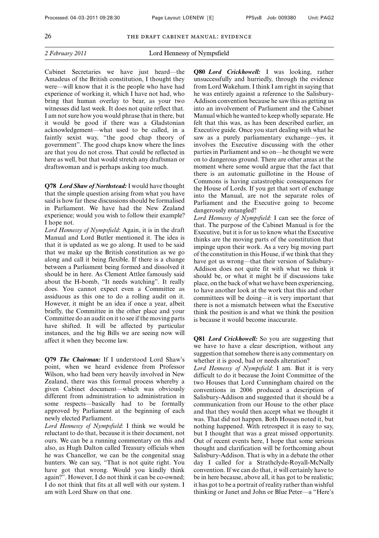Cabinet Secretaries we have just heard—the Amadeus of the British constitution, I thought they were—will know that it is the people who have had experience of working it, which I have not had, who bring that human overlay to bear, as your two witnesses did last week. It does not quite reflect that. I am not sure how you would phrase that in there, but it would be good if there was a Gladstonian acknowledgement—what used to be called, in a faintly sexist way, "the good chap theory of government". The good chaps know where the lines are that you do not cross. That could be reflected in here as well, but that would stretch any draftsman or draftswoman and is perhaps asking too much.

**Q78** *Lord Shaw of Northstead:* I would have thought that the simple question arising from what you have said is how far these discussions should be formalised in Parliament. We have had the New Zealand experience; would you wish to follow their example? I hope not.

*Lord Hennessy of Nympsfield*: Again, it is in the draft Manual and Lord Butler mentioned it. The idea is that it is updated as we go along. It used to be said that we make up the British constitution as we go along and call it being flexible. If there is a change between a Parliament being formed and dissolved it should be in here. As Clement Attlee famously said about the H-bomb, "It needs watching". It really does. You cannot expect even a Committee as assiduous as this one to do a rolling audit on it. However, it might be an idea if once a year, albeit briefly, the Committee in the other place and your Committee do an audit on it to see if the moving parts have shifted. It will be affected by particular instances, and the big Bills we are seeing now will affect it when they become law.

**Q79** *The Chairman:* If I understood Lord Shaw's point, when we heard evidence from Professor Wilson, who had been very heavily involved in New Zealand, there was this formal process whereby a given Cabinet document—which was obviously different from administration to administration in some respects—basically had to be formally approved by Parliament at the beginning of each newly elected Parliament.

*Lord Hennessy of Nympsfield*: I think we would be reluctant to do that, because it is their document, not ours. We can be a running commentary on this and also, as Hugh Dalton called Treasury officials when he was Chancellor, we can be the congenital snag hunters. We can say, "That is not quite right. You have got that wrong. Would you kindly think again?". However, I do not think it can be co-owned; I do not think that fits at all well with our system. I am with Lord Shaw on that one.

**Q80** *Lord Crickhowell:* I was looking, rather unsuccessfully and hurriedly, through the evidence from Lord Wakeham. I think I am right in saying that he was entirely against a reference to the Salisbury-Addison convention because he saw this as getting us into an involvement of Parliament and the Cabinet Manual which he wanted to keep wholly separate. He felt that this was, as has been described earlier, an Executive guide. Once you start dealing with what he saw as a purely parliamentary exchange—yes, it involves the Executive discussing with the other parties in Parliament and so on—he thought we were on to dangerous ground. There are other areas at the moment where some would argue that the fact that there is an automatic guillotine in the House of Commons is having catastrophic consequences for the House of Lords. If you get that sort of exchange into the Manual, are not the separate roles of Parliament and the Executive going to become dangerously entangled?

*Lord Hennessy of Nympsfield*: I can see the force of that. The purpose of the Cabinet Manual is for the Executive, but it is for us to know what the Executive thinks are the moving parts of the constitution that impinge upon their work. As a very big moving part of the constitution in this House, if we think that they have got us wrong—that their version of Salisbury-Addison does not quite fit with what we think it should be, or what it might be if discussions take place, on the back of what we have been experiencing, to have another look at the work that this and other committees will be doing—it is very important that there is not a mismatch between what the Executive think the position is and what we think the position is because it would become inaccurate.

**Q81** *Lord Crickhowell:* So you are suggesting that we have to have a clear description, without any suggestion that somehow there is any commentary on whether it is good, bad or needs alteration?

*Lord Hennessy of Nympsfield*: I am. But it is very difficult to do it because the Joint Committee of the two Houses that Lord Cunningham chaired on the conventions in 2006 produced a description of Salisbury-Addison and suggested that it should be a communication from our House to the other place and that they would then accept what we thought it was. That did not happen. Both Houses noted it, but nothing happened. With retrospect it is easy to say, but I thought that was a great missed opportunity. Out of recent events here, I hope that some serious thought and clarification will be forthcoming about Salisbury-Addison. That is why in a debate the other day I called for a Strathclyde-Royall-McNally convention. If we can do that, it will certainly have to be in here because, above all, it has got to be realistic; it has got to be a portrait of reality rather than wishful thinking or Janet and John or Blue Peter—a "Here's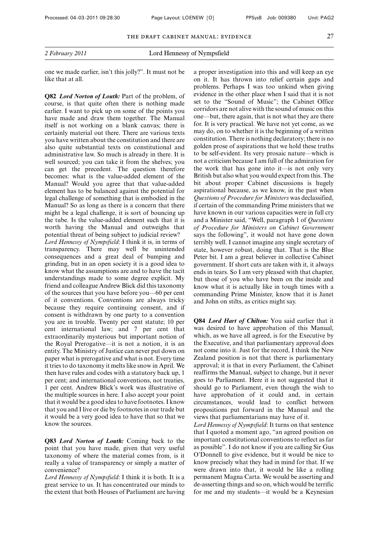one we made earlier, isn't this jolly?". It must not be like that at all.

**Q82** *Lord Norton of Louth:* Part of the problem, of course, is that quite often there is nothing made earlier. I want to pick up on some of the points you have made and draw them together. The Manual itself is not working on a blank canvas; there is certainly material out there. There are various texts you have written about the constitution and there are also quite substantial texts on constitutional and administrative law. So much is already in there. It is well sourced; you can take it from the shelves; you can get the precedent. The question therefore becomes: what is the value-added element of the Manual? Would you agree that that value-added element has to be balanced against the potential for legal challenge of something that is embodied in the Manual? So as long as there is a concern that there might be a legal challenge, it is sort of bouncing up the tube. Is the value-added element such that it is worth having the Manual and outweighs that potential threat of being subject to judicial review? *Lord Hennessy of Nympsfield*: I think it is, in terms of transparency. There may well be unintended consequences and a great deal of bumping and grinding, but in an open society it is a good idea to know what the assumptions are and to have the tacit understandings made to some degree explicit. My friend and colleague Andrew Blick did this taxonomy of the sources that you have before you—60 per cent of it conventions. Conventions are always tricky because they require continuing consent, and if consent is withdrawn by one party to a convention you are in trouble. Twenty per cent statute; 10 per cent international law; and 7 per cent that extraordinarily mysterious but important notion of the Royal Prerogative—it is not a notion, it is an entity. The Ministry of Justice can never put down on paper what is prerogative and what is not. Every time it tries to do taxonomy it melts like snow in April. We then have rules and codes with a statutory back up, 1 per cent; and international conventions, not treaties, 1 per cent. Andrew Blick's work was illustrative of the multiple sources in here. I also accept your point that it would be a good idea to have footnotes. I know that you and I live or die by footnotes in our trade but it would be a very good idea to have that so that we know the sources.

**Q83** *Lord Norton of Louth:* Coming back to the point that you have made, given that very useful taxonomy of where the material comes from, is it really a value of transparency or simply a matter of convenience?

*Lord Hennessy of Nympsfield*: I think it is both. It is a great service to us. It has concentrated our minds to the extent that both Houses of Parliament are having a proper investigation into this and will keep an eye on it. It has thrown into relief certain gaps and problems. Perhaps I was too unkind when giving evidence in the other place when I said that it is not set to the "Sound of Music"; the Cabinet Office corridors are not alive with the sound of music on this one—but, there again, that is not what they are there for. It is very practical. We have not yet come, as we may do, on to whether it is the beginning of a written constitution. There is nothing declaratory; there is no golden prose of aspirations that we hold these truths to be self-evident. Its very prosaic nature—which is not a criticism because I am full of the admiration for the work that has gone into it—is not only very British but also what you would expect from this. The bit about proper Cabinet discussions is hugely aspirational because, as we know, in the past when *Questions of Procedure for Ministers* was declassified, if certain of the commanding Prime ministers that we have known in our various capacities were in full cry and a Minister said, "Well, paragraph 1 of *Questions of Procedure for Ministers on Cabinet Government* says the following", it would not have gone down terribly well. I cannot imagine any single secretary of state, however robust, doing that. That is the Blue Peter bit. I am a great believer in collective Cabinet government. If short cuts are taken with it, it always ends in tears. So I am very pleased with that chapter, but those of you who have been on the inside and know what it is actually like in tough times with a commanding Prime Minister, know that it is Janet and John on stilts, as critics might say.

**Q84** *Lord Hart of Chilton:* You said earlier that it was desired to have approbation of this Manual, which, as we have all agreed, is for the Executive by the Executive, and that parliamentary approval does not come into it. Just for the record, I think the New Zealand position is not that there is parliamentary approval; it is that in every Parliament, the Cabinet reaffirms the Manual, subject to change, but it never goes to Parliament. Here it is not suggested that it should go to Parliament, even though the wish to have approbation of it could and, in certain circumstances, would lead to conflict between propositions put forward in the Manual and the views that parliamentarians may have of it.

*Lord Hennessy of Nympsfield*: It turns on that sentence that I quoted a moment ago, "an agreed position on important constitutional conventions to reflect as far as possible". I do not know if you are calling Sir Gus O'Donnell to give evidence, but it would be nice to know precisely what they had in mind for that. If we were drawn into that, it would be like a rolling permanent Magna Carta. We would be asserting and de-asserting things and so on, which would be terrific for me and my students—it would be a Keynesian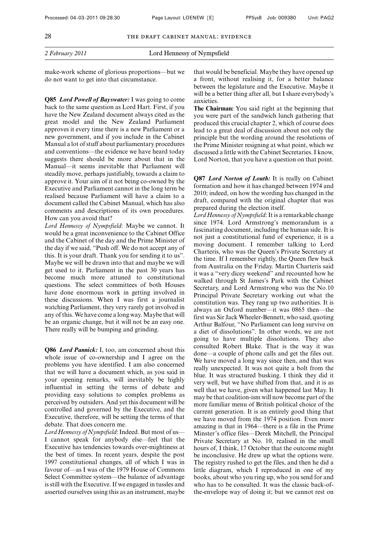make-work scheme of glorious proportions—but we do not want to get into that circumstance.

**Q85** *Lord Powell of Bayswater:* I was going to come back to the same question as Lord Hart. First, if you have the New Zealand document always cited as the great model and the New Zealand Parliament approves it every time there is a new Parliament or a new government, and if you include in the Cabinet Manual a lot of stuff about parliamentary procedures and conventions—the evidence we have heard today suggests there should be more about that in the Manual—it seems inevitable that Parliament will steadily move, perhaps justifiably, towards a claim to approve it. Your aim of it not being co-owned by the Executive and Parliament cannot in the long term be realised because Parliament will have a claim to a document called the Cabinet Manual, which has also comments and descriptions of its own procedures. How can you avoid that?

*Lord Hennessy of Nympsfield*: Maybe we cannot. It would be a great inconvenience to the Cabinet Office and the Cabinet of the day and the Prime Minister of the day if we said, "Push off. We do not accept any of this. It is your draft. Thank you for sending it to us". Maybe we will be drawn into that and maybe we will get used to it. Parliament in the past 30 years has become much more attuned to constitutional questions. The select committees of both Houses have done enormous work in getting involved in these discussions. When I was first a journalist watching Parliament, they very rarely got involved in any of this. We have come a long way. Maybe that will be an organic change, but it will not be an easy one. There really will be bumping and grinding.

**Q86** *Lord Pannick:* I, too, am concerned about this whole issue of co-ownership and I agree on the problems you have identified. I am also concerned that we will have a document which, as you said in your opening remarks, will inevitably be highly influential in setting the terms of debate and providing easy solutions to complex problems as perceived by outsiders. And yet this document will be controlled and governed by the Executive, and the Executive, therefore, will be setting the terms of that debate. That does concern me.

*Lord Hennessy of Nympsfield*: Indeed. But most of us— I cannot speak for anybody else—feel that the Executive has tendencies towards over-mightiness at the best of times. In recent years, despite the post 1997 constitutional changes, all of which I was in favour of—as I was of the 1979 House of Commons Select Committee system—the balance of advantage is still with the Executive. If we engaged in tussles and asserted ourselves using this as an instrument, maybe that would be beneficial. Maybe they have opened up a front, without realising it, for a better balance between the legislature and the Executive. Maybe it will be a better thing after all, but I share everybody's anxieties.

**The Chairman:** You said right at the beginning that you were part of the sandwich lunch gathering that produced this crucial chapter 2, which of course does lead to a great deal of discussion about not only the principle but the wording around the resolutions of the Prime Minister resigning at what point, which we discussed a little with the Cabinet Secretaries. I know, Lord Norton, that you have a question on that point.

**Q87** *Lord Norton of Louth:* It is really on Cabinet formation and how it has changed between 1974 and 2010; indeed, on how the wording has changed in the draft, compared with the original chapter that was prepared during the election itself.

*Lord Hennessy of Nympsfield*: It is a remarkable change since 1974. Lord Armstrong's memorandum is a fascinating document, including the human side. It is not just a constitutional fund of experience, it is a moving document. I remember talking to Lord Charteris, who was the Queen's Private Secretary at the time. If I remember rightly, the Queen flew back from Australia on the Friday. Martin Charteris said it was a "very dicey weekend" and recounted how he walked through St James's Park with the Cabinet Secretary, and Lord Armstrong who was the No.10 Principal Private Secretary working out what the constitution was. They rang up two authorities. It is always an Oxford number—it was 0865 then—the first was Sir Jack Wheeler-Bennett, who said, quoting Arthur Balfour, "No Parliament can long survive on a diet of dissolutions". In other words, we are not going to have multiple dissolutions. They also consulted Robert Blake. That is the way it was done—a couple of phone calls and get the files out. We have moved a long way since then, and that was really unexpected. It was not quite a bolt from the blue. It was structured busking. I think they did it very well, but we have shifted from that, and it is as well that we have, given what happened last May. It may be that coalition-ism will now become part of the more familiar menu of British political choice of the current generation. It is an entirely good thing that we have moved from the 1974 position. Even more amazing is that in 1964—there is a file in the Prime Minster's office files—Derek Mitchell, the Principal Private Secretary at No. 10, realised in the small hours of, I think, 17 October that the outcome might be inconclusive. He drew up what the options were. The registry rushed to get the files, and then he did a little diagram, which I reproduced in one of my books, about who you ring up, who you send for and who has to be consulted. It was the classic back-ofthe-envelope way of doing it; but we cannot rest on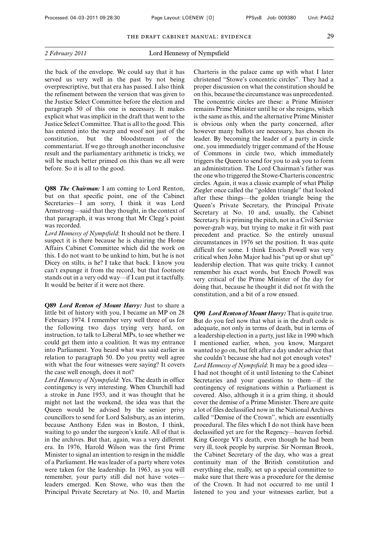the back of the envelope. We could say that it has served us very well in the past by not being overprescriptive, but that era has passed. I also think the refinement between the version that was given to the Justice Select Committee before the election and paragraph 50 of this one is necessary. It makes explicit what was implicit in the draft that went to the Justice Select Committee. That is all to the good. This has entered into the warp and woof not just of the constitution, but the bloodstream of the constitution, but the bloodstream of the commentariat. If we go through another inconclusive result and the parliamentary arithmetic is tricky, we will be much better primed on this than we all were before. So it is all to the good.

**Q88** *The Chairman:* I am coming to Lord Renton, but on that specific point, one of the Cabinet Secretaries—I am sorry, I think it was Lord Armstrong—said that they thought, in the context of that paragraph, it was wrong that Mr Clegg's point was recorded.

*Lord Hennessy of Nympsfield*: It should not be there. I suspect it is there because he is chairing the Home Affairs Cabinet Committee which did the work on this. I do not want to be unkind to him, but he is not Dicey on stilts, is he? I take that back. I know you can't expunge it from the record, but that footnote stands out in a very odd way—if I can put it tactfully. It would be better if it were not there.

**Q89** *Lord Renton of Mount Harry:* Just to share a little bit of history with you, I became an MP on 28 February 1974. I remember very well three of us for the following two days trying very hard, on instruction, to talk to Liberal MPs, to see whether we could get them into a coalition. It was my entrance into Parliament. You heard what was said earlier in relation to paragraph 50. Do you pretty well agree with what the four witnesses were saying? It covers the case well enough, does it not?

*Lord Hennessy of Nympsfield*: Yes. The death in office contingency is very interesting. When Churchill had a stroke in June 1953, and it was thought that he might not last the weekend, the idea was that the Queen would be advised by the senior privy councillors to send for Lord Salisbury, as an interim, because Anthony Eden was in Boston, I think, waiting to go under the surgeon's knife. All of that is in the archives. But that, again, was a very different era. In 1976, Harold Wilson was the first Prime Minister to signal an intention to resign in the middle of a Parliament. He was leader of a party where votes were taken for the leadership. In 1963, as you will remember, your party still did not have votes leaders emerged. Ken Stowe, who was then the Principal Private Secretary at No. 10, and Martin Charteris in the palace came up with what I later christened "Stowe's concentric circles". They had a proper discussion on what the constitution should be on this, because the circumstance was unprecedented. The concentric circles are these: a Prime Minister remains Prime Minister until he or she resigns, which is the same as this, and the alternative Prime Minister is obvious only when the party concerned, after however many ballots are necessary, has chosen its leader. By becoming the leader of a party in circle one, you immediately trigger command of the House of Commons in circle two, which immediately triggers the Queen to send for you to ask you to form an administration. The Lord Chairman's father was the one who triggered the Stowe-Charteris concentric circles. Again, it was a classic example of what Philip Ziegler once called the "golden triangle" that looked after these things—the golden triangle being the Queen's Private Secretary, the Principal Private Secretary at No. 10 and, usually, the Cabinet Secretary. It is priming the pitch, not in a Civil Service power-grab way, but trying to make it fit with past precedent and practice. So the entirely unusual circumstances in 1976 set the position. It was quite difficult for some. I think Enoch Powell was very critical when John Major had his "put up or shut up" leadership election. That was quite tricky. I cannot remember his exact words, but Enoch Powell was very critical of the Prime Minister of the day for doing that, because he thought it did not fit with the constitution, and a bit of a row ensued.

**Q90** *Lord Renton of Mount Harry:* That is quite true. But do you feel now that what is in the draft code is adequate, not only in terms of death, but in terms of a leadership election in a party, just like in 1990 which I mentioned earlier, when, you know, Margaret wanted to go on, but felt after a day under advice that she couldn't because she had not got enough votes? *Lord Hennessy of Nympsfield*: It may be a good idea— I had not thought of it until listening to the Cabinet Secretaries and your questions to them—if the contingency of resignations within a Parliament is covered. Also, although it is a grim thing, it should cover the demise of a Prime Minister. There are quite a lot of files declassified now in the National Archives called "Demise of the Crown", which are essentially procedural. The files which I do not think have been declassified yet are for the Regency—heaven forbid. King George VI's death, even though he had been very ill, took people by surprise. Sir Norman Brook, the Cabinet Secretary of the day, who was a great continuity man of the British constitution and everything else, really, set up a special committee to make sure that there was a procedure for the demise of the Crown. It had not occurred to me until I listened to you and your witnesses earlier, but a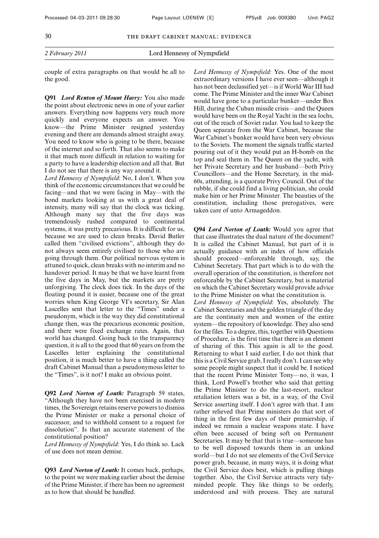couple of extra paragraphs on that would be all to the good.

**Q91** *Lord Renton of Mount Harry:* You also made the point about electronic news in one of your earlier answers. Everything now happens very much more quickly and everyone expects an answer. You know—the Prime Minister resigned yesterday evening and there are demands almost straight away. You need to know who is going to be there, because of the internet and so forth. That also seems to make it that much more difficult in relation to waiting for a party to have a leadership election and all that. But I do not see that there is any way around it.

*Lord Hennessy of Nympsfield*: No, I don't. When you think of the economic circumstances that we could be facing—and that we were facing in May—with the bond markets looking at us with a great deal of intensity, many will say that the clock was ticking. Although many say that the five days was tremendously rushed compared to continental systems, it was pretty precarious. It is difficult for us, because we are used to clean breaks. David Butler called them "civilised evictions", although they do not always seem entirely civilised to those who are going through them. Our political nervous system is attuned to quick, clean breaks with no interim and no handover period. It may be that we have learnt from the five days in May, but the markets are pretty unforgiving. The clock does tick. In the days of the floating pound it is easier, because one of the great worries when King George VI's secretary, Sir Alan Lascelles sent that letter to the "Times" under a pseudonym, which is the way they did constitutional change then, was the precarious economic position, and there were fixed exchange rates. Again, that world has changed. Going back to the transparency question, it is all to the good that 60 years on from the Lascelles letter explaining the constitutional position, it is much better to have a thing called the draft Cabinet Manual than a pseudonymous letter to the "Times", is it not? I make an obvious point.

**Q92** *Lord Norton of Louth:* Paragraph 59 states, "Although they have not been exercised in modern times, the Sovereign retains reserve powers to dismiss the Prime Minister or make a personal choice of successor, and to withhold consent to a request for dissolution". Is that an accurate statement of the constitutional position?

*Lord Hennessy of Nympsfield*: Yes, I do think so. Lack of use does not mean demise.

**Q93** *Lord Norton of Louth:* It comes back, perhaps, to the point we were making earlier about the demise of the Prime Minister, if there has been no agreement as to how that should be handled.

*Lord Hennessy of Nympsfield*: Yes. One of the most extraordinary versions I have ever seen—although it has not been declassified yet—is if World War III had come. The Prime Minister and the inner War Cabinet would have gone to a particular bunker—under Box Hill, during the Cuban missile crisis—and the Queen would have been on the Royal Yacht in the sea lochs, out of the reach of Soviet radar. You had to keep the Queen separate from the War Cabinet, because the War Cabinet's bunker would have been very obvious to the Soviets. The moment the signals traffic started pouring out of it they would put an H-bomb on the top and seal them in. The Queen on the yacht, with her Private Secretary and her husband—both Privy Councillors—and the Home Secretary, in the mid-60s, attending, is a quorate Privy Council. Out of the rubble, if she could find a living politician, she could make him or her Prime Minister. The beauties of the constitution, including those prerogatives, were taken care of unto Armageddon.

**Q94** *Lord Norton of Louth:* Would you agree that that case illustrates the dual nature of the document? It is called the Cabinet Manual, but part of it is actually guidance with an index of how officials should proceed—enforceable through, say, the Cabinet Secretary. That part which is to do with the overall operation of the constitution, is therefore not enforceable by the Cabinet Secretary, but is material on which the Cabinet Secretary would provide advice to the Prime Minister on what the constitution is. *Lord Hennessy of Nympsfield*: Yes, absolutely. The Cabinet Secretaries and the golden triangle of the day are the continuity men and women of the entire system—the repository of knowledge. They also send for the files. To a degree, this, together with Questions of Procedure, is the first time that there is an element of sharing of this. This again is all to the good. Returning to what I said earlier, I do not think that this is a Civil Service grab, I really don't. I can see why some people might suspect that it could be. I noticed that the recent Prime Minister Tony—no, it was, I think, Lord Powell's brother who said that getting the Prime Minister to do the last-resort, nuclear retaliation letters was a bit, in a way, of the Civil Service asserting itself. I don't agree with that. I am rather relieved that Prime ministers do that sort of thing in the first few days of their premiership, if indeed we remain a nuclear weapons state. I have often been accused of being soft on Permanent Secretaries. It may be that that is true—someone has to be well disposed towards them in an unkind world—but I do not see elements of the Civil Service power grab, because, in many ways, it is doing what the Civil Service does best, which is pulling things together. Also, the Civil Service attracts very tidyminded people. They like things to be orderly, understood and with process. They are natural